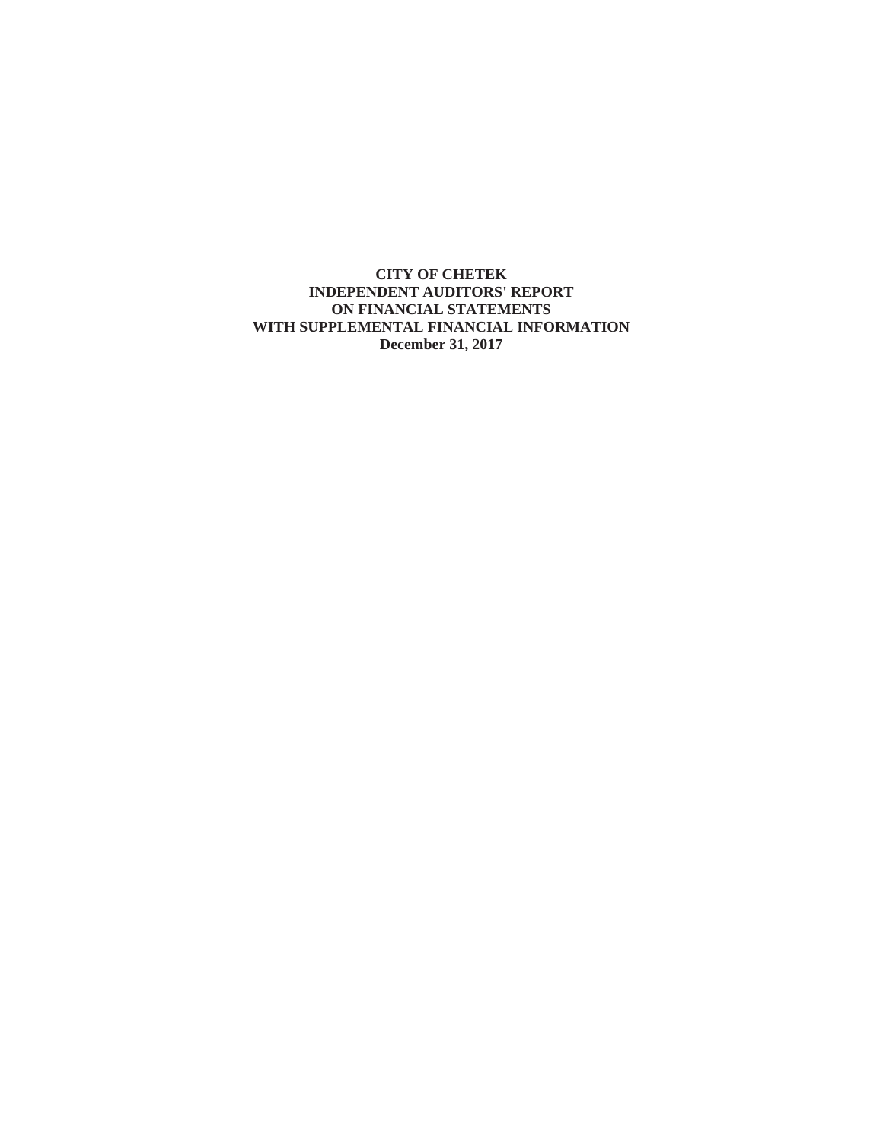**CITY OF CHETEK INDEPENDENT AUDITORS' REPORT ON FINANCIAL STATEMENTS WITH SUPPLEMENTAL FINANCIAL INFORMATION December 31, 2017**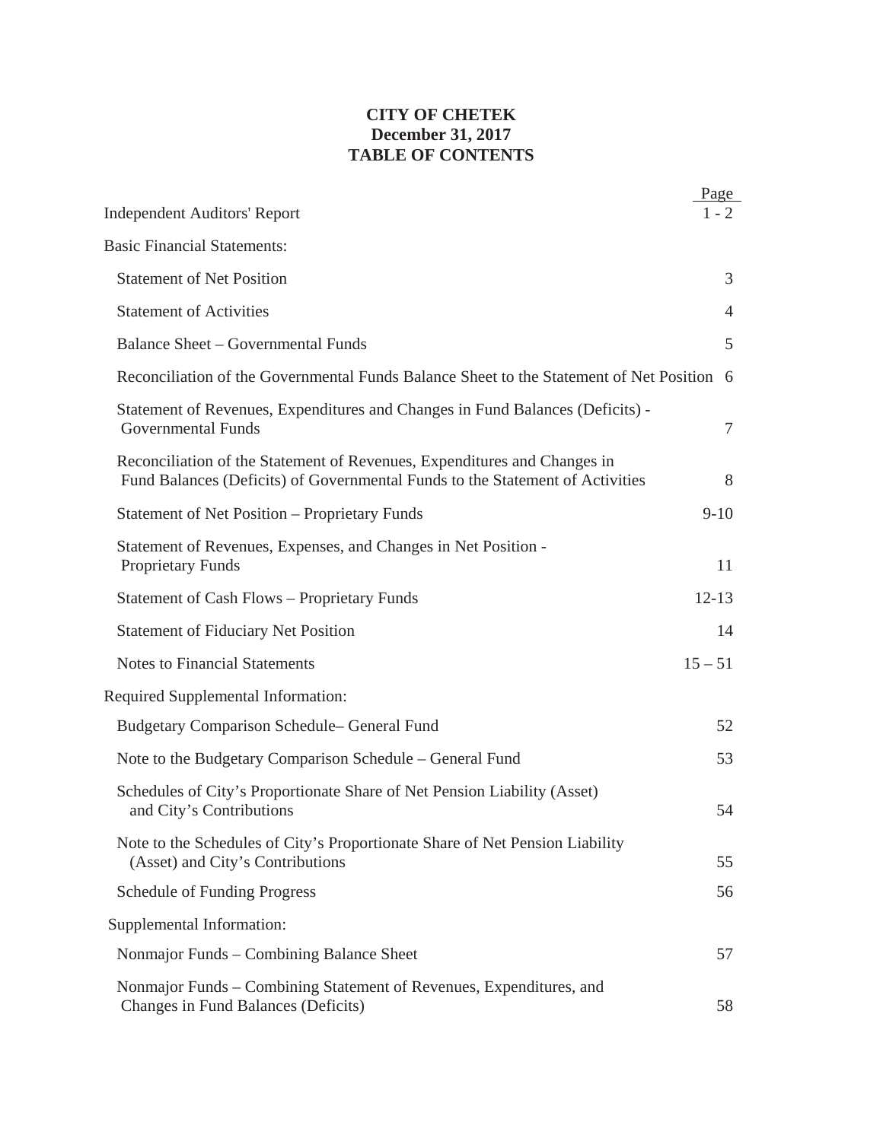# **CITY OF CHETEK December 31, 2017 TABLE OF CONTENTS**

| <b>Independent Auditors' Report</b>                                                                                                                       | Page<br>$1 - 2$ |
|-----------------------------------------------------------------------------------------------------------------------------------------------------------|-----------------|
| <b>Basic Financial Statements:</b>                                                                                                                        |                 |
| <b>Statement of Net Position</b>                                                                                                                          | 3               |
| <b>Statement of Activities</b>                                                                                                                            | $\overline{4}$  |
|                                                                                                                                                           |                 |
| <b>Balance Sheet – Governmental Funds</b>                                                                                                                 | 5               |
| Reconciliation of the Governmental Funds Balance Sheet to the Statement of Net Position 6                                                                 |                 |
| Statement of Revenues, Expenditures and Changes in Fund Balances (Deficits) -<br><b>Governmental Funds</b>                                                | 7               |
| Reconciliation of the Statement of Revenues, Expenditures and Changes in<br>Fund Balances (Deficits) of Governmental Funds to the Statement of Activities | 8               |
| Statement of Net Position – Proprietary Funds                                                                                                             | $9-10$          |
| Statement of Revenues, Expenses, and Changes in Net Position -<br><b>Proprietary Funds</b>                                                                | 11              |
| Statement of Cash Flows - Proprietary Funds                                                                                                               | $12 - 13$       |
| <b>Statement of Fiduciary Net Position</b>                                                                                                                | 14              |
| <b>Notes to Financial Statements</b>                                                                                                                      | $15 - 51$       |
| <b>Required Supplemental Information:</b>                                                                                                                 |                 |
| <b>Budgetary Comparison Schedule– General Fund</b>                                                                                                        | 52              |
| Note to the Budgetary Comparison Schedule – General Fund                                                                                                  | 53              |
| Schedules of City's Proportionate Share of Net Pension Liability (Asset)<br>and City's Contributions                                                      | 54              |
| Note to the Schedules of City's Proportionate Share of Net Pension Liability<br>(Asset) and City's Contributions                                          | 55              |
| <b>Schedule of Funding Progress</b>                                                                                                                       | 56              |
| Supplemental Information:                                                                                                                                 |                 |
| Nonmajor Funds – Combining Balance Sheet                                                                                                                  | 57              |
| Nonmajor Funds - Combining Statement of Revenues, Expenditures, and<br>Changes in Fund Balances (Deficits)                                                | 58              |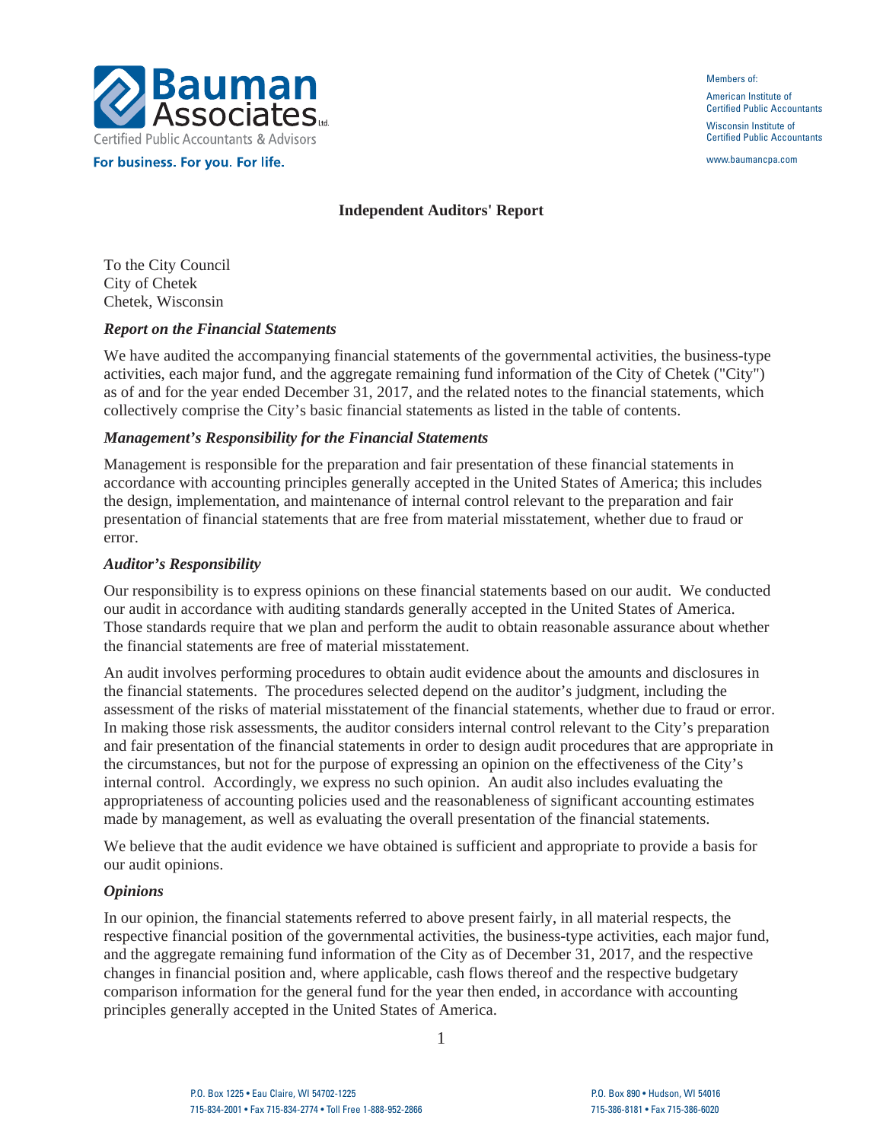

Members of: American Institute of Certified Public Accountants Wisconsin Institute of Certified Public Accountants www.baumancpa.com

#### **Independent Auditors' Report**

To the City Council City of Chetek Chetek, Wisconsin

#### *Report on the Financial Statements*

We have audited the accompanying financial statements of the governmental activities, the business-type activities, each major fund, and the aggregate remaining fund information of the City of Chetek ("City") as of and for the year ended December 31, 2017, and the related notes to the financial statements, which collectively comprise the City's basic financial statements as listed in the table of contents.

#### *Management's Responsibility for the Financial Statements*

Management is responsible for the preparation and fair presentation of these financial statements in accordance with accounting principles generally accepted in the United States of America; this includes the design, implementation, and maintenance of internal control relevant to the preparation and fair presentation of financial statements that are free from material misstatement, whether due to fraud or error.

#### *Auditor's Responsibility*

Our responsibility is to express opinions on these financial statements based on our audit. We conducted our audit in accordance with auditing standards generally accepted in the United States of America. Those standards require that we plan and perform the audit to obtain reasonable assurance about whether the financial statements are free of material misstatement.

An audit involves performing procedures to obtain audit evidence about the amounts and disclosures in the financial statements. The procedures selected depend on the auditor's judgment, including the assessment of the risks of material misstatement of the financial statements, whether due to fraud or error. In making those risk assessments, the auditor considers internal control relevant to the City's preparation and fair presentation of the financial statements in order to design audit procedures that are appropriate in the circumstances, but not for the purpose of expressing an opinion on the effectiveness of the City's internal control. Accordingly, we express no such opinion. An audit also includes evaluating the appropriateness of accounting policies used and the reasonableness of significant accounting estimates made by management, as well as evaluating the overall presentation of the financial statements.

We believe that the audit evidence we have obtained is sufficient and appropriate to provide a basis for our audit opinions.

#### *Opinions*

In our opinion, the financial statements referred to above present fairly, in all material respects, the respective financial position of the governmental activities, the business-type activities, each major fund, and the aggregate remaining fund information of the City as of December 31, 2017, and the respective changes in financial position and, where applicable, cash flows thereof and the respective budgetary comparison information for the general fund for the year then ended, in accordance with accounting principles generally accepted in the United States of America.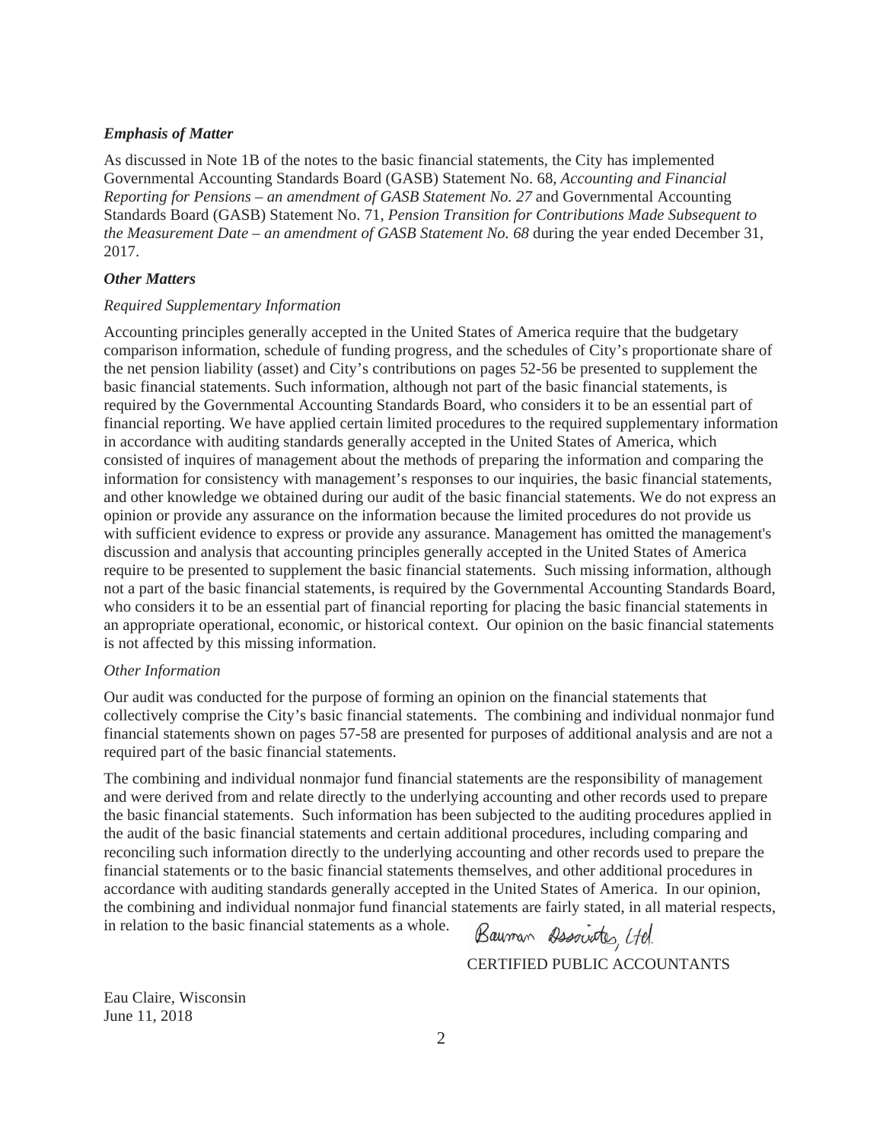#### *Emphasis of Matter*

As discussed in Note 1B of the notes to the basic financial statements, the City has implemented Governmental Accounting Standards Board (GASB) Statement No. 68, *Accounting and Financial Reporting for Pensions – an amendment of GASB Statement No. 27* and Governmental Accounting Standards Board (GASB) Statement No. 71, *Pension Transition for Contributions Made Subsequent to the Measurement Date – an amendment of GASB Statement No. 68 during the year ended December 31,* 2017.

#### *Other Matters*

#### *Required Supplementary Information*

Accounting principles generally accepted in the United States of America require that the budgetary comparison information, schedule of funding progress, and the schedules of City's proportionate share of the net pension liability (asset) and City's contributions on pages 52-56 be presented to supplement the basic financial statements. Such information, although not part of the basic financial statements, is required by the Governmental Accounting Standards Board, who considers it to be an essential part of financial reporting. We have applied certain limited procedures to the required supplementary information in accordance with auditing standards generally accepted in the United States of America, which consisted of inquires of management about the methods of preparing the information and comparing the information for consistency with management's responses to our inquiries, the basic financial statements, and other knowledge we obtained during our audit of the basic financial statements. We do not express an opinion or provide any assurance on the information because the limited procedures do not provide us with sufficient evidence to express or provide any assurance. Management has omitted the management's discussion and analysis that accounting principles generally accepted in the United States of America require to be presented to supplement the basic financial statements. Such missing information, although not a part of the basic financial statements, is required by the Governmental Accounting Standards Board, who considers it to be an essential part of financial reporting for placing the basic financial statements in an appropriate operational, economic, or historical context. Our opinion on the basic financial statements is not affected by this missing information.

#### *Other Information*

Our audit was conducted for the purpose of forming an opinion on the financial statements that collectively comprise the City's basic financial statements. The combining and individual nonmajor fund financial statements shown on pages 57-58 are presented for purposes of additional analysis and are not a required part of the basic financial statements.

The combining and individual nonmajor fund financial statements are the responsibility of management and were derived from and relate directly to the underlying accounting and other records used to prepare the basic financial statements. Such information has been subjected to the auditing procedures applied in the audit of the basic financial statements and certain additional procedures, including comparing and reconciling such information directly to the underlying accounting and other records used to prepare the financial statements or to the basic financial statements themselves, and other additional procedures in accordance with auditing standards generally accepted in the United States of America. In our opinion, the combining and individual nonmajor fund financial statements are fairly stated, in all material respects, in relation to the basic financial statements as a whole.

Bauman Associates, Ctd.

CERTIFIED PUBLIC ACCOUNTANTS

Eau Claire, Wisconsin June 11, 2018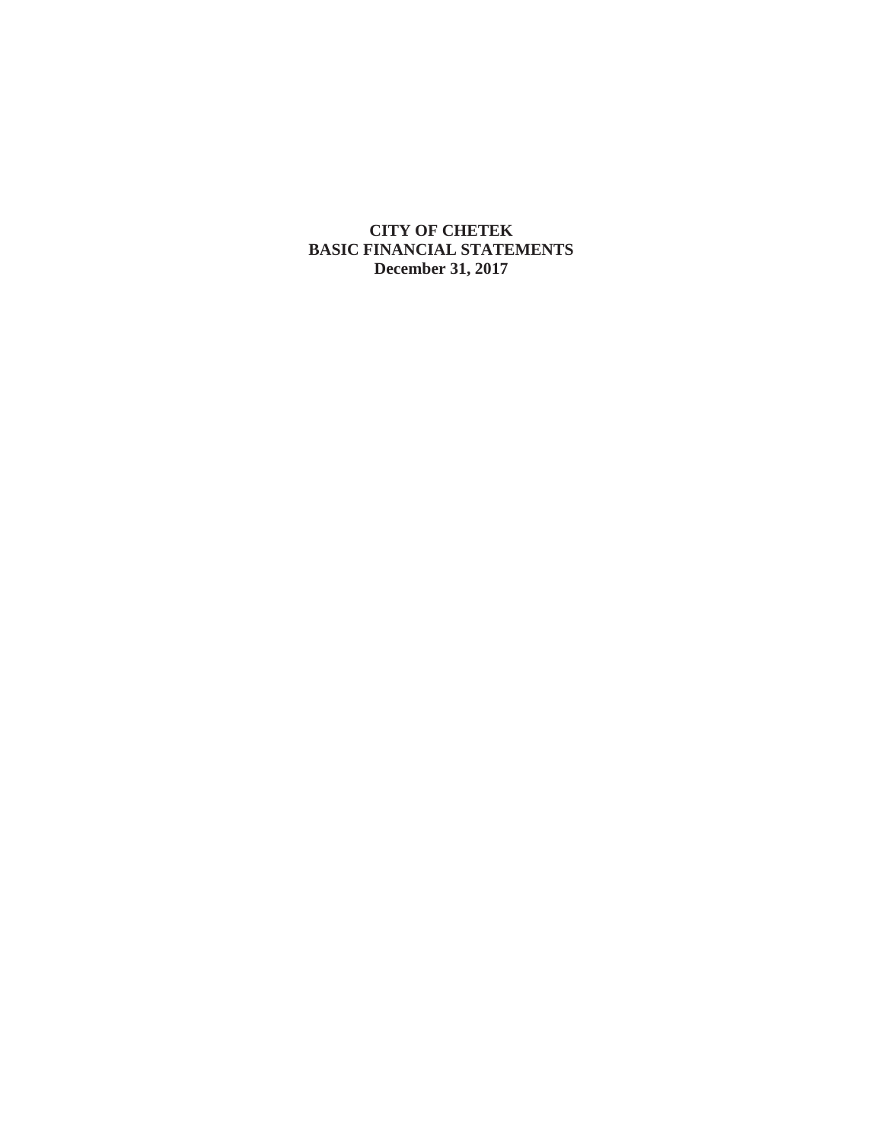**CITY OF CHETEK BASIC FINANCIAL STATEMENTS December 31, 2017**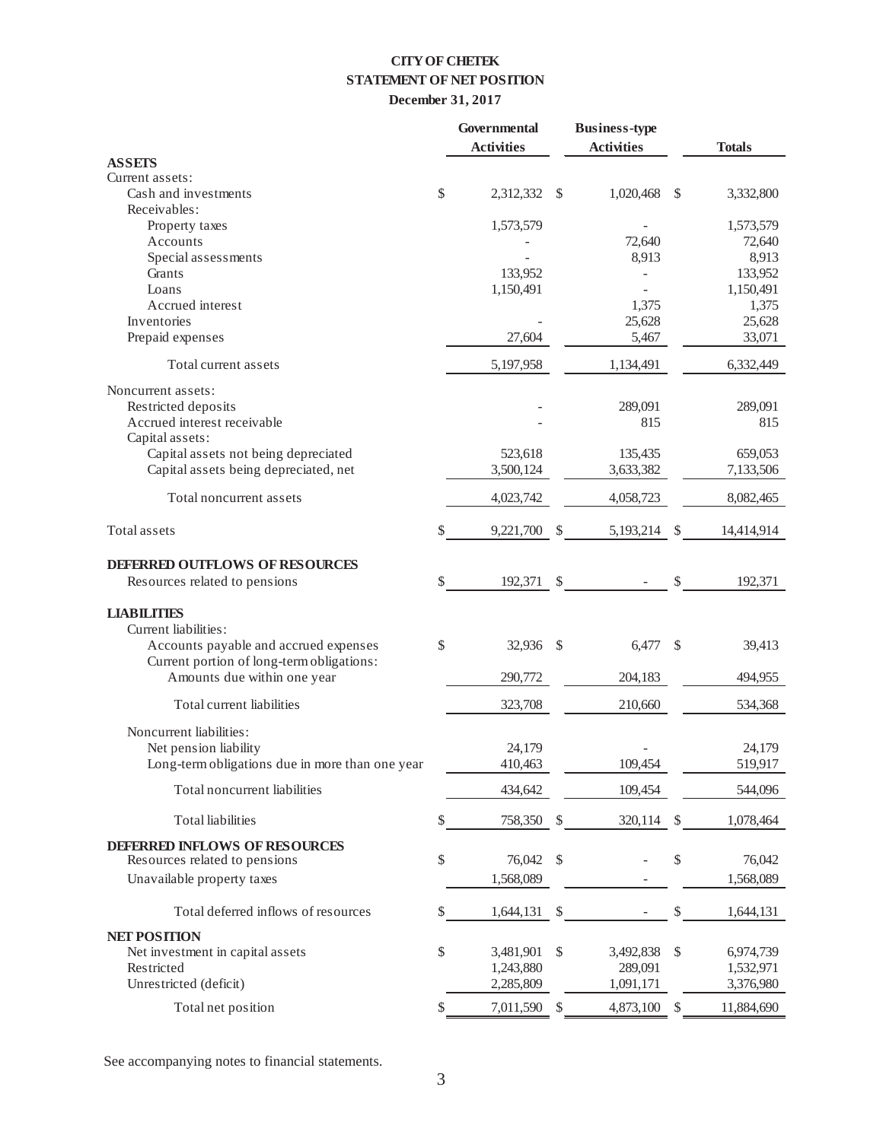### **CITY OF CHETEK STATEMENT OF NET POSITION December 31, 2017**

|                                                 |    | Governmental      |               | <b>Business-type</b> |               |               |
|-------------------------------------------------|----|-------------------|---------------|----------------------|---------------|---------------|
|                                                 |    | <b>Activities</b> |               | <b>Activities</b>    |               | <b>Totals</b> |
| <b>ASSETS</b>                                   |    |                   |               |                      |               |               |
| Current assets:                                 |    |                   |               |                      |               |               |
| Cash and investments                            | \$ | 2,312,332 \$      |               | 1,020,468            | <sup>\$</sup> | 3,332,800     |
| Receivables:                                    |    |                   |               |                      |               |               |
| Property taxes                                  |    | 1,573,579         |               |                      |               | 1,573,579     |
| Accounts                                        |    |                   |               | 72,640               |               | 72,640        |
| Special assessments                             |    |                   |               | 8,913                |               | 8,913         |
| Grants                                          |    | 133,952           |               |                      |               | 133,952       |
| Loans                                           |    | 1,150,491         |               |                      |               | 1,150,491     |
| Accrued interest                                |    |                   |               | 1,375                |               | 1,375         |
| Inventories                                     |    |                   |               | 25,628               |               | 25,628        |
| Prepaid expenses                                |    | 27,604            |               | 5,467                |               | 33,071        |
| Total current assets                            |    | 5,197,958         |               | 1,134,491            |               | 6,332,449     |
| Noncurrent assets:                              |    |                   |               |                      |               |               |
| Restricted deposits                             |    |                   |               | 289,091              |               | 289,091       |
| Accrued interest receivable                     |    |                   |               | 815                  |               | 815           |
| Capital assets:                                 |    |                   |               |                      |               |               |
| Capital assets not being depreciated            |    | 523,618           |               | 135,435              |               | 659,053       |
| Capital assets being depreciated, net           |    | 3,500,124         |               | 3,633,382            |               | 7,133,506     |
| Total noncurrent assets                         |    | 4,023,742         |               | 4,058,723            |               | 8,082,465     |
| Total assets                                    | \$ | 9,221,700 \$      |               | 5,193,214 \$         |               | 14,414,914    |
|                                                 |    |                   |               |                      |               |               |
| <b>DEFERRED OUTFLOWS OF RESOURCES</b>           |    |                   |               |                      |               |               |
| Resources related to pensions                   | \$ | 192,371 \$        |               |                      | \$            | 192,371       |
| <b>LIABILITIES</b>                              |    |                   |               |                      |               |               |
| Current liabilities:                            |    |                   |               |                      |               |               |
| Accounts payable and accrued expenses           | \$ | 32,936 \$         |               | 6,477                | <sup>\$</sup> | 39,413        |
| Current portion of long-term obligations:       |    |                   |               |                      |               |               |
| Amounts due within one year                     |    | 290,772           |               | 204,183              |               | 494,955       |
| Total current liabilities                       |    | 323,708           |               | 210,660              |               | 534,368       |
| Noncurrent liabilities:                         |    |                   |               |                      |               |               |
| Net pension liability                           |    | 24,179            |               |                      |               | 24,179        |
| Long-term obligations due in more than one year |    | 410,463           |               | 109,454              |               | 519,917       |
|                                                 |    |                   |               |                      |               |               |
| Total noncurrent liabilities                    |    | 434,642           |               | 109,454              |               | 544,096       |
| <b>Total</b> liabilities                        | \$ | 758,350           | -\$           | 320,114              | S             | 1,078,464     |
| <b>DEFERRED INFLOWS OF RESOURCES</b>            |    |                   |               |                      |               |               |
| Resources related to pensions                   | \$ | 76,042            | \$            |                      | \$            | 76,042        |
| Unavailable property taxes                      |    | 1,568,089         |               |                      |               | 1,568,089     |
|                                                 |    |                   |               |                      |               |               |
| Total deferred inflows of resources             | \$ | 1,644,131         | <sup>S</sup>  |                      | \$            | 1,644,131     |
| <b>NET POSITION</b>                             |    |                   |               |                      |               |               |
| Net investment in capital assets                | \$ | 3,481,901         | <sup>\$</sup> | 3,492,838            | $\mathcal{S}$ | 6,974,739     |
| Restricted                                      |    | 1,243,880         |               | 289,091              |               | 1,532,971     |
| Unrestricted (deficit)                          |    | 2,285,809         |               | 1,091,171            |               | 3,376,980     |
| Total net position                              | S  | 7,011,590         | - S           | 4,873,100            | -S            | 11,884,690    |
|                                                 |    |                   |               |                      |               |               |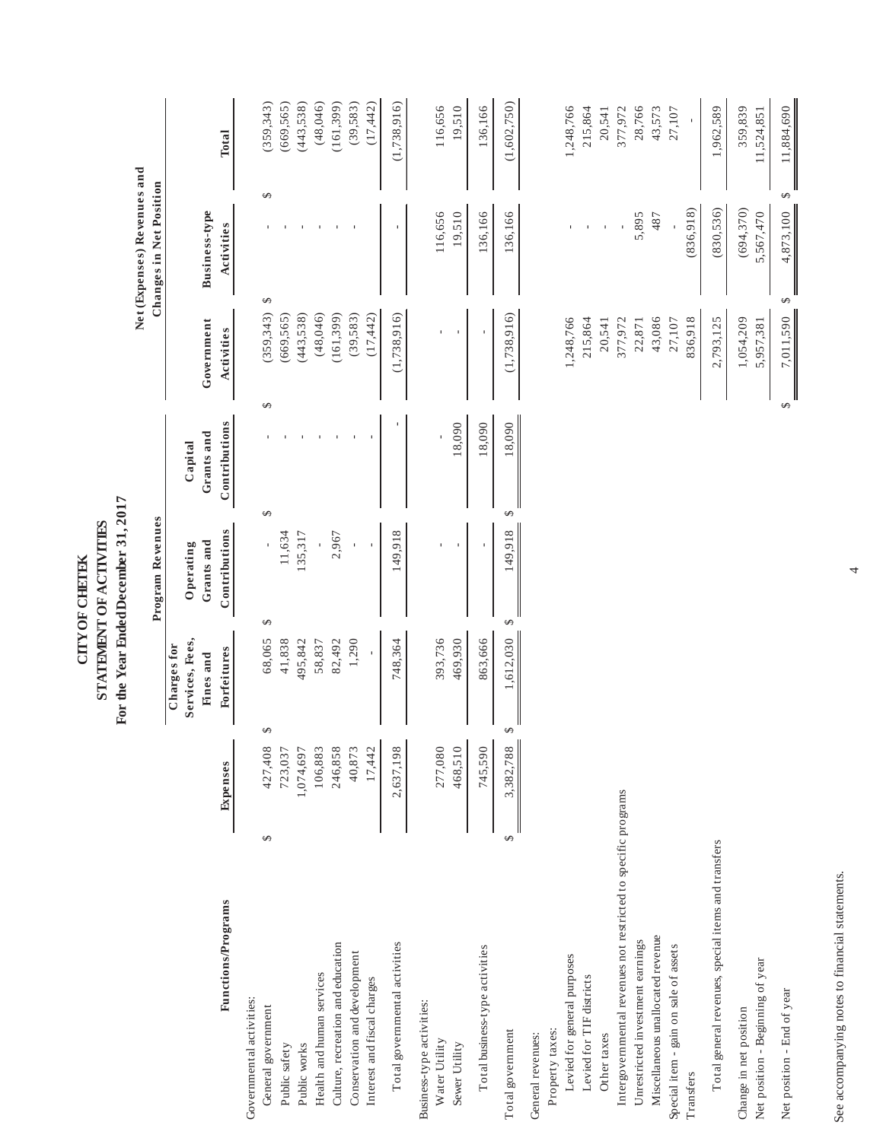|                                                                |          |                   |                              | <b>CITY OF CHETEK</b>                                           |                             |                         |                                                        |                         |  |
|----------------------------------------------------------------|----------|-------------------|------------------------------|-----------------------------------------------------------------|-----------------------------|-------------------------|--------------------------------------------------------|-------------------------|--|
|                                                                |          |                   |                              | For the Year Ended December 31, 2017<br>STATEMENT OF ACTIVITIES |                             |                         |                                                        |                         |  |
|                                                                |          |                   |                              | Program Revenues                                                |                             |                         | Net (Expenses) Revenues and<br>Changes in Net Position |                         |  |
|                                                                |          |                   | Charges for                  |                                                                 |                             |                         |                                                        |                         |  |
|                                                                |          |                   | Services, Fees,<br>Fines and | Grants and<br>Operating                                         | Grants and<br>Capital       | Government              | Business-type                                          |                         |  |
| <b>Functions/Programs</b>                                      |          | Expenses          | Forfeitures                  | Contributions                                                   | Contributions               | Activities              | Activities                                             | Total                   |  |
| Governmental activities:                                       |          |                   |                              |                                                                 |                             |                         |                                                        |                         |  |
| General government                                             | $\Theta$ | 427,408           | 68,065<br>↮                  | ↮                                                               | $\Theta$                    | (359, 343)<br>$\Theta$  | ↮<br>$\Theta$                                          | (359, 343)              |  |
| Public safety                                                  |          | 723,037           | 41,838                       | 11,634                                                          |                             | (669, 565)              |                                                        | (669, 565)              |  |
| Public works                                                   |          | 1,074,697         | 495,842                      | 135,317                                                         |                             | (443, 538)              |                                                        | (443, 538)              |  |
| Health and human services                                      |          | 106,883           | 58,837                       |                                                                 |                             | (48,046)                |                                                        | (48,046)                |  |
| Culture, recreation and education                              |          | 246,858<br>40,873 | 1,290<br>82,492              | 2,967                                                           |                             | (161, 399)<br>(39, 583) |                                                        | (39, 583)<br>(161, 399) |  |
| Conservation and development<br>Interest and fiscal charges    |          | 17,442            |                              | ï                                                               |                             | (17, 442)               |                                                        | (17, 442)               |  |
| Total governmental activities                                  |          | 2,637,198         | 748,364                      | 149,918                                                         |                             | (1,738,916)             |                                                        | (1,738,916)             |  |
| Business-type activities:<br>Water Utility                     |          | 277,080           | 393,736                      |                                                                 |                             |                         | 116,656                                                | 116,656                 |  |
| Sewer Utility                                                  |          | 468,510           | 469,930                      |                                                                 | 18,090                      |                         | 19,510                                                 | 19,510                  |  |
|                                                                |          |                   |                              |                                                                 |                             |                         |                                                        |                         |  |
| Total business-type activities                                 |          | 745,590           | 863,666                      |                                                                 | 18,090                      |                         | 136,166                                                | 136,166                 |  |
| Total government                                               | ↮        | 3,382,788         | 1,612,030<br>$\Theta$        | 149,918<br>Ø                                                    | 18,090<br>$\leftrightarrow$ | (1,738,916)             | 136,166                                                | (1,602,750)             |  |
| General revenues:                                              |          |                   |                              |                                                                 |                             |                         |                                                        |                         |  |
| Property taxes:                                                |          |                   |                              |                                                                 |                             |                         |                                                        |                         |  |
| Levied for general purposes                                    |          |                   |                              |                                                                 |                             | 1,248,766               | $\mathbf{L}$                                           | 1,248,766               |  |
| Levied for TIF districts                                       |          |                   |                              |                                                                 |                             | 215,864                 |                                                        | 215,864                 |  |
| Other taxes                                                    |          |                   |                              |                                                                 |                             | 20,541                  | $\mathbf I$                                            | 20,541                  |  |
| Intergovernmental revenues not restricted to specific programs |          |                   |                              |                                                                 |                             | 377,972                 | $\,$                                                   | 377,972                 |  |
| Unrestricted investment earnings                               |          |                   |                              |                                                                 |                             | 22,871                  | 5,895                                                  | 28,766                  |  |
| Miscellaneous unallocated revenue                              |          |                   |                              |                                                                 |                             | 43,086                  | 487                                                    | 43,573                  |  |
| Special item - gain on sale of assets                          |          |                   |                              |                                                                 |                             | 27,107                  |                                                        | 27,107                  |  |
| Transfers                                                      |          |                   |                              |                                                                 |                             | 836,918                 | (836, 918)                                             |                         |  |
| Total general revenues, special items and transfers            |          |                   |                              |                                                                 |                             | 2,793,125               | (830, 536)                                             | 1,962,589               |  |
| Change in net position                                         |          |                   |                              |                                                                 |                             | 1,054,209               | (694,370)                                              | 359,839                 |  |
| Net position - Beginning of year                               |          |                   |                              |                                                                 |                             | 5,957,381               | 5,567,470                                              | 11,524,851              |  |
| Net position - End of year                                     |          |                   |                              |                                                                 |                             | 7,011,590<br>↮          | ↮<br>4,873,100<br>$\Theta$                             | 11,884,690              |  |
|                                                                |          |                   |                              |                                                                 |                             |                         |                                                        |                         |  |

See accompanying notes to financial statements. See accompanying notes to financial statements.

4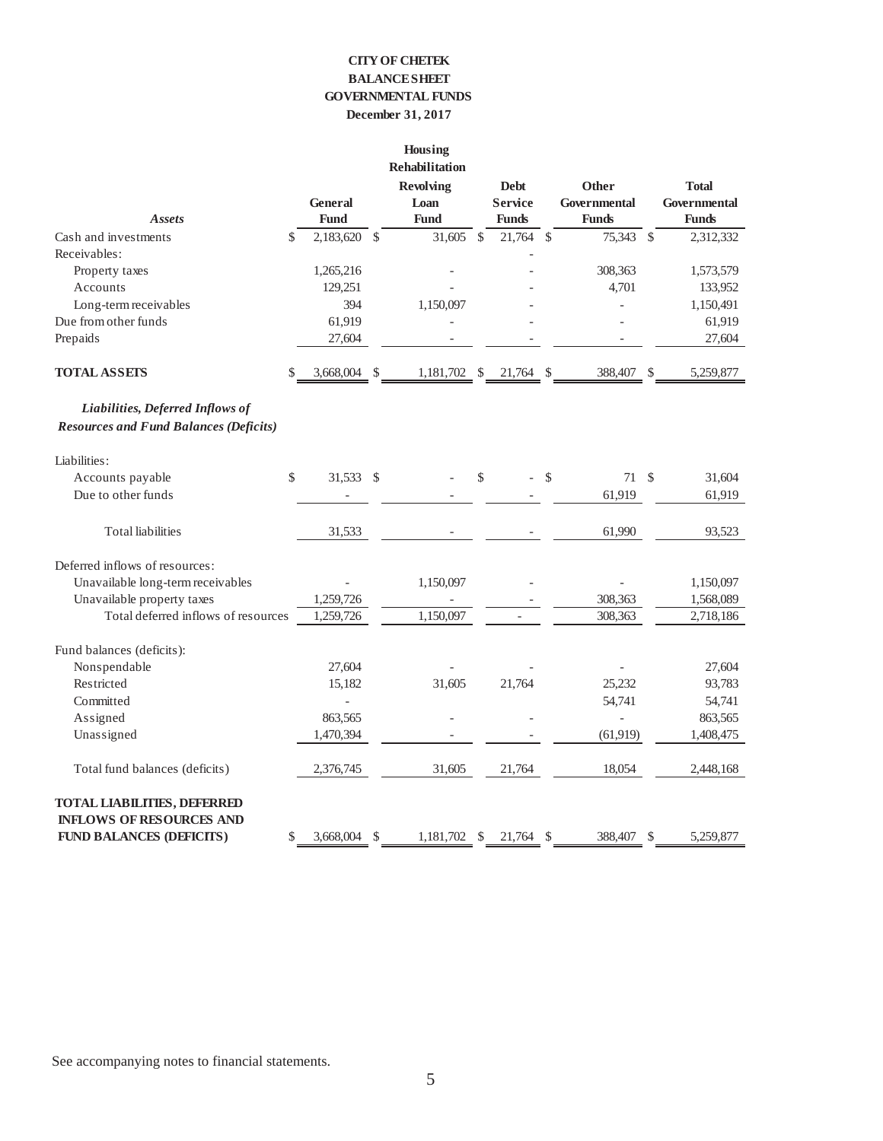#### **CITY OF CHETEK BALANCE SHEET GOVERNMENTAL FUNDS December 31, 2017**

|                                                                                   |                    |   | Housing<br>Rehabilitation |      |                |               |              |     |              |
|-----------------------------------------------------------------------------------|--------------------|---|---------------------------|------|----------------|---------------|--------------|-----|--------------|
|                                                                                   |                    |   | <b>Revolving</b>          |      | <b>Debt</b>    |               | Other        |     | <b>Total</b> |
|                                                                                   | <b>General</b>     |   | Loan                      |      | <b>Service</b> |               | Governmental |     | Governmental |
| Assets                                                                            | <b>Fund</b>        |   | <b>Fund</b>               |      | <b>Funds</b>   |               | <b>Funds</b> |     | <b>Funds</b> |
| Cash and investments                                                              | \$<br>2,183,620 \$ |   | 31,605 \$                 |      | 21,764 \$      |               | 75,343 \$    |     | 2,312,332    |
| Receivables:                                                                      |                    |   |                           |      |                |               |              |     |              |
| Property taxes                                                                    | 1,265,216          |   |                           |      |                |               | 308,363      |     | 1,573,579    |
| Accounts                                                                          | 129,251            |   |                           |      |                |               | 4,701        |     | 133,952      |
| Long-term receivables                                                             | 394                |   | 1,150,097                 |      |                |               |              |     | 1,150,491    |
| Due from other funds                                                              | 61,919             |   |                           |      |                |               |              |     | 61,919       |
| Prepaids                                                                          | 27,604             |   |                           |      |                |               |              |     | 27,604       |
| <b>TOTAL ASSETS</b>                                                               | \$<br>3,668,004    | S | 1,181,702 \$              |      | 21,764 \$      |               | 388,407 \$   |     | 5,259,877    |
| Liabilities, Deferred Inflows of<br><b>Resources and Fund Balances (Deficits)</b> |                    |   |                           |      |                |               |              |     |              |
| Liabilities:                                                                      |                    |   |                           |      |                |               |              |     |              |
| Accounts payable                                                                  | \$<br>31,533 \$    |   |                           | \$   | $\overline{a}$ | $\mathcal{S}$ | 71           | -\$ | 31,604       |
| Due to other funds                                                                |                    |   |                           |      |                |               | 61,919       |     | 61,919       |
| <b>Total</b> liabilities                                                          | 31,533             |   |                           |      |                |               | 61,990       |     | 93,523       |
| Deferred inflows of resources:                                                    |                    |   |                           |      |                |               |              |     |              |
| Unavailable long-term receivables                                                 |                    |   | 1,150,097                 |      |                |               |              |     | 1,150,097    |
| Unavailable property taxes                                                        | 1,259,726          |   |                           |      |                |               | 308,363      |     | 1,568,089    |
| Total deferred inflows of resources                                               | 1,259,726          |   | 1,150,097                 |      |                |               | 308,363      |     | 2,718,186    |
| Fund balances (deficits):                                                         |                    |   |                           |      |                |               |              |     |              |
| Nonspendable                                                                      | 27,604             |   |                           |      |                |               |              |     | 27,604       |
| Restricted                                                                        | 15,182             |   | 31,605                    |      | 21,764         |               | 25,232       |     | 93,783       |
| Committed                                                                         |                    |   |                           |      |                |               | 54,741       |     | 54,741       |
| Assigned                                                                          | 863,565            |   |                           |      |                |               |              |     | 863,565      |
| Unassigned                                                                        | 1,470,394          |   |                           |      |                |               | (61, 919)    |     | 1,408,475    |
| Total fund balances (deficits)                                                    | 2,376,745          |   | 31,605                    |      | 21,764         |               | 18,054       |     | 2,448,168    |
| <b>TOTAL LIABILITIES, DEFERRED</b><br><b>INFLOWS OF RESOURCES AND</b>             |                    |   |                           |      |                |               |              |     |              |
| <b>FUND BALANCES (DEFICITS)</b>                                                   | \$<br>3,668,004    | S | 1,181,702                 | - \$ | 21,764         | -S            | 388,407      | \$  | 5,259,877    |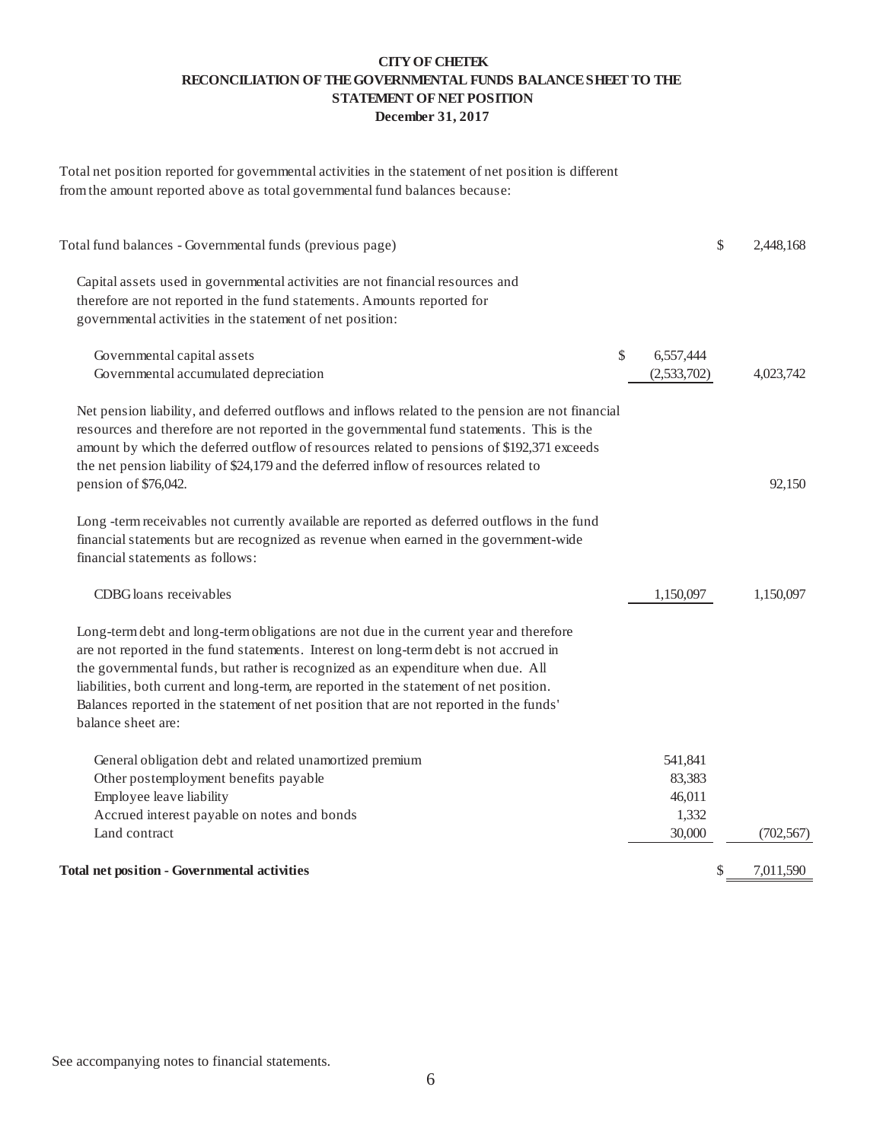#### **CITY OF CHETEK RECONCILIATION OF THE GOVERNMENTAL FUNDS BALANCE SHEET TO THE STATEMENT OF NET POSITION December 31, 2017**

Total net position reported for governmental activities in the statement of net position is different from the amount reported above as total governmental fund balances because:

| Total fund balances - Governmental funds (previous page)                                                                                                                                                                                                                                                                                                                                                                                                                       |                 | \$<br>2,448,168 |
|--------------------------------------------------------------------------------------------------------------------------------------------------------------------------------------------------------------------------------------------------------------------------------------------------------------------------------------------------------------------------------------------------------------------------------------------------------------------------------|-----------------|-----------------|
| Capital assets used in governmental activities are not financial resources and<br>therefore are not reported in the fund statements. Amounts reported for                                                                                                                                                                                                                                                                                                                      |                 |                 |
| governmental activities in the statement of net position:                                                                                                                                                                                                                                                                                                                                                                                                                      |                 |                 |
| Governmental capital assets                                                                                                                                                                                                                                                                                                                                                                                                                                                    | \$<br>6,557,444 |                 |
| Governmental accumulated depreciation                                                                                                                                                                                                                                                                                                                                                                                                                                          | (2,533,702)     | 4,023,742       |
| Net pension liability, and deferred outflows and inflows related to the pension are not financial<br>resources and therefore are not reported in the governmental fund statements. This is the                                                                                                                                                                                                                                                                                 |                 |                 |
| amount by which the deferred outflow of resources related to pensions of \$192,371 exceeds                                                                                                                                                                                                                                                                                                                                                                                     |                 |                 |
| the net pension liability of \$24,179 and the deferred inflow of resources related to<br>pension of \$76,042.                                                                                                                                                                                                                                                                                                                                                                  |                 | 92,150          |
| Long -term receivables not currently available are reported as deferred outflows in the fund<br>financial statements but are recognized as revenue when earned in the government-wide<br>financial statements as follows:                                                                                                                                                                                                                                                      |                 |                 |
| CDBG loans receivables                                                                                                                                                                                                                                                                                                                                                                                                                                                         | 1,150,097       | 1,150,097       |
| Long-term debt and long-term obligations are not due in the current year and therefore<br>are not reported in the fund statements. Interest on long-term debt is not accrued in<br>the governmental funds, but rather is recognized as an expenditure when due. All<br>liabilities, both current and long-term, are reported in the statement of net position.<br>Balances reported in the statement of net position that are not reported in the funds'<br>balance sheet are: |                 |                 |
|                                                                                                                                                                                                                                                                                                                                                                                                                                                                                | 541,841         |                 |
| General obligation debt and related unamortized premium<br>Other postemployment benefits payable                                                                                                                                                                                                                                                                                                                                                                               | 83,383          |                 |
| Employee leave liability                                                                                                                                                                                                                                                                                                                                                                                                                                                       | 46,011          |                 |
| Accrued interest payable on notes and bonds                                                                                                                                                                                                                                                                                                                                                                                                                                    | 1,332           |                 |
| Land contract                                                                                                                                                                                                                                                                                                                                                                                                                                                                  | 30,000          | (702, 567)      |
| <b>Total net position - Governmental activities</b>                                                                                                                                                                                                                                                                                                                                                                                                                            |                 | \$<br>7.011.590 |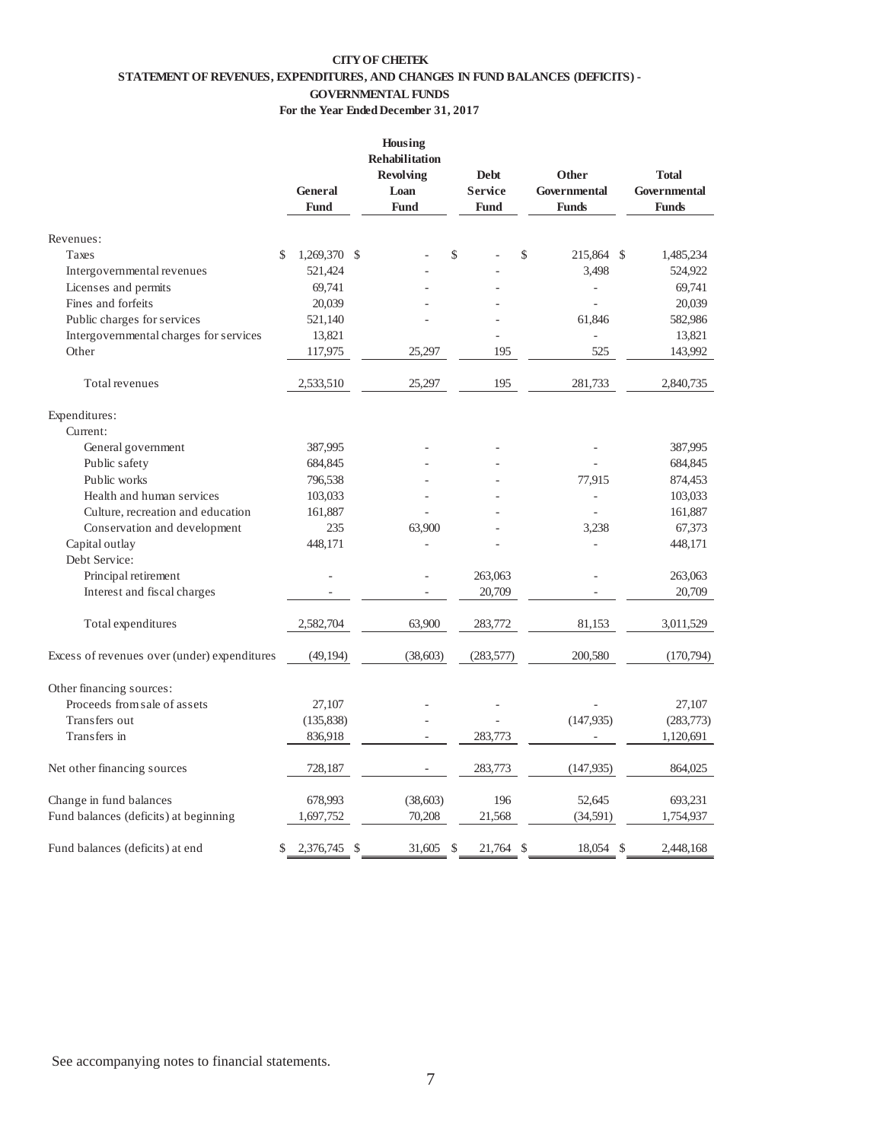#### **CITY OF CHETEK STATEMENT OF REVENUES, EXPENDITURES, AND CHANGES IN FUND BALANCES (DEFICITS) - GOVERNMENTAL FUNDS For the Year Ended December 31, 2017**

|                                              | <b>General</b><br>Fund | Housing<br><b>Rehabilitation</b><br><b>Revolving</b><br>Loan<br><b>Fund</b> | <b>Debt</b><br><b>Service</b><br><b>Fund</b> | Other<br>Governmental<br><b>Funds</b> | <b>Total</b><br>Governmental<br><b>Funds</b> |
|----------------------------------------------|------------------------|-----------------------------------------------------------------------------|----------------------------------------------|---------------------------------------|----------------------------------------------|
| Revenues:                                    |                        |                                                                             |                                              |                                       |                                              |
| Taxes<br>\$                                  | 1,269,370 \$           |                                                                             | \$<br>\$                                     | 215,864 \$                            | 1,485,234                                    |
| Intergovernmental revenues                   | 521,424                |                                                                             |                                              | 3,498                                 | 524,922                                      |
| Licenses and permits                         | 69,741                 |                                                                             |                                              |                                       | 69,741                                       |
| Fines and forfeits                           | 20,039                 |                                                                             |                                              | ä,                                    | 20,039                                       |
| Public charges for services                  | 521,140                |                                                                             |                                              | 61,846                                | 582,986                                      |
| Intergovernmental charges for services       | 13,821                 |                                                                             |                                              |                                       | 13,821                                       |
| Other                                        | 117,975                | 25,297                                                                      | 195                                          | 525                                   | 143,992                                      |
| Total revenues                               | 2,533,510              | 25,297                                                                      | 195                                          | 281,733                               | 2,840,735                                    |
| Expenditures:<br>Current:                    |                        |                                                                             |                                              |                                       |                                              |
| General government                           | 387,995                |                                                                             |                                              | ä,                                    | 387,995                                      |
| Public safety                                | 684,845                |                                                                             |                                              |                                       | 684,845                                      |
| Public works                                 | 796,538                |                                                                             |                                              | 77,915                                | 874,453                                      |
| Health and human services                    | 103,033                |                                                                             |                                              |                                       | 103,033                                      |
| Culture, recreation and education            | 161,887                |                                                                             |                                              |                                       | 161,887                                      |
| Conservation and development                 | 235                    | 63,900                                                                      |                                              | 3,238                                 | 67,373                                       |
| Capital outlay                               | 448,171                |                                                                             |                                              |                                       | 448,171                                      |
| Debt Service:                                |                        |                                                                             |                                              |                                       |                                              |
| Principal retirement                         |                        |                                                                             | 263,063                                      |                                       | 263,063                                      |
| Interest and fiscal charges                  |                        |                                                                             | 20,709                                       | ÷,                                    | 20,709                                       |
| Total expenditures                           | 2,582,704              | 63,900                                                                      | 283,772                                      | 81,153                                | 3,011,529                                    |
| Excess of revenues over (under) expenditures | (49, 194)              | (38,603)                                                                    | (283, 577)                                   | 200,580                               | (170, 794)                                   |
| Other financing sources:                     |                        |                                                                             |                                              |                                       |                                              |
| Proceeds from sale of assets                 | 27,107                 |                                                                             |                                              |                                       | 27,107                                       |
| Transfers out                                | (135, 838)             |                                                                             |                                              | (147, 935)                            | (283,773)                                    |
| Transfers in                                 | 836,918                |                                                                             | 283,773                                      |                                       | 1,120,691                                    |
| Net other financing sources                  | 728,187                |                                                                             | 283,773                                      | (147, 935)                            | 864,025                                      |
| Change in fund balances                      | 678,993                | (38,603)                                                                    | 196                                          | 52,645                                | 693,231                                      |
| Fund balances (deficits) at beginning        | 1,697,752              | 70,208                                                                      | 21,568                                       | (34,591)                              | 1,754,937                                    |
| \$<br>Fund balances (deficits) at end        | 2,376,745 \$           | 31,605                                                                      | $\mathcal{S}$<br>$\mathbb{S}$<br>21,764      | $\mathcal{S}$<br>18,054               | 2,448,168                                    |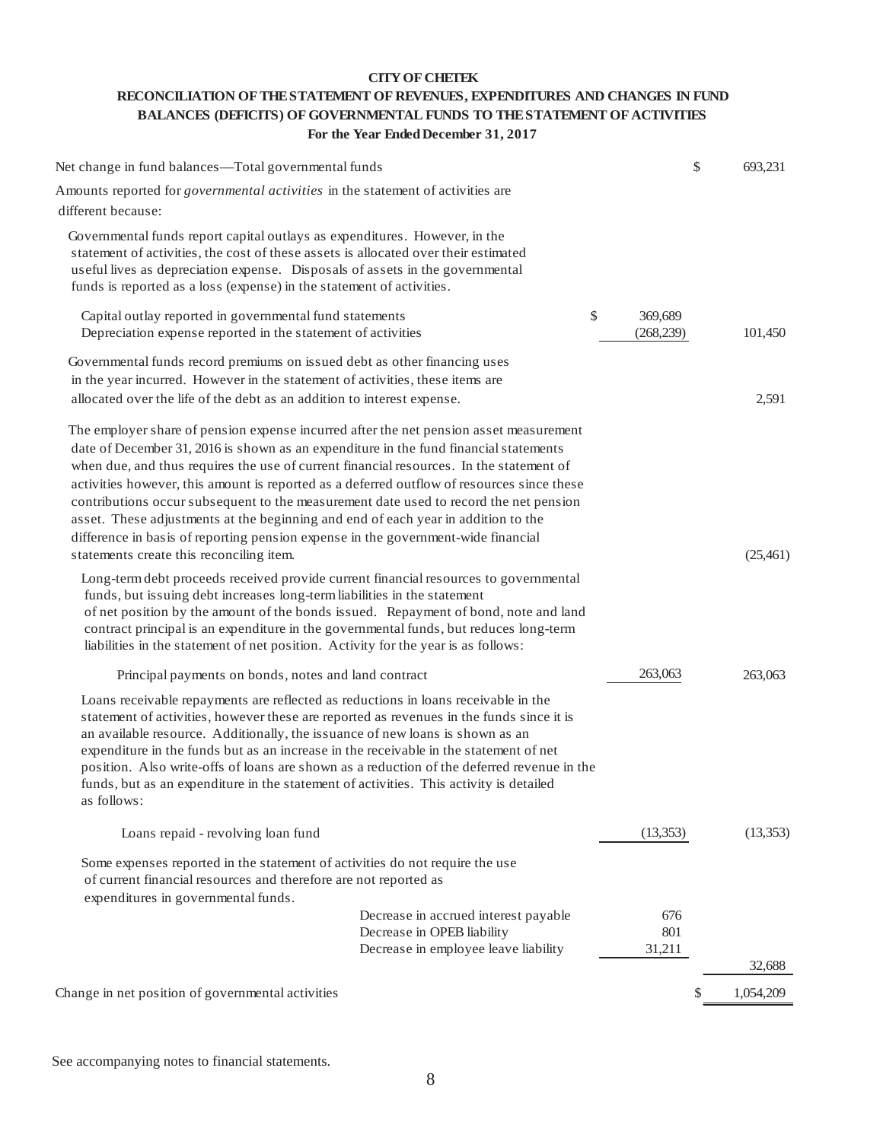### **CITY OF CHETEK RECONCILIATION OF THE STATEMENT OF REVENUES, EXPENDITURES AND CHANGES IN FUND BALANCES (DEFICITS) OF GOVERNMENTAL FUNDS TO THE STATEMENT OF ACTIVITIES For the Year Ended December 31, 2017**

| Net change in fund balances—Total governmental funds                                                                                                                                                                                                                                                                                                                                                                                                                                                                                                                                                                                                                                    |                                                                                                            |                             | \$<br>693,231 |
|-----------------------------------------------------------------------------------------------------------------------------------------------------------------------------------------------------------------------------------------------------------------------------------------------------------------------------------------------------------------------------------------------------------------------------------------------------------------------------------------------------------------------------------------------------------------------------------------------------------------------------------------------------------------------------------------|------------------------------------------------------------------------------------------------------------|-----------------------------|---------------|
| Amounts reported for governmental activities in the statement of activities are<br>different because:                                                                                                                                                                                                                                                                                                                                                                                                                                                                                                                                                                                   |                                                                                                            |                             |               |
| Governmental funds report capital outlays as expenditures. However, in the<br>statement of activities, the cost of these assets is allocated over their estimated<br>useful lives as depreciation expense. Disposals of assets in the governmental<br>funds is reported as a loss (expense) in the statement of activities.                                                                                                                                                                                                                                                                                                                                                             |                                                                                                            |                             |               |
| Capital outlay reported in governmental fund statements<br>Depreciation expense reported in the statement of activities                                                                                                                                                                                                                                                                                                                                                                                                                                                                                                                                                                 |                                                                                                            | \$<br>369,689<br>(268, 239) | 101,450       |
| Governmental funds record premiums on issued debt as other financing uses<br>in the year incurred. However in the statement of activities, these items are<br>allocated over the life of the debt as an addition to interest expense.                                                                                                                                                                                                                                                                                                                                                                                                                                                   |                                                                                                            |                             | 2,591         |
| The employer share of pension expense incurred after the net pension asset measurement<br>date of December 31, 2016 is shown as an expenditure in the fund financial statements<br>when due, and thus requires the use of current financial resources. In the statement of<br>activities however, this amount is reported as a deferred outflow of resources since these<br>contributions occur subsequent to the measurement date used to record the net pension<br>asset. These adjustments at the beginning and end of each year in addition to the<br>difference in basis of reporting pension expense in the government-wide financial<br>statements create this reconciling item. |                                                                                                            |                             | (25, 461)     |
| Long-term debt proceeds received provide current financial resources to governmental<br>funds, but issuing debt increases long-term liabilities in the statement<br>of net position by the amount of the bonds issued. Repayment of bond, note and land<br>contract principal is an expenditure in the governmental funds, but reduces long-term<br>liabilities in the statement of net position. Activity for the year is as follows:                                                                                                                                                                                                                                                  |                                                                                                            |                             |               |
| Principal payments on bonds, notes and land contract                                                                                                                                                                                                                                                                                                                                                                                                                                                                                                                                                                                                                                    |                                                                                                            | 263,063                     | 263,063       |
| Loans receivable repayments are reflected as reductions in loans receivable in the<br>statement of activities, however these are reported as revenues in the funds since it is<br>an available resource. Additionally, the issuance of new loans is shown as an<br>expenditure in the funds but as an increase in the receivable in the statement of net<br>position. Also write-offs of loans are shown as a reduction of the deferred revenue in the<br>funds, but as an expenditure in the statement of activities. This activity is detailed<br>as follows:                                                                                                                         |                                                                                                            |                             |               |
| Loans repaid - revolving loan fund                                                                                                                                                                                                                                                                                                                                                                                                                                                                                                                                                                                                                                                      |                                                                                                            | (13,353)                    | (13,353)      |
| Some expenses reported in the statement of activities do not require the use<br>of current financial resources and therefore are not reported as<br>expenditures in governmental funds.                                                                                                                                                                                                                                                                                                                                                                                                                                                                                                 |                                                                                                            |                             |               |
|                                                                                                                                                                                                                                                                                                                                                                                                                                                                                                                                                                                                                                                                                         | Decrease in accrued interest payable<br>Decrease in OPEB liability<br>Decrease in employee leave liability | 676<br>801<br>31,211        |               |
|                                                                                                                                                                                                                                                                                                                                                                                                                                                                                                                                                                                                                                                                                         |                                                                                                            |                             | 32,688        |
| Change in net position of governmental activities                                                                                                                                                                                                                                                                                                                                                                                                                                                                                                                                                                                                                                       |                                                                                                            |                             | 1,054,209     |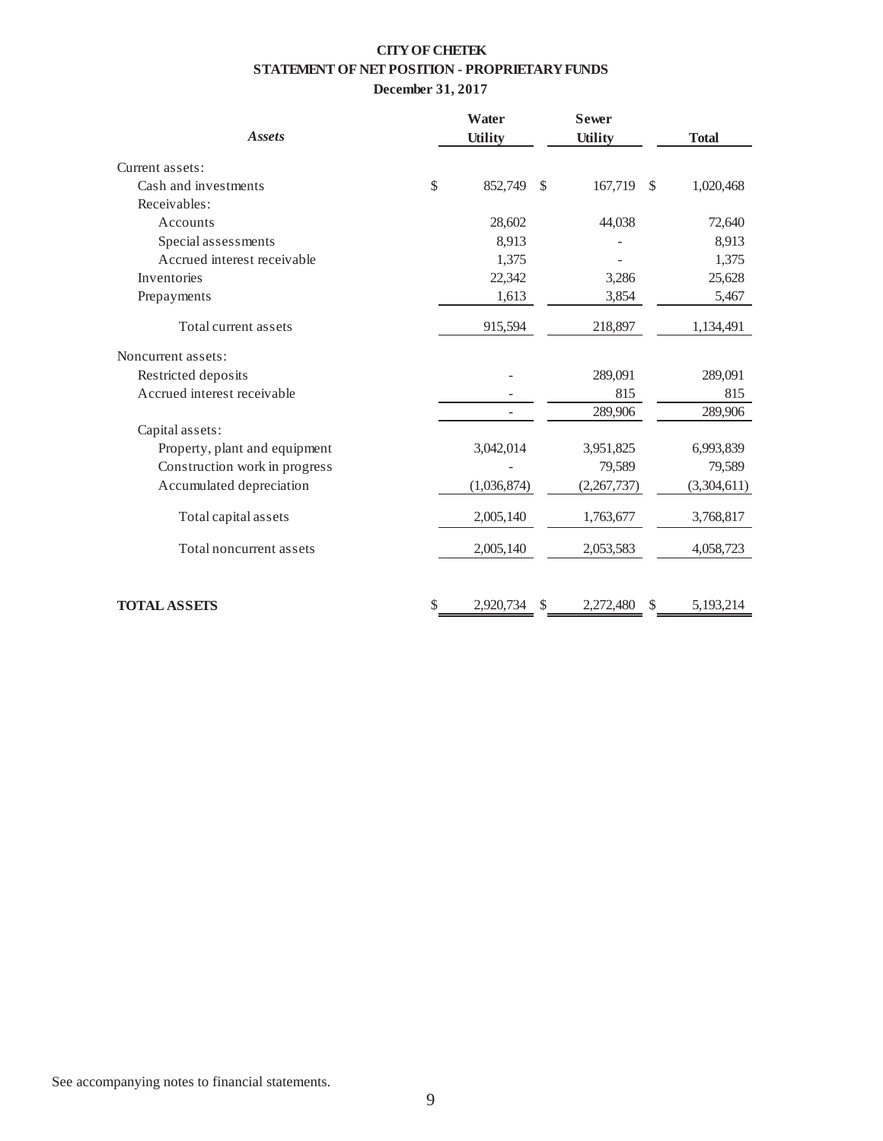### **CITY OF CHETEK STATEMENT OF NET POSITION - PROPRIETARY FUNDS December 31, 2017**

|                               |              | Water          | <b>Sewer</b>                     |              |
|-------------------------------|--------------|----------------|----------------------------------|--------------|
| <b>Assets</b>                 |              | <b>Utility</b> | <b>Utility</b>                   | <b>Total</b> |
| Current assets:               |              |                |                                  |              |
| Cash and investments          | $\mathbb{S}$ | 852,749        | \$<br>167,719<br><sup>\$</sup>   | 1,020,468    |
| Receivables:                  |              |                |                                  |              |
| Accounts                      |              | 28,602         | 44,038                           | 72,640       |
| Special assessments           |              | 8,913          |                                  | 8,913        |
| Accrued interest receivable   |              | 1,375          |                                  | 1,375        |
| Inventories                   |              | 22,342         | 3,286                            | 25,628       |
| Prepayments                   |              | 1,613          | 3,854                            | 5,467        |
| Total current assets          |              | 915,594        | 218,897                          | 1,134,491    |
| Noncurrent assets:            |              |                |                                  |              |
| Restricted deposits           |              |                | 289,091                          | 289,091      |
| Accrued interest receivable   |              |                | 815                              | 815          |
|                               |              |                | 289,906                          | 289,906      |
| Capital assets:               |              |                |                                  |              |
| Property, plant and equipment |              | 3,042,014      | 3,951,825                        | 6,993,839    |
| Construction work in progress |              |                | 79,589                           | 79,589       |
| Accumulated depreciation      |              | (1,036,874)    | (2,267,737)                      | (3,304,611)  |
| Total capital assets          |              | 2,005,140      | 1,763,677                        | 3,768,817    |
| Total noncurrent assets       |              | 2,005,140      | 2,053,583                        | 4,058,723    |
| <b>TOTAL ASSETS</b>           | \$           | 2,920,734      | \$<br>2,272,480<br>$\mathcal{S}$ | 5,193,214    |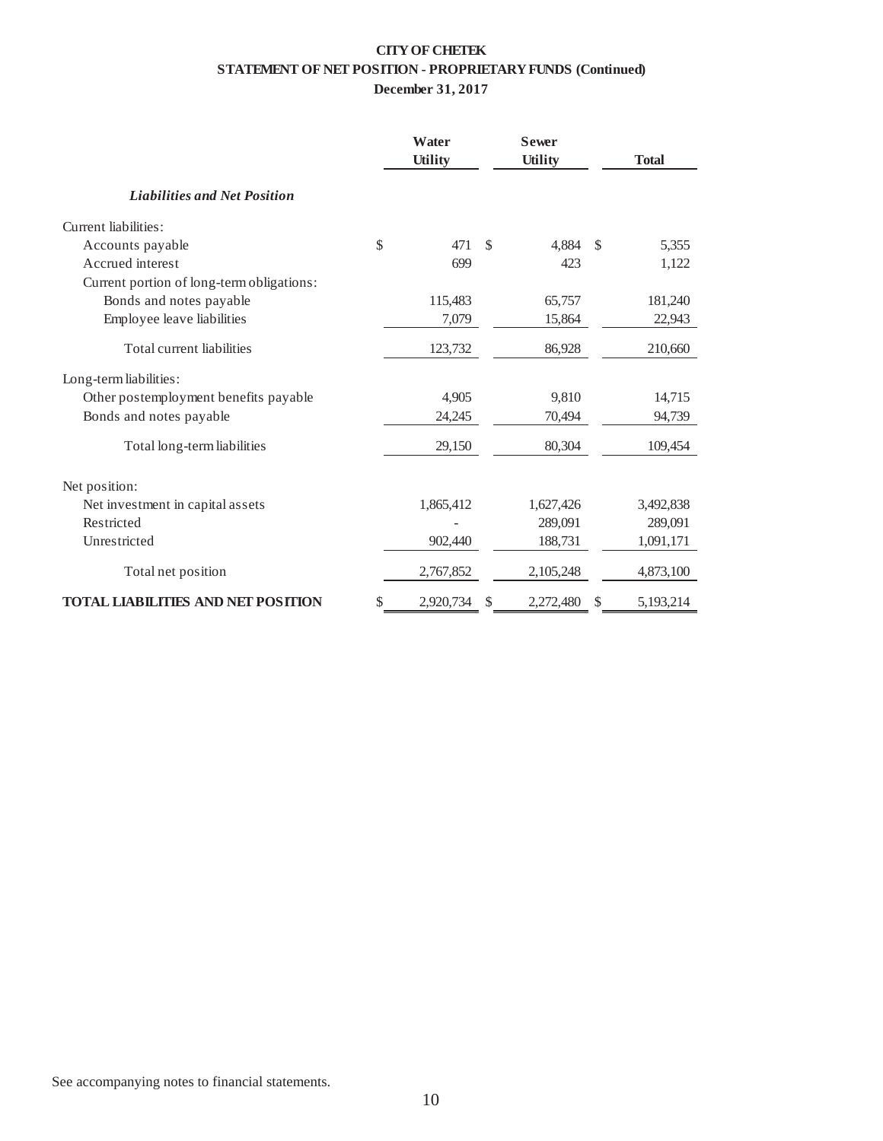### **CITY OF CHETEK STATEMENT OF NET POSITION - PROPRIETARY FUNDS (Continued) December 31, 2017**

|                                           | Water<br><b>Utility</b> |               | <b>Sewer</b><br><b>Utility</b> |   | <b>Total</b> |
|-------------------------------------------|-------------------------|---------------|--------------------------------|---|--------------|
| <b>Liabilities and Net Position</b>       |                         |               |                                |   |              |
| Current liabilities:                      |                         |               |                                |   |              |
| Accounts payable                          | \$<br>471               | $\mathcal{S}$ | 4.884 \$                       |   | 5,355        |
| Accrued interest                          | 699                     |               | 423                            |   | 1,122        |
| Current portion of long-term obligations: |                         |               |                                |   |              |
| Bonds and notes payable                   | 115,483                 |               | 65,757                         |   | 181,240      |
| Employee leave liabilities                | 7,079                   |               | 15,864                         |   | 22,943       |
| Total current liabilities                 | 123,732                 |               | 86,928                         |   | 210,660      |
| Long-term liabilities:                    |                         |               |                                |   |              |
| Other postemployment benefits payable     | 4,905                   |               | 9,810                          |   | 14,715       |
| Bonds and notes payable                   | 24,245                  |               | 70,494                         |   | 94,739       |
| Total long-term liabilities               | 29,150                  |               | 80,304                         |   | 109,454      |
| Net position:                             |                         |               |                                |   |              |
| Net investment in capital assets          | 1,865,412               |               | 1,627,426                      |   | 3,492,838    |
| Restricted                                |                         |               | 289,091                        |   | 289,091      |
| Unrestricted                              | 902,440                 |               | 188,731                        |   | 1,091,171    |
| Total net position                        | 2,767,852               |               | 2,105,248                      |   | 4,873,100    |
| <b>TOTAL LIABILITIES AND NET POSITION</b> | 2,920,734               | \$            | 2,272,480                      | S | 5,193,214    |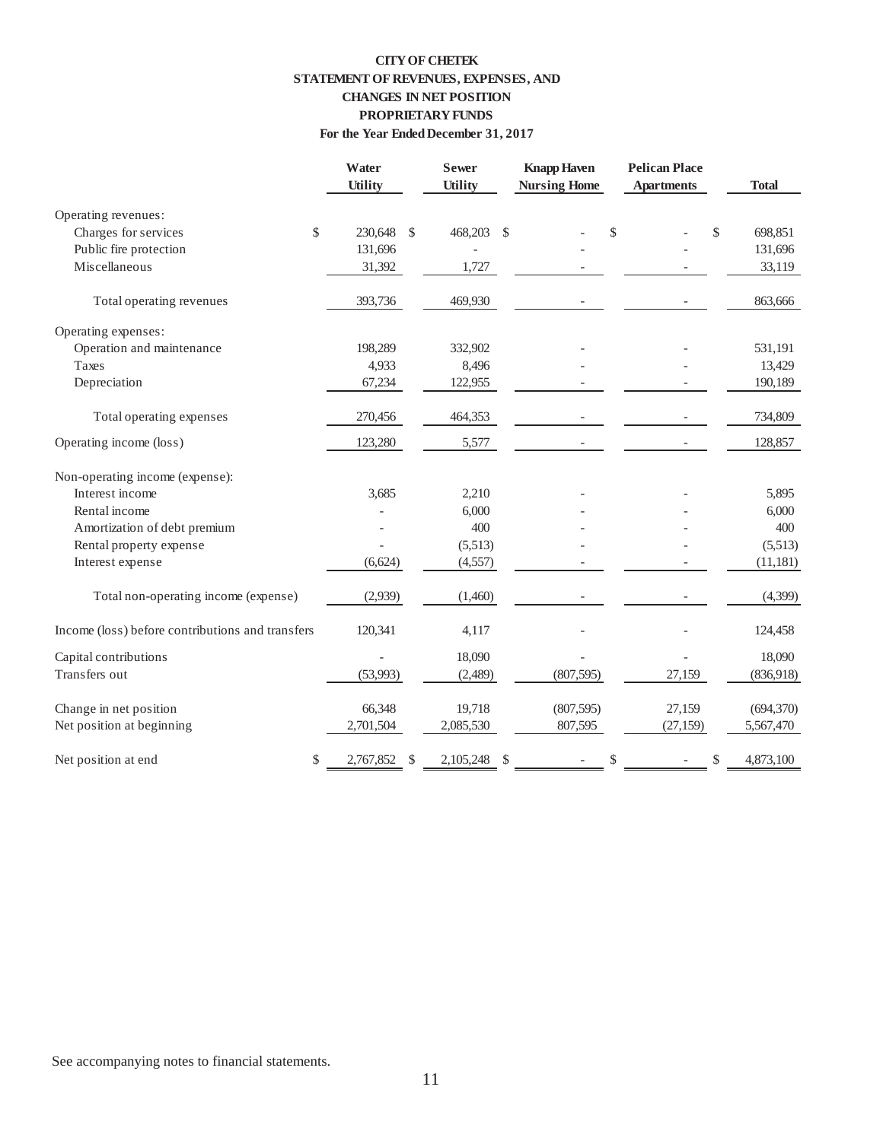### **CITY OF CHETEK STATEMENT OF REVENUES, EXPENSES, AND CHANGES IN NET POSITION PROPRIETARY FUNDS For the Year Ended December 31, 2017**

|                                                  | Water<br><b>Utility</b>   | <b>Sewer</b><br><b>Utility</b> | <b>Knapp Haven</b><br><b>Nursing Home</b> | <b>Pelican Place</b><br><b>Apartments</b> | <b>Total</b> |
|--------------------------------------------------|---------------------------|--------------------------------|-------------------------------------------|-------------------------------------------|--------------|
| Operating revenues:                              |                           |                                |                                           |                                           |              |
| Charges for services<br>\$                       | 230,648<br>$\mathcal{S}$  | 468,203<br>$\mathcal{S}$       | \$                                        | \$                                        | 698,851      |
| Public fire protection                           | 131,696                   |                                |                                           |                                           | 131,696      |
| Miscellaneous                                    | 31,392                    | 1,727                          |                                           |                                           | 33,119       |
| Total operating revenues                         | 393,736                   | 469,930                        |                                           |                                           | 863,666      |
| Operating expenses:                              |                           |                                |                                           |                                           |              |
| Operation and maintenance                        | 198,289                   | 332,902                        |                                           |                                           | 531,191      |
| Taxes                                            | 4,933                     | 8,496                          |                                           |                                           | 13,429       |
| Depreciation                                     | 67,234                    | 122,955                        |                                           |                                           | 190,189      |
| Total operating expenses                         | 270,456                   | 464,353                        |                                           |                                           | 734,809      |
| Operating income (loss)                          | 123,280                   | 5,577                          |                                           |                                           | 128,857      |
| Non-operating income (expense):                  |                           |                                |                                           |                                           |              |
| Interest income                                  | 3,685                     | 2,210                          |                                           |                                           | 5,895        |
| Rental income                                    |                           | 6,000                          |                                           |                                           | 6,000        |
| Amortization of debt premium                     |                           | 400                            |                                           |                                           | 400          |
| Rental property expense                          |                           | (5,513)                        |                                           |                                           | (5,513)      |
| Interest expense                                 | (6, 624)                  | (4, 557)                       |                                           |                                           | (11, 181)    |
| Total non-operating income (expense)             | (2,939)                   | (1,460)                        |                                           |                                           | (4,399)      |
| Income (loss) before contributions and transfers | 120,341                   | 4,117                          |                                           |                                           | 124,458      |
| Capital contributions                            |                           | 18,090                         |                                           |                                           | 18,090       |
| Transfers out                                    | (53,993)                  | (2,489)                        | (807, 595)                                | 27,159                                    | (836,918)    |
| Change in net position                           | 66,348                    | 19,718                         | (807, 595)                                | 27,159                                    | (694, 370)   |
| Net position at beginning                        | 2,701,504                 | 2,085,530                      | 807,595                                   | (27, 159)                                 | 5,567,470    |
| \$<br>Net position at end                        | 2,767,852<br>$\mathbb{S}$ | 2,105,248 \$                   | \$                                        | \$                                        | 4,873,100    |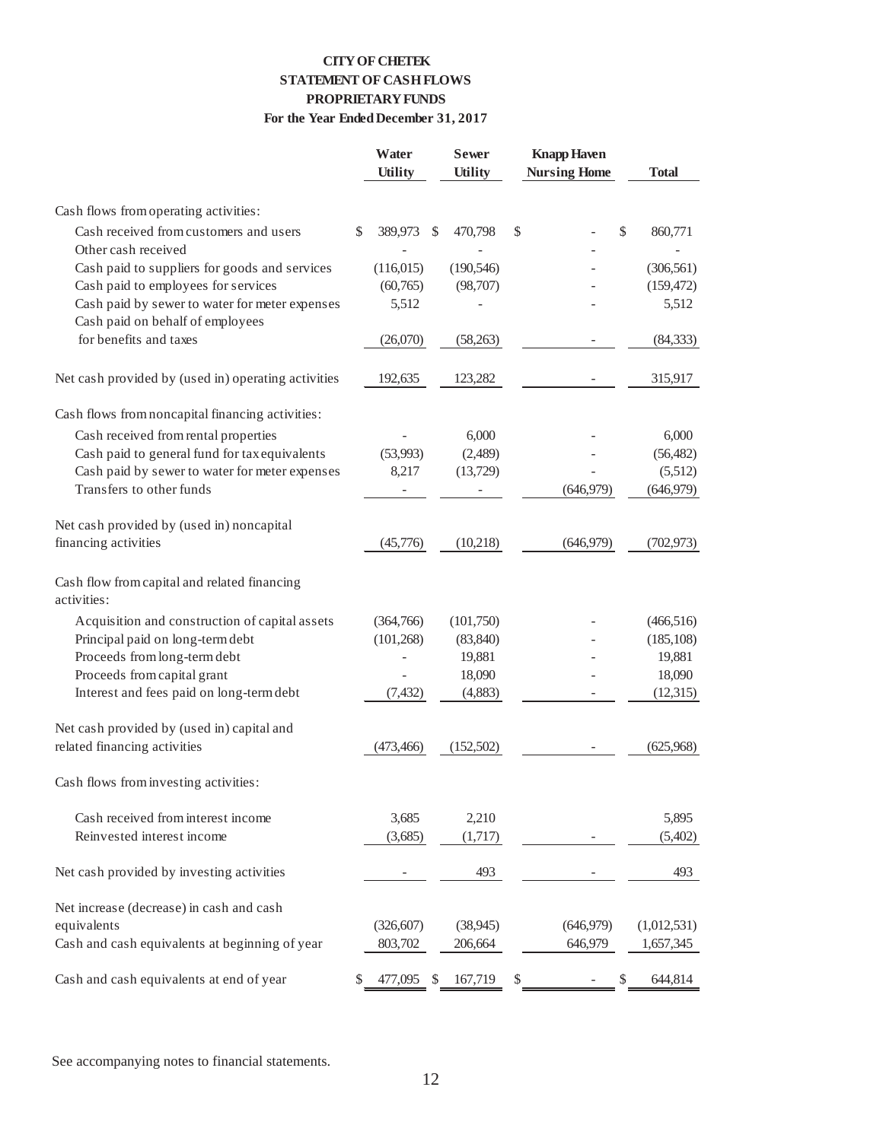# **CITY OF CHETEK STATEMENT OF CASH FLOWS PROPRIETARY FUNDS**

### **For the Year Ended December 31, 2017**

|                                                                                    | Water<br><b>Utility</b> |               | <b>Sewer</b><br><b>Utility</b> | <b>Knapp Haven</b><br><b>Nursing Home</b> | <b>Total</b> |
|------------------------------------------------------------------------------------|-------------------------|---------------|--------------------------------|-------------------------------------------|--------------|
| Cash flows from operating activities:                                              |                         |               |                                |                                           |              |
| Cash received from customers and users<br>Other cash received                      | \$<br>389,973           | <sup>\$</sup> | 470,798                        | \$<br>\$                                  | 860,771      |
| Cash paid to suppliers for goods and services                                      | (116,015)               |               | (190, 546)                     |                                           | (306, 561)   |
| Cash paid to employees for services                                                | (60, 765)               |               | (98,707)                       |                                           | (159, 472)   |
| Cash paid by sewer to water for meter expenses<br>Cash paid on behalf of employees | 5,512                   |               |                                |                                           | 5,512        |
| for benefits and taxes                                                             | (26,070)                |               | (58,263)                       |                                           | (84, 333)    |
| Net cash provided by (used in) operating activities                                | 192,635                 |               | 123,282                        |                                           | 315,917      |
| Cash flows from noncapital financing activities:                                   |                         |               |                                |                                           |              |
| Cash received from rental properties                                               |                         |               | 6,000                          |                                           | 6,000        |
| Cash paid to general fund for tax equivalents                                      | (53,993)                |               | (2,489)                        |                                           | (56, 482)    |
| Cash paid by sewer to water for meter expenses                                     | 8,217                   |               | (13,729)                       |                                           | (5,512)      |
| Transfers to other funds                                                           |                         |               |                                | (646, 979)                                | (646, 979)   |
| Net cash provided by (used in) noncapital                                          |                         |               |                                |                                           |              |
| financing activities                                                               | (45,776)                |               | (10,218)                       | (646,979)                                 | (702, 973)   |
| Cash flow from capital and related financing<br>activities:                        |                         |               |                                |                                           |              |
| Acquisition and construction of capital assets                                     | (364,766)               |               | (101,750)                      |                                           | (466, 516)   |
| Principal paid on long-term debt                                                   | (101, 268)              |               | (83, 840)                      |                                           | (185, 108)   |
| Proceeds from long-term debt                                                       |                         |               | 19,881                         |                                           | 19,881       |
| Proceeds from capital grant                                                        |                         |               | 18,090                         |                                           | 18,090       |
| Interest and fees paid on long-term debt                                           | (7, 432)                |               | (4,883)                        |                                           | (12, 315)    |
| Net cash provided by (used in) capital and                                         |                         |               |                                |                                           |              |
| related financing activities                                                       | (473, 466)              |               | (152,502)                      |                                           | (625,968)    |
| Cash flows from investing activities:                                              |                         |               |                                |                                           |              |
| Cash received from interest income                                                 | 3,685                   |               | 2,210                          |                                           | 5,895        |
| Reinvested interest income                                                         | (3,685)                 |               | (1,717)                        |                                           | (5,402)      |
| Net cash provided by investing activities                                          |                         |               | 493                            |                                           | 493          |
| Net increase (decrease) in cash and cash                                           |                         |               |                                |                                           |              |
| equivalents                                                                        | (326, 607)              |               | (38, 945)                      | (646,979)                                 | (1,012,531)  |
| Cash and cash equivalents at beginning of year                                     | 803,702                 |               | 206,664                        | 646,979                                   | 1,657,345    |
| Cash and cash equivalents at end of year                                           |                         |               | 477,095 \$ 167,719             | \$<br>\$                                  | 644,814      |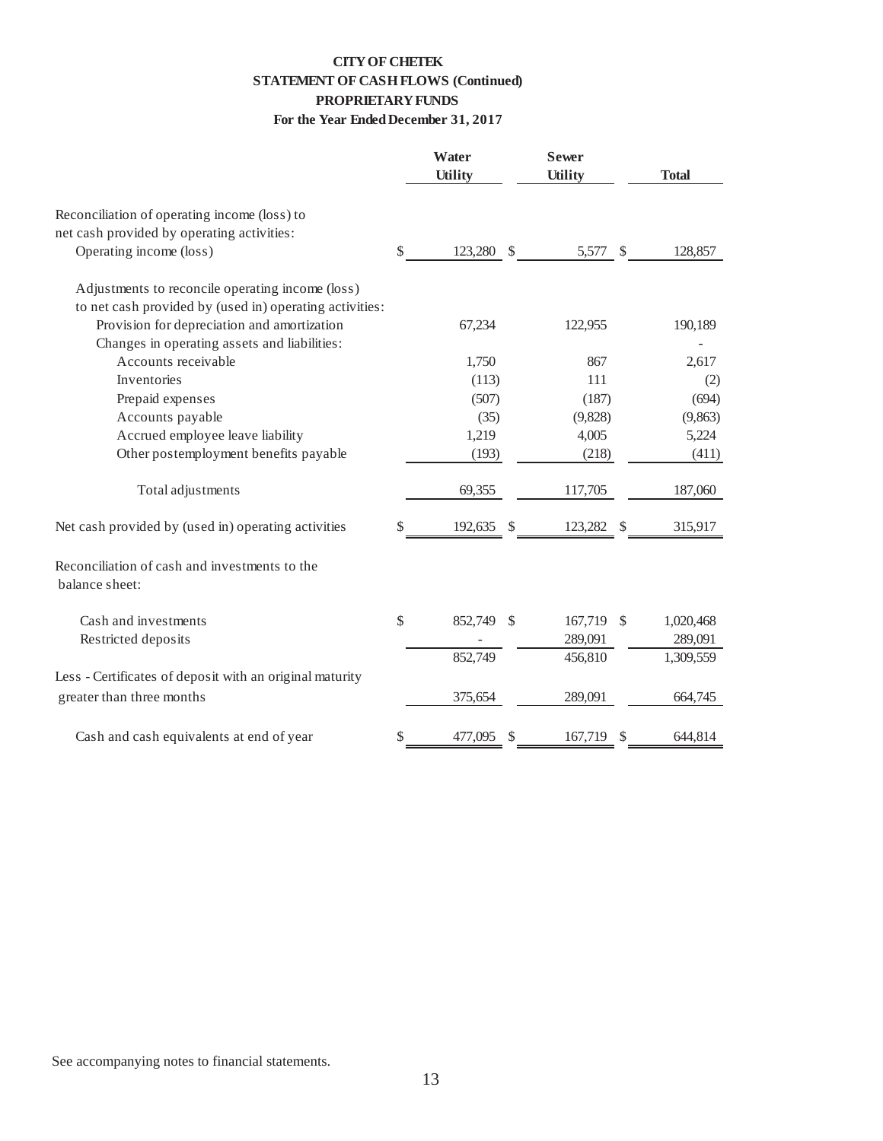# **CITY OF CHETEK STATEMENT OF CASH FLOWS (Continued) PROPRIETARY FUNDS**

### **For the Year Ended December 31, 2017**

|                                                                 | Water<br><b>Utility</b> |               | <b>Sewer</b><br><b>Utility</b> |               | <b>Total</b> |
|-----------------------------------------------------------------|-------------------------|---------------|--------------------------------|---------------|--------------|
| Reconciliation of operating income (loss) to                    |                         |               |                                |               |              |
| net cash provided by operating activities:                      |                         |               |                                |               |              |
| Operating income (loss)                                         | \$<br>123,280           | $\mathcal{S}$ | 5,577                          | $\mathbb{S}$  | 128,857      |
| Adjustments to reconcile operating income (loss)                |                         |               |                                |               |              |
| to net cash provided by (used in) operating activities:         |                         |               |                                |               |              |
| Provision for depreciation and amortization                     | 67,234                  |               | 122,955                        |               | 190,189      |
| Changes in operating assets and liabilities:                    |                         |               |                                |               |              |
| Accounts receivable                                             | 1,750                   |               | 867                            |               | 2,617        |
| Inventories                                                     | (113)                   |               | 111                            |               | (2)          |
| Prepaid expenses                                                | (507)                   |               | (187)                          |               | (694)        |
| Accounts payable                                                | (35)                    |               | (9,828)                        |               | (9,863)      |
| Accrued employee leave liability                                | 1,219                   |               | 4,005                          |               | 5,224        |
| Other postemployment benefits payable                           | (193)                   |               | (218)                          |               | (411)        |
| Total adjustments                                               | 69,355                  |               | 117,705                        |               | 187,060      |
| Net cash provided by (used in) operating activities             | \$<br>192,635           |               | 123,282                        |               | 315,917      |
| Reconciliation of cash and investments to the<br>balance sheet: |                         |               |                                |               |              |
| Cash and investments                                            | \$<br>852,749           | S             | 167,719                        | <sup>\$</sup> | 1,020,468    |
| Restricted deposits                                             |                         |               | 289,091                        |               | 289,091      |
|                                                                 | 852,749                 |               | 456,810                        |               | 1,309,559    |
| Less - Certificates of deposit with an original maturity        |                         |               |                                |               |              |
| greater than three months                                       | 375,654                 |               | 289,091                        |               | 664,745      |
| Cash and cash equivalents at end of year                        | \$<br>477,095           |               | 167,719                        | S             | 644,814      |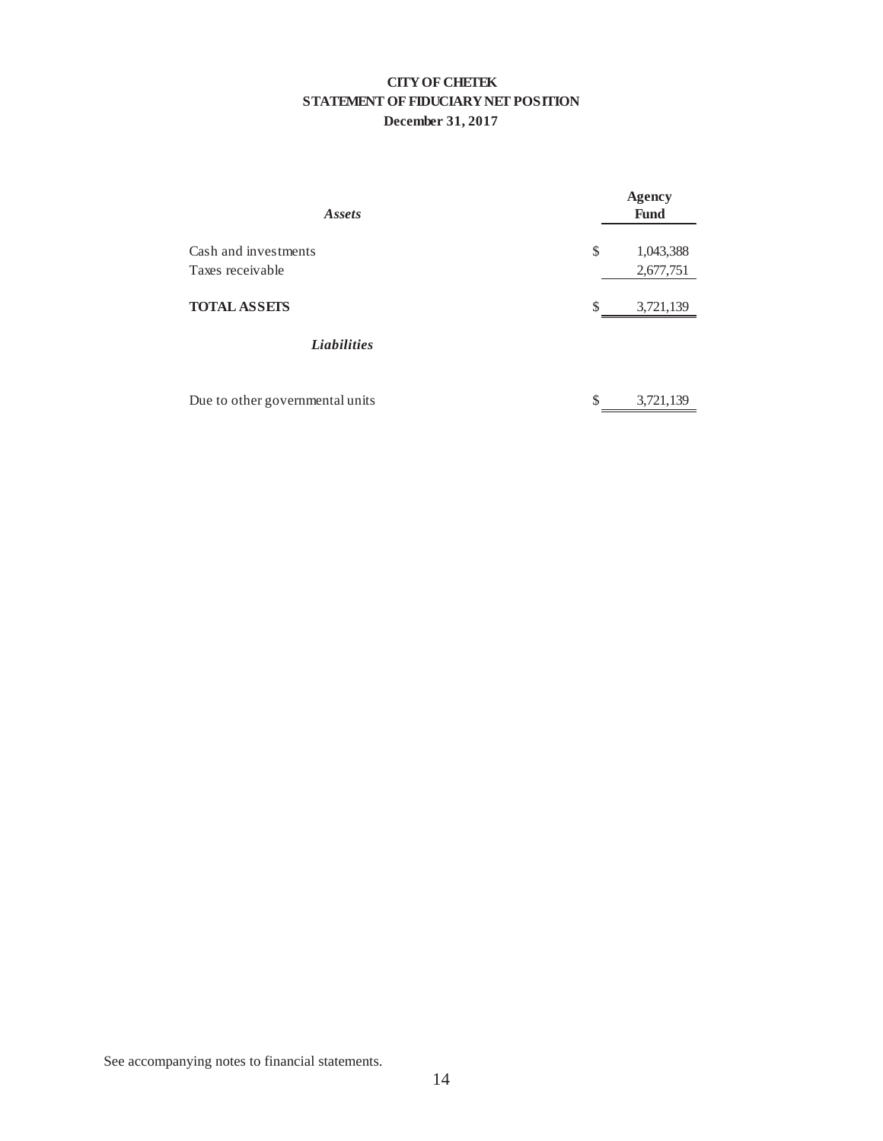### **CITY OF CHETEK STATEMENT OF FIDUCIARY NET POSITION December 31, 2017**

| <b>Assets</b>                            | <b>Agency</b><br><b>Fund</b> |
|------------------------------------------|------------------------------|
| Cash and investments<br>Taxes receivable | \$<br>1,043,388<br>2,677,751 |
| <b>TOTAL ASSETS</b>                      | \$<br>3,721,139              |
| <b>Liabilities</b>                       |                              |
| Due to other governmental units          | \$<br>3,721,139              |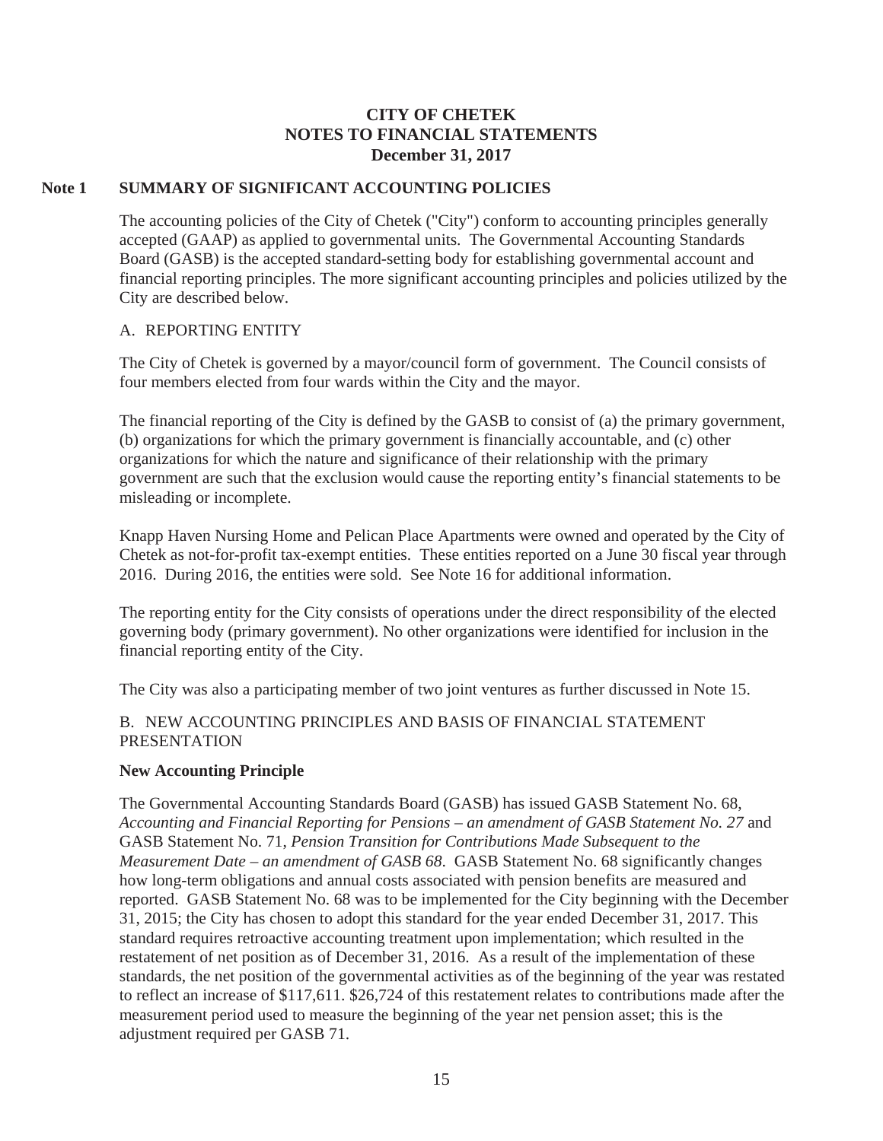### **Note 1 SUMMARY OF SIGNIFICANT ACCOUNTING POLICIES**

The accounting policies of the City of Chetek ("City") conform to accounting principles generally accepted (GAAP) as applied to governmental units. The Governmental Accounting Standards Board (GASB) is the accepted standard-setting body for establishing governmental account and financial reporting principles. The more significant accounting principles and policies utilized by the City are described below.

### A. REPORTING ENTITY

The City of Chetek is governed by a mayor/council form of government. The Council consists of four members elected from four wards within the City and the mayor.

The financial reporting of the City is defined by the GASB to consist of (a) the primary government, (b) organizations for which the primary government is financially accountable, and (c) other organizations for which the nature and significance of their relationship with the primary government are such that the exclusion would cause the reporting entity's financial statements to be misleading or incomplete.

Knapp Haven Nursing Home and Pelican Place Apartments were owned and operated by the City of Chetek as not-for-profit tax-exempt entities. These entities reported on a June 30 fiscal year through 2016. During 2016, the entities were sold. See Note 16 for additional information.

The reporting entity for the City consists of operations under the direct responsibility of the elected governing body (primary government). No other organizations were identified for inclusion in the financial reporting entity of the City.

The City was also a participating member of two joint ventures as further discussed in Note 15.

# B. NEW ACCOUNTING PRINCIPLES AND BASIS OF FINANCIAL STATEMENT PRESENTATION

### **New Accounting Principle**

The Governmental Accounting Standards Board (GASB) has issued GASB Statement No. 68, Accounting and Financial Reporting for Pensions – an amendment of GASB Statement No. 27 and GASB Statement No. 71, *Pension Transition for Contributions Made Subsequent to the Measurement Date – an amendment of GASB 68*. GASB Statement No. 68 significantly changes how long-term obligations and annual costs associated with pension benefits are measured and reported. GASB Statement No. 68 was to be implemented for the City beginning with the December 31, 2015; the City has chosen to adopt this standard for the year ended December 31, 2017. This standard requires retroactive accounting treatment upon implementation; which resulted in the restatement of net position as of December 31, 2016. As a result of the implementation of these standards, the net position of the governmental activities as of the beginning of the year was restated to reflect an increase of \$117,611. \$26,724 of this restatement relates to contributions made after the measurement period used to measure the beginning of the year net pension asset; this is the adjustment required per GASB 71.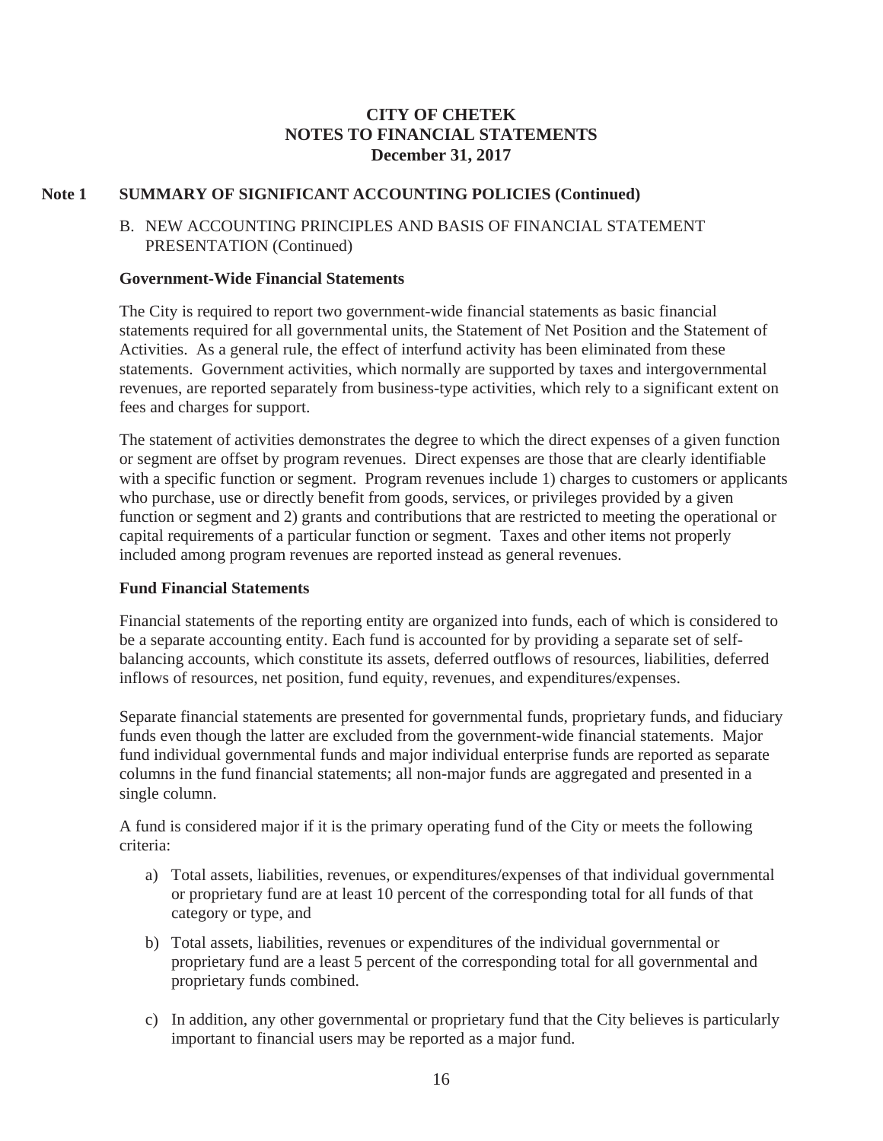### **Note 1 SUMMARY OF SIGNIFICANT ACCOUNTING POLICIES (Continued)**

### B. NEW ACCOUNTING PRINCIPLES AND BASIS OF FINANCIAL STATEMENT PRESENTATION (Continued)

### **Government-Wide Financial Statements**

The City is required to report two government-wide financial statements as basic financial statements required for all governmental units, the Statement of Net Position and the Statement of Activities. As a general rule, the effect of interfund activity has been eliminated from these statements. Government activities, which normally are supported by taxes and intergovernmental revenues, are reported separately from business-type activities, which rely to a significant extent on fees and charges for support.

The statement of activities demonstrates the degree to which the direct expenses of a given function or segment are offset by program revenues. Direct expenses are those that are clearly identifiable with a specific function or segment. Program revenues include 1) charges to customers or applicants who purchase, use or directly benefit from goods, services, or privileges provided by a given function or segment and 2) grants and contributions that are restricted to meeting the operational or capital requirements of a particular function or segment. Taxes and other items not properly included among program revenues are reported instead as general revenues.

### **Fund Financial Statements**

Financial statements of the reporting entity are organized into funds, each of which is considered to be a separate accounting entity. Each fund is accounted for by providing a separate set of selfbalancing accounts, which constitute its assets, deferred outflows of resources, liabilities, deferred inflows of resources, net position, fund equity, revenues, and expenditures/expenses.

Separate financial statements are presented for governmental funds, proprietary funds, and fiduciary funds even though the latter are excluded from the government-wide financial statements. Major fund individual governmental funds and major individual enterprise funds are reported as separate columns in the fund financial statements; all non-major funds are aggregated and presented in a single column.

A fund is considered major if it is the primary operating fund of the City or meets the following criteria:

- a) Total assets, liabilities, revenues, or expenditures/expenses of that individual governmental or proprietary fund are at least 10 percent of the corresponding total for all funds of that category or type, and
- b) Total assets, liabilities, revenues or expenditures of the individual governmental or proprietary fund are a least 5 percent of the corresponding total for all governmental and proprietary funds combined.
- c) In addition, any other governmental or proprietary fund that the City believes is particularly important to financial users may be reported as a major fund.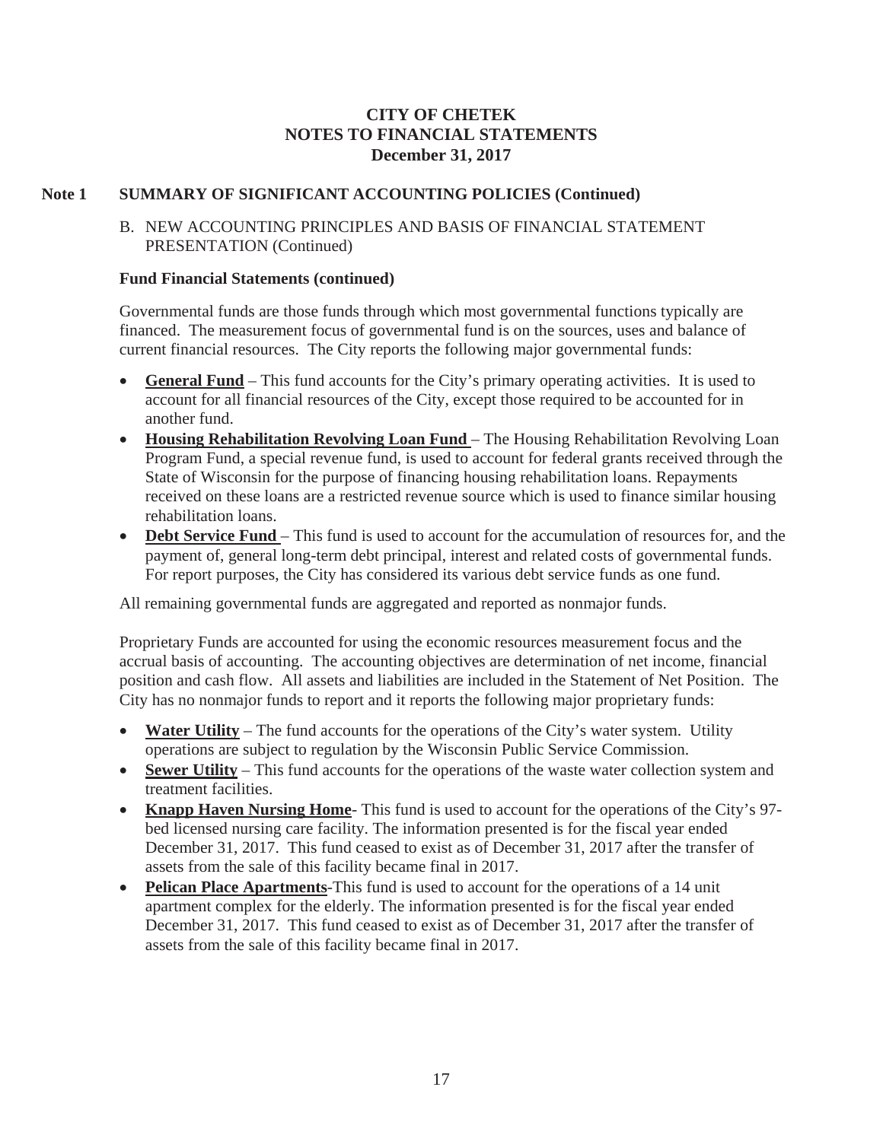# **Note 1 SUMMARY OF SIGNIFICANT ACCOUNTING POLICIES (Continued)**

 B. NEW ACCOUNTING PRINCIPLES AND BASIS OF FINANCIAL STATEMENT PRESENTATION (Continued)

### **Fund Financial Statements (continued)**

Governmental funds are those funds through which most governmental functions typically are financed. The measurement focus of governmental fund is on the sources, uses and balance of current financial resources. The City reports the following major governmental funds:

- General Fund This fund accounts for the City's primary operating activities. It is used to account for all financial resources of the City, except those required to be accounted for in another fund.
- **Housing Rehabilitation Revolving Loan Fund The Housing Rehabilitation Revolving Loan** Program Fund, a special revenue fund, is used to account for federal grants received through the State of Wisconsin for the purpose of financing housing rehabilitation loans. Repayments received on these loans are a restricted revenue source which is used to finance similar housing rehabilitation loans.
- **Debt Service Fund** This fund is used to account for the accumulation of resources for, and the payment of, general long-term debt principal, interest and related costs of governmental funds. For report purposes, the City has considered its various debt service funds as one fund.

All remaining governmental funds are aggregated and reported as nonmajor funds.

Proprietary Funds are accounted for using the economic resources measurement focus and the accrual basis of accounting. The accounting objectives are determination of net income, financial position and cash flow. All assets and liabilities are included in the Statement of Net Position. The City has no nonmajor funds to report and it reports the following major proprietary funds:

- Water Utility The fund accounts for the operations of the City's water system. Utility operations are subject to regulation by the Wisconsin Public Service Commission.
- **Sewer Utility** This fund accounts for the operations of the waste water collection system and treatment facilities.
- Knapp Haven Nursing Home- This fund is used to account for the operations of the City's 97bed licensed nursing care facility. The information presented is for the fiscal year ended December 31, 2017. This fund ceased to exist as of December 31, 2017 after the transfer of assets from the sale of this facility became final in 2017.
- Pelican Place Apartments-This fund is used to account for the operations of a 14 unit apartment complex for the elderly. The information presented is for the fiscal year ended December 31, 2017. This fund ceased to exist as of December 31, 2017 after the transfer of assets from the sale of this facility became final in 2017.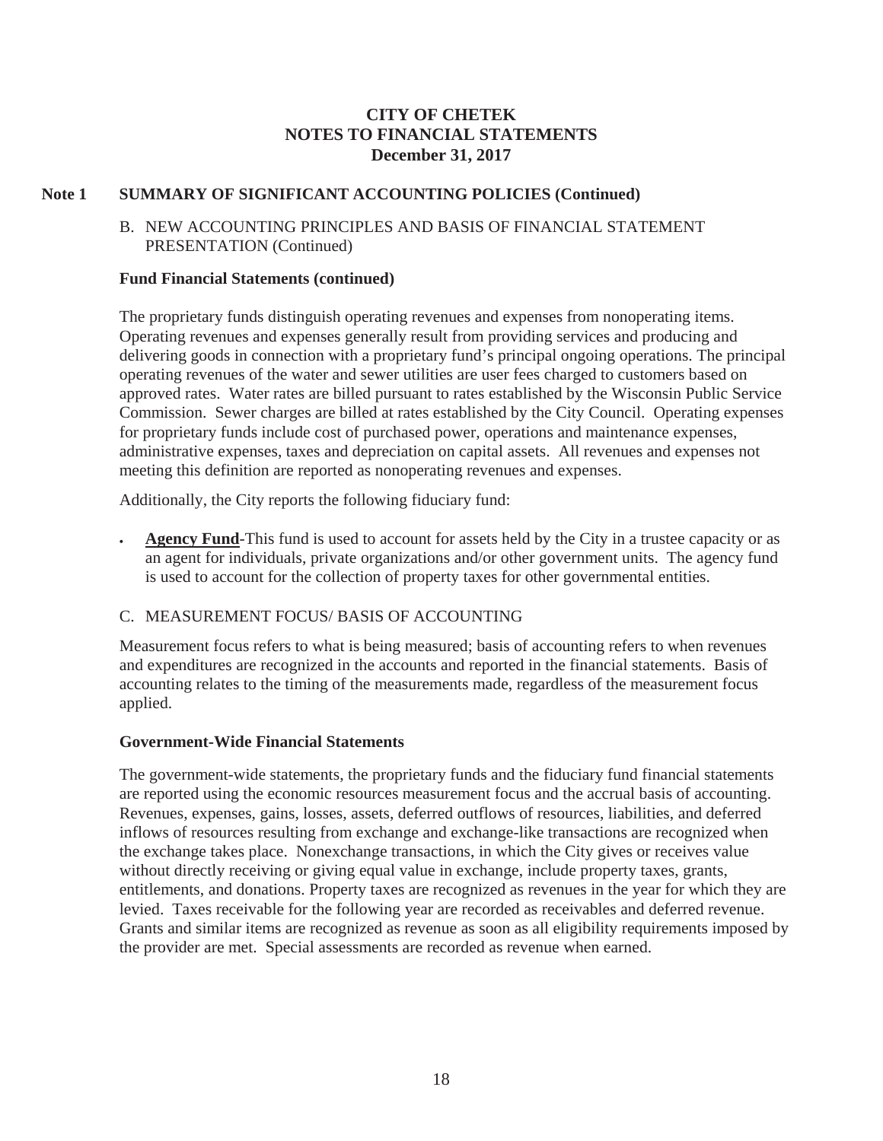### **Note 1 SUMMARY OF SIGNIFICANT ACCOUNTING POLICIES (Continued)**

### B. NEW ACCOUNTING PRINCIPLES AND BASIS OF FINANCIAL STATEMENT PRESENTATION (Continued)

### **Fund Financial Statements (continued)**

The proprietary funds distinguish operating revenues and expenses from nonoperating items. Operating revenues and expenses generally result from providing services and producing and delivering goods in connection with a proprietary fund's principal ongoing operations. The principal operating revenues of the water and sewer utilities are user fees charged to customers based on approved rates. Water rates are billed pursuant to rates established by the Wisconsin Public Service Commission. Sewer charges are billed at rates established by the City Council. Operating expenses for proprietary funds include cost of purchased power, operations and maintenance expenses, administrative expenses, taxes and depreciation on capital assets. All revenues and expenses not meeting this definition are reported as nonoperating revenues and expenses.

Additionally, the City reports the following fiduciary fund:

**Agency Fund**-This fund is used to account for assets held by the City in a trustee capacity or as an agent for individuals, private organizations and/or other government units. The agency fund is used to account for the collection of property taxes for other governmental entities.

### C. MEASUREMENT FOCUS/ BASIS OF ACCOUNTING

Measurement focus refers to what is being measured; basis of accounting refers to when revenues and expenditures are recognized in the accounts and reported in the financial statements. Basis of accounting relates to the timing of the measurements made, regardless of the measurement focus applied.

### **Government-Wide Financial Statements**

The government-wide statements, the proprietary funds and the fiduciary fund financial statements are reported using the economic resources measurement focus and the accrual basis of accounting. Revenues, expenses, gains, losses, assets, deferred outflows of resources, liabilities, and deferred inflows of resources resulting from exchange and exchange-like transactions are recognized when the exchange takes place. Nonexchange transactions, in which the City gives or receives value without directly receiving or giving equal value in exchange, include property taxes, grants, entitlements, and donations. Property taxes are recognized as revenues in the year for which they are levied. Taxes receivable for the following year are recorded as receivables and deferred revenue. Grants and similar items are recognized as revenue as soon as all eligibility requirements imposed by the provider are met. Special assessments are recorded as revenue when earned.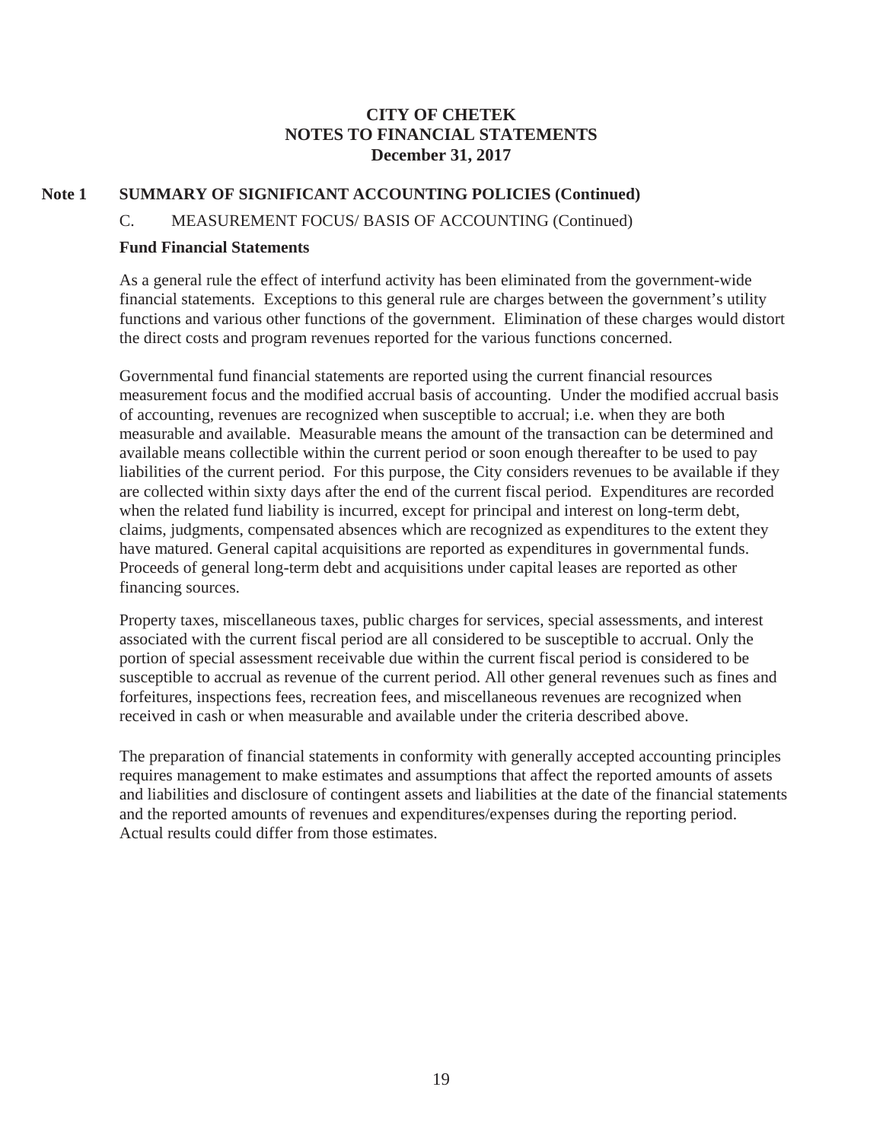### **Note 1 SUMMARY OF SIGNIFICANT ACCOUNTING POLICIES (Continued)**

C. MEASUREMENT FOCUS/ BASIS OF ACCOUNTING (Continued)

#### **Fund Financial Statements**

As a general rule the effect of interfund activity has been eliminated from the government-wide financial statements. Exceptions to this general rule are charges between the government's utility functions and various other functions of the government. Elimination of these charges would distort the direct costs and program revenues reported for the various functions concerned.

Governmental fund financial statements are reported using the current financial resources measurement focus and the modified accrual basis of accounting. Under the modified accrual basis of accounting, revenues are recognized when susceptible to accrual; i.e. when they are both measurable and available. Measurable means the amount of the transaction can be determined and available means collectible within the current period or soon enough thereafter to be used to pay liabilities of the current period. For this purpose, the City considers revenues to be available if they are collected within sixty days after the end of the current fiscal period. Expenditures are recorded when the related fund liability is incurred, except for principal and interest on long-term debt, claims, judgments, compensated absences which are recognized as expenditures to the extent they have matured. General capital acquisitions are reported as expenditures in governmental funds. Proceeds of general long-term debt and acquisitions under capital leases are reported as other financing sources.

Property taxes, miscellaneous taxes, public charges for services, special assessments, and interest associated with the current fiscal period are all considered to be susceptible to accrual. Only the portion of special assessment receivable due within the current fiscal period is considered to be susceptible to accrual as revenue of the current period. All other general revenues such as fines and forfeitures, inspections fees, recreation fees, and miscellaneous revenues are recognized when received in cash or when measurable and available under the criteria described above.

The preparation of financial statements in conformity with generally accepted accounting principles requires management to make estimates and assumptions that affect the reported amounts of assets and liabilities and disclosure of contingent assets and liabilities at the date of the financial statements and the reported amounts of revenues and expenditures/expenses during the reporting period. Actual results could differ from those estimates.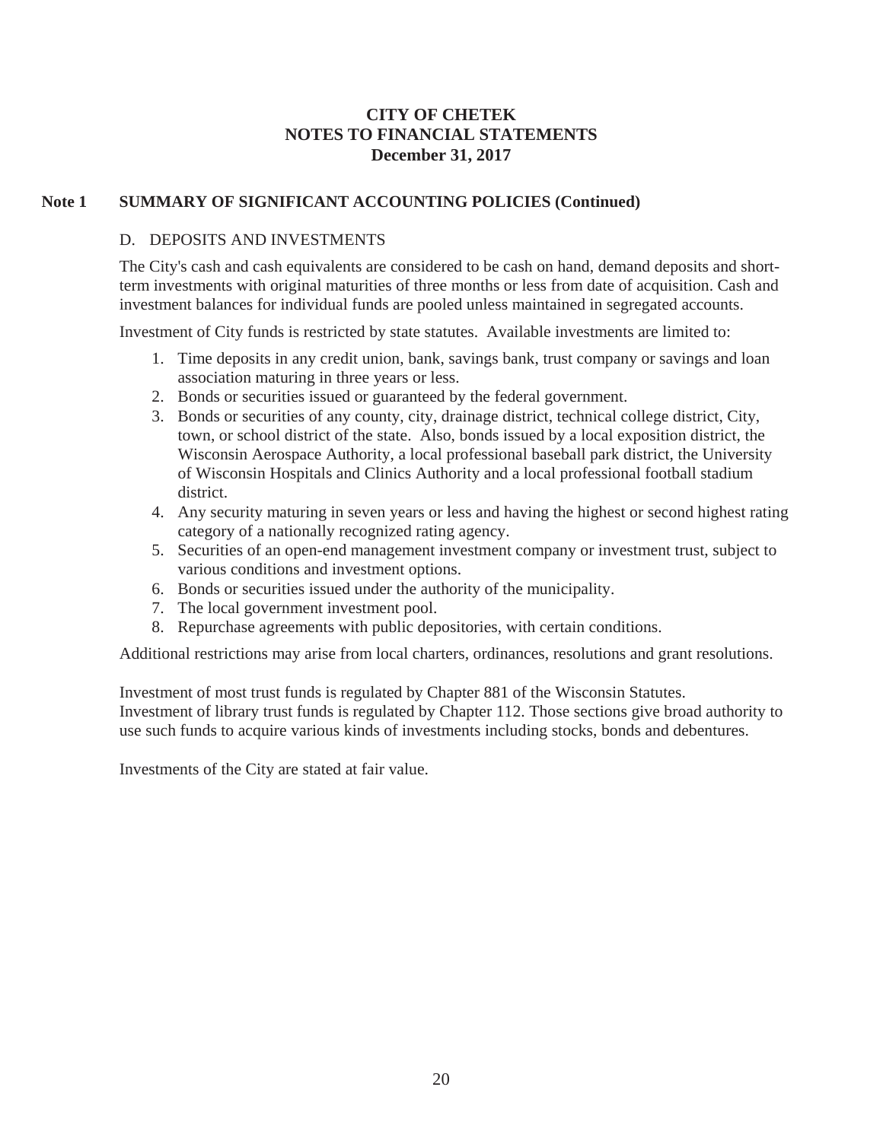### **Note 1 SUMMARY OF SIGNIFICANT ACCOUNTING POLICIES (Continued)**

### D. DEPOSITS AND INVESTMENTS

The City's cash and cash equivalents are considered to be cash on hand, demand deposits and shortterm investments with original maturities of three months or less from date of acquisition. Cash and investment balances for individual funds are pooled unless maintained in segregated accounts.

Investment of City funds is restricted by state statutes. Available investments are limited to:

- 1. Time deposits in any credit union, bank, savings bank, trust company or savings and loan association maturing in three years or less.
- 2. Bonds or securities issued or guaranteed by the federal government.
- 3. Bonds or securities of any county, city, drainage district, technical college district, City, town, or school district of the state. Also, bonds issued by a local exposition district, the Wisconsin Aerospace Authority, a local professional baseball park district, the University of Wisconsin Hospitals and Clinics Authority and a local professional football stadium district.
- 4. Any security maturing in seven years or less and having the highest or second highest rating category of a nationally recognized rating agency.
- 5. Securities of an open-end management investment company or investment trust, subject to various conditions and investment options.
- 6. Bonds or securities issued under the authority of the municipality.
- 7. The local government investment pool.
- 8. Repurchase agreements with public depositories, with certain conditions.

Additional restrictions may arise from local charters, ordinances, resolutions and grant resolutions.

Investment of most trust funds is regulated by Chapter 881 of the Wisconsin Statutes. Investment of library trust funds is regulated by Chapter 112. Those sections give broad authority to use such funds to acquire various kinds of investments including stocks, bonds and debentures.

Investments of the City are stated at fair value.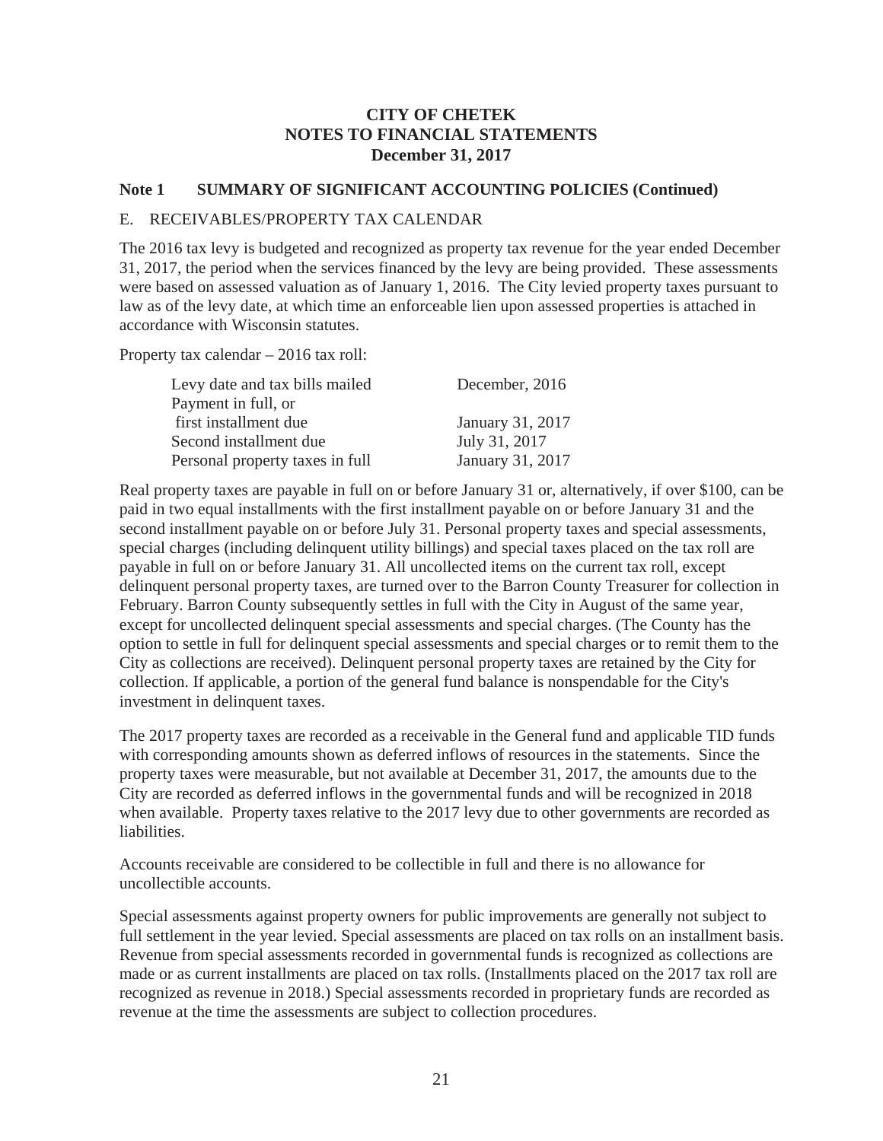### **Note 1 SUMMARY OF SIGNIFICANT ACCOUNTING POLICIES (Continued)**

#### E. RECEIVABLES/PROPERTY TAX CALENDAR

The 2016 tax levy is budgeted and recognized as property tax revenue for the year ended December 31, 2017, the period when the services financed by the levy are being provided. These assessments were based on assessed valuation as of January 1, 2016. The City levied property taxes pursuant to law as of the levy date, at which time an enforceable lien upon assessed properties is attached in accordance with Wisconsin statutes.

Property tax calendar – 2016 tax roll:

| Levy date and tax bills mailed  | December, 2016   |
|---------------------------------|------------------|
| Payment in full, or             |                  |
| first installment due           | January 31, 2017 |
| Second installment due          | July 31, 2017    |
| Personal property taxes in full | January 31, 2017 |

Real property taxes are payable in full on or before January 31 or, alternatively, if over \$100, can be paid in two equal installments with the first installment payable on or before January 31 and the second installment payable on or before July 31. Personal property taxes and special assessments, special charges (including delinquent utility billings) and special taxes placed on the tax roll are payable in full on or before January 31. All uncollected items on the current tax roll, except delinquent personal property taxes, are turned over to the Barron County Treasurer for collection in February. Barron County subsequently settles in full with the City in August of the same year, except for uncollected delinquent special assessments and special charges. (The County has the option to settle in full for delinquent special assessments and special charges or to remit them to the City as collections are received). Delinquent personal property taxes are retained by the City for collection. If applicable, a portion of the general fund balance is nonspendable for the City's investment in delinquent taxes.

The 2017 property taxes are recorded as a receivable in the General fund and applicable TID funds with corresponding amounts shown as deferred inflows of resources in the statements. Since the property taxes were measurable, but not available at December 31, 2017, the amounts due to the City are recorded as deferred inflows in the governmental funds and will be recognized in 2018 when available. Property taxes relative to the 2017 levy due to other governments are recorded as liabilities.

Accounts receivable are considered to be collectible in full and there is no allowance for uncollectible accounts.

Special assessments against property owners for public improvements are generally not subject to full settlement in the year levied. Special assessments are placed on tax rolls on an installment basis. Revenue from special assessments recorded in governmental funds is recognized as collections are made or as current installments are placed on tax rolls. (Installments placed on the 2017 tax roll are recognized as revenue in 2018.) Special assessments recorded in proprietary funds are recorded as revenue at the time the assessments are subject to collection procedures.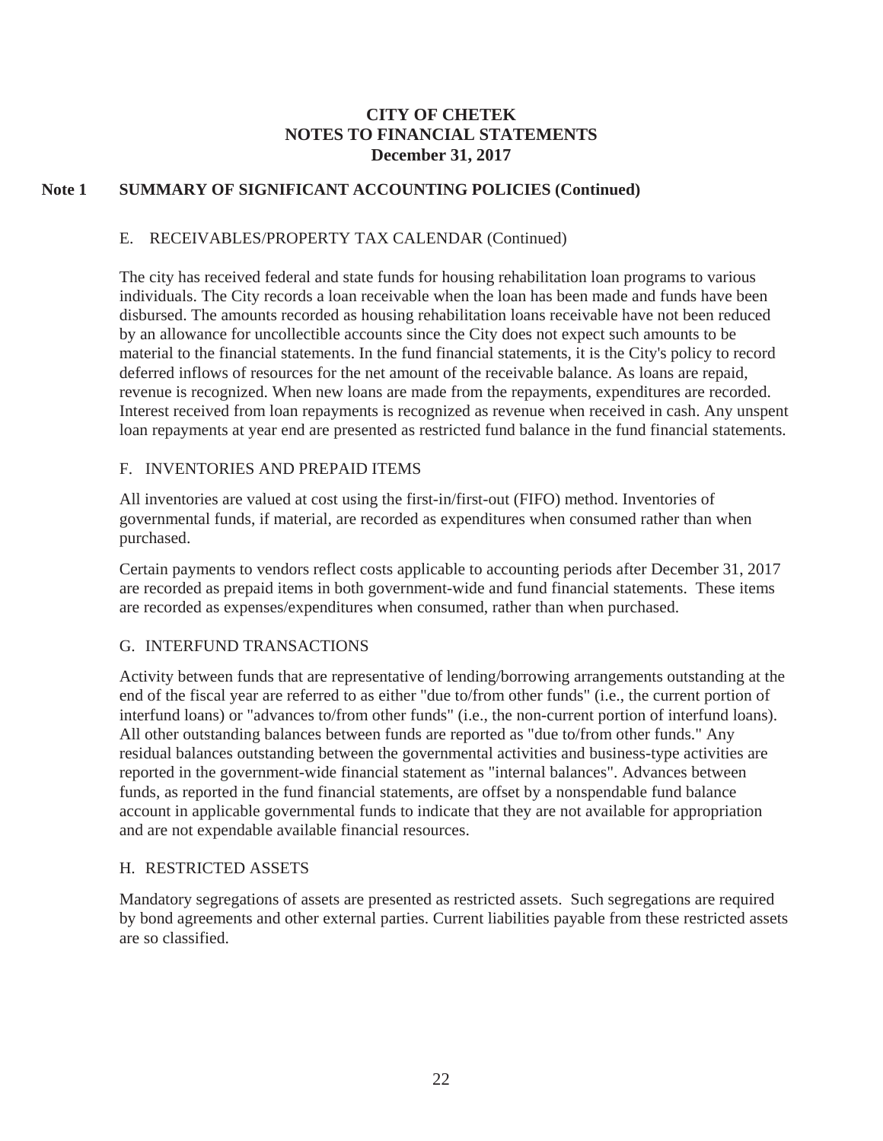# **Note 1 SUMMARY OF SIGNIFICANT ACCOUNTING POLICIES (Continued)**

### E. RECEIVABLES/PROPERTY TAX CALENDAR (Continued)

The city has received federal and state funds for housing rehabilitation loan programs to various individuals. The City records a loan receivable when the loan has been made and funds have been disbursed. The amounts recorded as housing rehabilitation loans receivable have not been reduced by an allowance for uncollectible accounts since the City does not expect such amounts to be material to the financial statements. In the fund financial statements, it is the City's policy to record deferred inflows of resources for the net amount of the receivable balance. As loans are repaid, revenue is recognized. When new loans are made from the repayments, expenditures are recorded. Interest received from loan repayments is recognized as revenue when received in cash. Any unspent loan repayments at year end are presented as restricted fund balance in the fund financial statements.

### F. INVENTORIES AND PREPAID ITEMS

All inventories are valued at cost using the first-in/first-out (FIFO) method. Inventories of governmental funds, if material, are recorded as expenditures when consumed rather than when purchased.

Certain payments to vendors reflect costs applicable to accounting periods after December 31, 2017 are recorded as prepaid items in both government-wide and fund financial statements. These items are recorded as expenses/expenditures when consumed, rather than when purchased.

### G. INTERFUND TRANSACTIONS

Activity between funds that are representative of lending/borrowing arrangements outstanding at the end of the fiscal year are referred to as either "due to/from other funds" (i.e., the current portion of interfund loans) or "advances to/from other funds" (i.e., the non-current portion of interfund loans). All other outstanding balances between funds are reported as "due to/from other funds." Any residual balances outstanding between the governmental activities and business-type activities are reported in the government-wide financial statement as "internal balances". Advances between funds, as reported in the fund financial statements, are offset by a nonspendable fund balance account in applicable governmental funds to indicate that they are not available for appropriation and are not expendable available financial resources.

#### H. RESTRICTED ASSETS

Mandatory segregations of assets are presented as restricted assets. Such segregations are required by bond agreements and other external parties. Current liabilities payable from these restricted assets are so classified.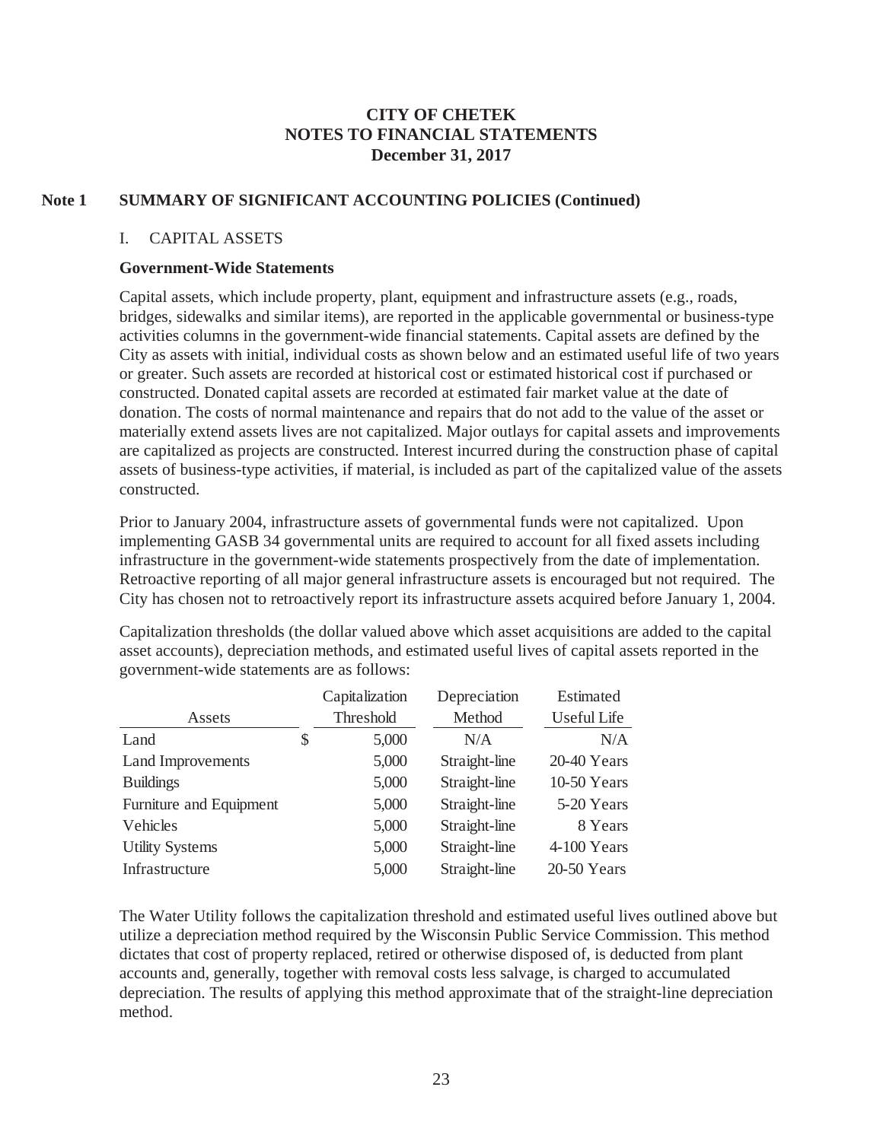### **Note 1 SUMMARY OF SIGNIFICANT ACCOUNTING POLICIES (Continued)**

### I. CAPITAL ASSETS

### **Government-Wide Statements**

Capital assets, which include property, plant, equipment and infrastructure assets (e.g., roads, bridges, sidewalks and similar items), are reported in the applicable governmental or business-type activities columns in the government-wide financial statements. Capital assets are defined by the City as assets with initial, individual costs as shown below and an estimated useful life of two years or greater. Such assets are recorded at historical cost or estimated historical cost if purchased or constructed. Donated capital assets are recorded at estimated fair market value at the date of donation. The costs of normal maintenance and repairs that do not add to the value of the asset or materially extend assets lives are not capitalized. Major outlays for capital assets and improvements are capitalized as projects are constructed. Interest incurred during the construction phase of capital assets of business-type activities, if material, is included as part of the capitalized value of the assets constructed.

Prior to January 2004, infrastructure assets of governmental funds were not capitalized. Upon implementing GASB 34 governmental units are required to account for all fixed assets including infrastructure in the government-wide statements prospectively from the date of implementation. Retroactive reporting of all major general infrastructure assets is encouraged but not required. The City has chosen not to retroactively report its infrastructure assets acquired before January 1, 2004.

Capitalization thresholds (the dollar valued above which asset acquisitions are added to the capital asset accounts), depreciation methods, and estimated useful lives of capital assets reported in the government-wide statements are as follows:

|                          |   | Capitalization | Depreciation  | Estimated          |
|--------------------------|---|----------------|---------------|--------------------|
| Assets                   |   | Threshold      | Method        | <b>Useful Life</b> |
| Land                     | S | 5,000          | N/A           | N/A                |
| <b>Land Improvements</b> |   | 5,000          | Straight-line | $20-40$ Years      |
| <b>Buildings</b>         |   | 5,000          | Straight-line | 10-50 Years        |
| Furniture and Equipment  |   | 5,000          | Straight-line | 5-20 Years         |
| Vehicles                 |   | 5,000          | Straight-line | 8 Years            |
| <b>Utility Systems</b>   |   | 5,000          | Straight-line | $4-100$ Years      |
| Infrastructure           |   | 5,000          | Straight-line | 20-50 Years        |

The Water Utility follows the capitalization threshold and estimated useful lives outlined above but utilize a depreciation method required by the Wisconsin Public Service Commission. This method dictates that cost of property replaced, retired or otherwise disposed of, is deducted from plant accounts and, generally, together with removal costs less salvage, is charged to accumulated depreciation. The results of applying this method approximate that of the straight-line depreciation method.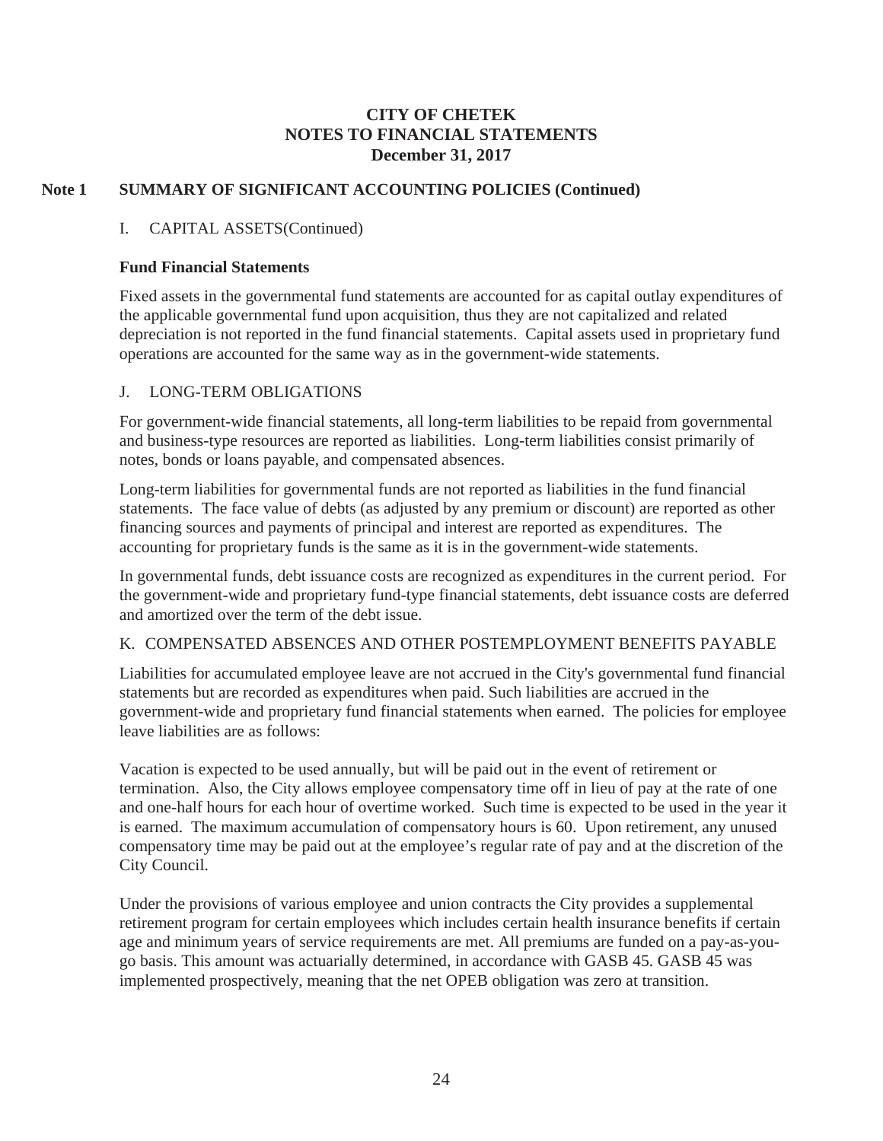# **Note 1 SUMMARY OF SIGNIFICANT ACCOUNTING POLICIES (Continued)**

### I. CAPITAL ASSETS(Continued)

#### **Fund Financial Statements**

Fixed assets in the governmental fund statements are accounted for as capital outlay expenditures of the applicable governmental fund upon acquisition, thus they are not capitalized and related depreciation is not reported in the fund financial statements. Capital assets used in proprietary fund operations are accounted for the same way as in the government-wide statements.

### J. LONG-TERM OBLIGATIONS

For government-wide financial statements, all long-term liabilities to be repaid from governmental and business-type resources are reported as liabilities. Long-term liabilities consist primarily of notes, bonds or loans payable, and compensated absences.

Long-term liabilities for governmental funds are not reported as liabilities in the fund financial statements. The face value of debts (as adjusted by any premium or discount) are reported as other financing sources and payments of principal and interest are reported as expenditures. The accounting for proprietary funds is the same as it is in the government-wide statements.

In governmental funds, debt issuance costs are recognized as expenditures in the current period. For the government-wide and proprietary fund-type financial statements, debt issuance costs are deferred and amortized over the term of the debt issue.

#### K. COMPENSATED ABSENCES AND OTHER POSTEMPLOYMENT BENEFITS PAYABLE

Liabilities for accumulated employee leave are not accrued in the City's governmental fund financial statements but are recorded as expenditures when paid. Such liabilities are accrued in the government-wide and proprietary fund financial statements when earned. The policies for employee leave liabilities are as follows:

Vacation is expected to be used annually, but will be paid out in the event of retirement or termination. Also, the City allows employee compensatory time off in lieu of pay at the rate of one and one-half hours for each hour of overtime worked. Such time is expected to be used in the year it is earned. The maximum accumulation of compensatory hours is 60. Upon retirement, any unused compensatory time may be paid out at the employee's regular rate of pay and at the discretion of the City Council.

Under the provisions of various employee and union contracts the City provides a supplemental retirement program for certain employees which includes certain health insurance benefits if certain age and minimum years of service requirements are met. All premiums are funded on a pay-as-yougo basis. This amount was actuarially determined, in accordance with GASB 45. GASB 45 was implemented prospectively, meaning that the net OPEB obligation was zero at transition.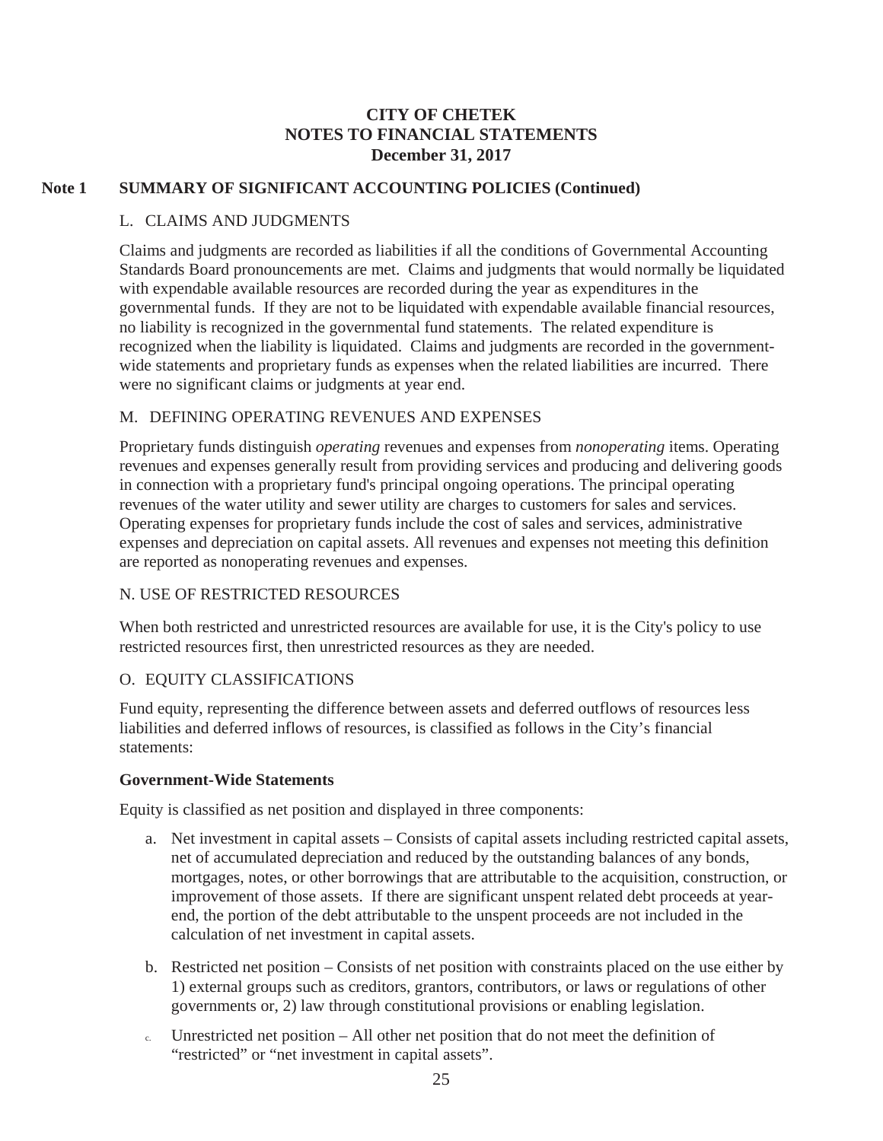### **Note 1 SUMMARY OF SIGNIFICANT ACCOUNTING POLICIES (Continued)**

### L. CLAIMS AND JUDGMENTS

Claims and judgments are recorded as liabilities if all the conditions of Governmental Accounting Standards Board pronouncements are met. Claims and judgments that would normally be liquidated with expendable available resources are recorded during the year as expenditures in the governmental funds. If they are not to be liquidated with expendable available financial resources, no liability is recognized in the governmental fund statements. The related expenditure is recognized when the liability is liquidated. Claims and judgments are recorded in the governmentwide statements and proprietary funds as expenses when the related liabilities are incurred. There were no significant claims or judgments at year end.

# M. DEFINING OPERATING REVENUES AND EXPENSES

Proprietary funds distinguish *operating* revenues and expenses from *nonoperating* items. Operating revenues and expenses generally result from providing services and producing and delivering goods in connection with a proprietary fund's principal ongoing operations. The principal operating revenues of the water utility and sewer utility are charges to customers for sales and services. Operating expenses for proprietary funds include the cost of sales and services, administrative expenses and depreciation on capital assets. All revenues and expenses not meeting this definition are reported as nonoperating revenues and expenses.

### N. USE OF RESTRICTED RESOURCES

When both restricted and unrestricted resources are available for use, it is the City's policy to use restricted resources first, then unrestricted resources as they are needed.

### O. EQUITY CLASSIFICATIONS

Fund equity, representing the difference between assets and deferred outflows of resources less liabilities and deferred inflows of resources, is classified as follows in the City's financial statements:

### **Government-Wide Statements**

Equity is classified as net position and displayed in three components:

- a. Net investment in capital assets Consists of capital assets including restricted capital assets, net of accumulated depreciation and reduced by the outstanding balances of any bonds, mortgages, notes, or other borrowings that are attributable to the acquisition, construction, or improvement of those assets. If there are significant unspent related debt proceeds at yearend, the portion of the debt attributable to the unspent proceeds are not included in the calculation of net investment in capital assets.
- b. Restricted net position Consists of net position with constraints placed on the use either by 1) external groups such as creditors, grantors, contributors, or laws or regulations of other governments or, 2) law through constitutional provisions or enabling legislation.
- c. Unrestricted net position All other net position that do not meet the definition of "restricted" or "net investment in capital assets".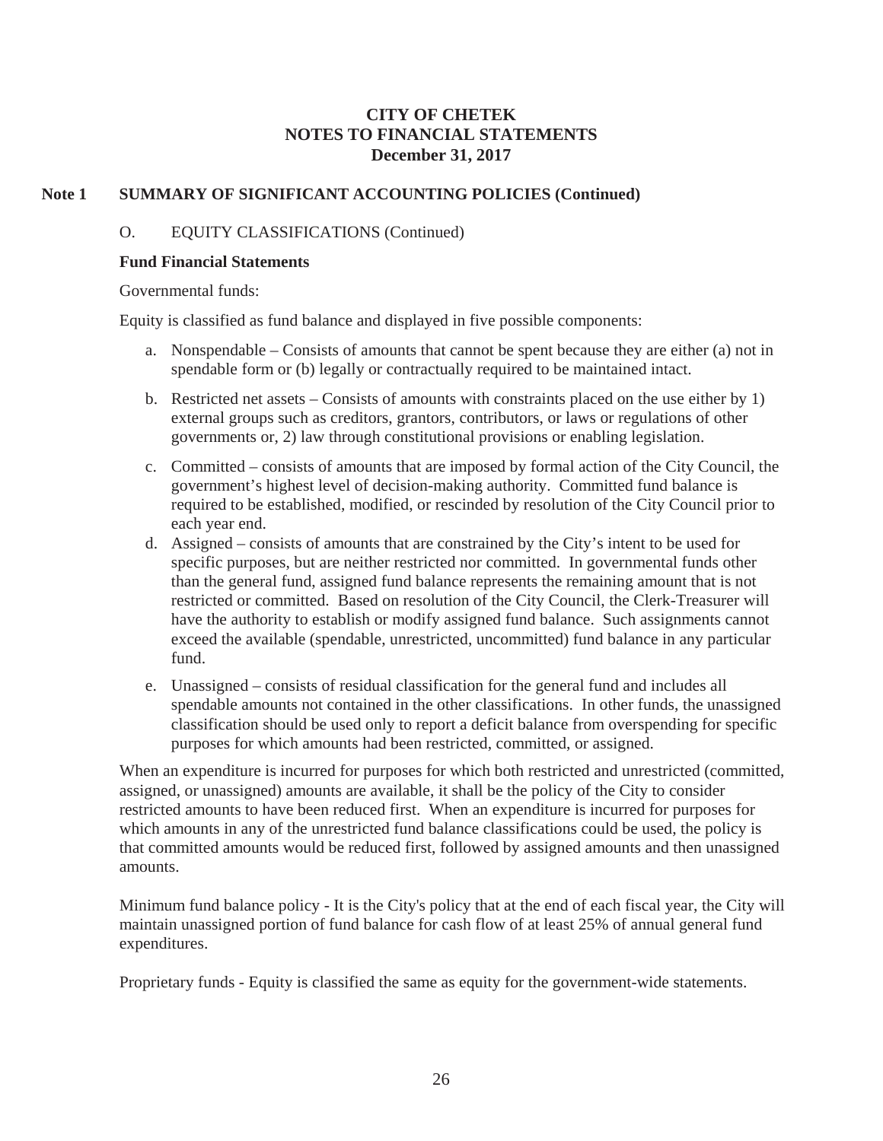# **Note 1 SUMMARY OF SIGNIFICANT ACCOUNTING POLICIES (Continued)**

### O. EQUITY CLASSIFICATIONS (Continued)

#### **Fund Financial Statements**

Governmental funds:

Equity is classified as fund balance and displayed in five possible components:

- a. Nonspendable Consists of amounts that cannot be spent because they are either (a) not in spendable form or (b) legally or contractually required to be maintained intact.
- b. Restricted net assets Consists of amounts with constraints placed on the use either by 1) external groups such as creditors, grantors, contributors, or laws or regulations of other governments or, 2) law through constitutional provisions or enabling legislation.
- c. Committed consists of amounts that are imposed by formal action of the City Council, the government's highest level of decision-making authority. Committed fund balance is required to be established, modified, or rescinded by resolution of the City Council prior to each year end.
- d. Assigned consists of amounts that are constrained by the City's intent to be used for specific purposes, but are neither restricted nor committed. In governmental funds other than the general fund, assigned fund balance represents the remaining amount that is not restricted or committed. Based on resolution of the City Council, the Clerk-Treasurer will have the authority to establish or modify assigned fund balance. Such assignments cannot exceed the available (spendable, unrestricted, uncommitted) fund balance in any particular fund.
- e. Unassigned consists of residual classification for the general fund and includes all spendable amounts not contained in the other classifications. In other funds, the unassigned classification should be used only to report a deficit balance from overspending for specific purposes for which amounts had been restricted, committed, or assigned.

When an expenditure is incurred for purposes for which both restricted and unrestricted (committed, assigned, or unassigned) amounts are available, it shall be the policy of the City to consider restricted amounts to have been reduced first. When an expenditure is incurred for purposes for which amounts in any of the unrestricted fund balance classifications could be used, the policy is that committed amounts would be reduced first, followed by assigned amounts and then unassigned amounts.

Minimum fund balance policy - It is the City's policy that at the end of each fiscal year, the City will maintain unassigned portion of fund balance for cash flow of at least 25% of annual general fund expenditures.

Proprietary funds - Equity is classified the same as equity for the government-wide statements.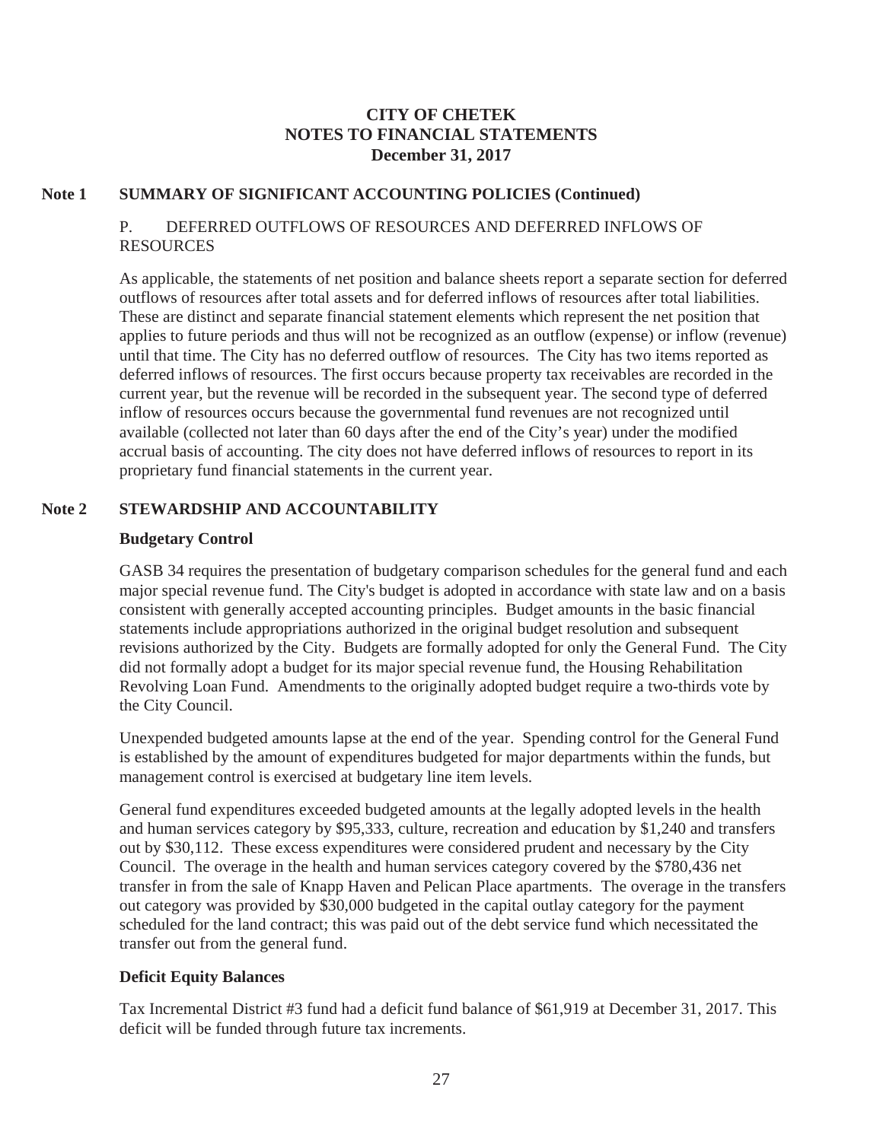### **Note 1 SUMMARY OF SIGNIFICANT ACCOUNTING POLICIES (Continued)**

### P. DEFERRED OUTFLOWS OF RESOURCES AND DEFERRED INFLOWS OF **RESOURCES**

As applicable, the statements of net position and balance sheets report a separate section for deferred outflows of resources after total assets and for deferred inflows of resources after total liabilities. These are distinct and separate financial statement elements which represent the net position that applies to future periods and thus will not be recognized as an outflow (expense) or inflow (revenue) until that time. The City has no deferred outflow of resources. The City has two items reported as deferred inflows of resources. The first occurs because property tax receivables are recorded in the current year, but the revenue will be recorded in the subsequent year. The second type of deferred inflow of resources occurs because the governmental fund revenues are not recognized until available (collected not later than 60 days after the end of the City's year) under the modified accrual basis of accounting. The city does not have deferred inflows of resources to report in its proprietary fund financial statements in the current year.

### **Note 2 STEWARDSHIP AND ACCOUNTABILITY**

### **Budgetary Control**

GASB 34 requires the presentation of budgetary comparison schedules for the general fund and each major special revenue fund. The City's budget is adopted in accordance with state law and on a basis consistent with generally accepted accounting principles. Budget amounts in the basic financial statements include appropriations authorized in the original budget resolution and subsequent revisions authorized by the City. Budgets are formally adopted for only the General Fund. The City did not formally adopt a budget for its major special revenue fund, the Housing Rehabilitation Revolving Loan Fund. Amendments to the originally adopted budget require a two-thirds vote by the City Council.

Unexpended budgeted amounts lapse at the end of the year. Spending control for the General Fund is established by the amount of expenditures budgeted for major departments within the funds, but management control is exercised at budgetary line item levels.

General fund expenditures exceeded budgeted amounts at the legally adopted levels in the health and human services category by \$95,333, culture, recreation and education by \$1,240 and transfers out by \$30,112. These excess expenditures were considered prudent and necessary by the City Council. The overage in the health and human services category covered by the \$780,436 net transfer in from the sale of Knapp Haven and Pelican Place apartments. The overage in the transfers out category was provided by \$30,000 budgeted in the capital outlay category for the payment scheduled for the land contract; this was paid out of the debt service fund which necessitated the transfer out from the general fund.

### **Deficit Equity Balances**

Tax Incremental District #3 fund had a deficit fund balance of \$61,919 at December 31, 2017. This deficit will be funded through future tax increments.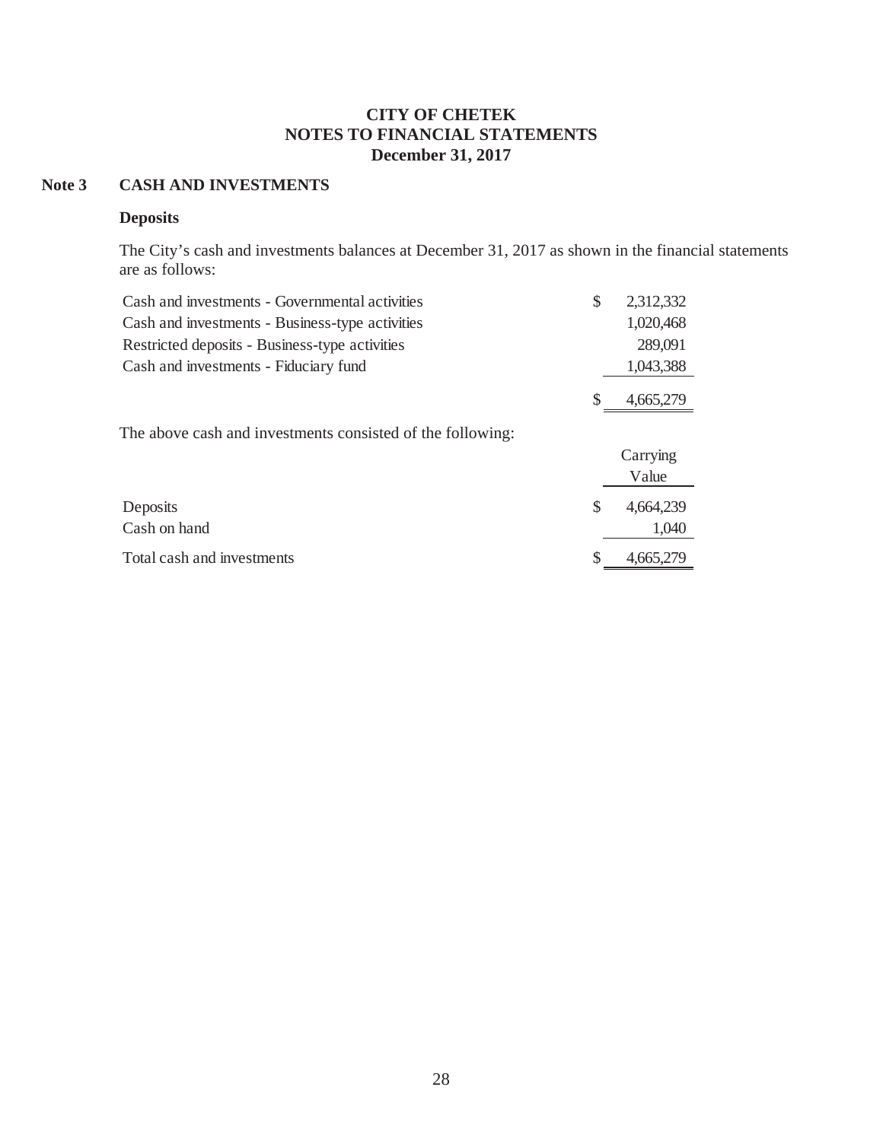# **Note 3 CASH AND INVESTMENTS**

# **Deposits**

The City's cash and investments balances at December 31, 2017 as shown in the financial statements are as follows:

| Cash and investments - Governmental activities             | \$  | 2,312,332          |
|------------------------------------------------------------|-----|--------------------|
| Cash and investments - Business-type activities            |     | 1,020,468          |
| Restricted deposits - Business-type activities             |     | 289,091            |
| Cash and investments - Fiduciary fund                      |     | 1,043,388          |
|                                                            | \$. | 4,665,279          |
| The above cash and investments consisted of the following: |     |                    |
|                                                            |     | Carrying<br>Value  |
| Deposits<br>Cash on hand                                   | S   | 4,664,239<br>1,040 |
| Total cash and investments                                 |     | 4.665.279          |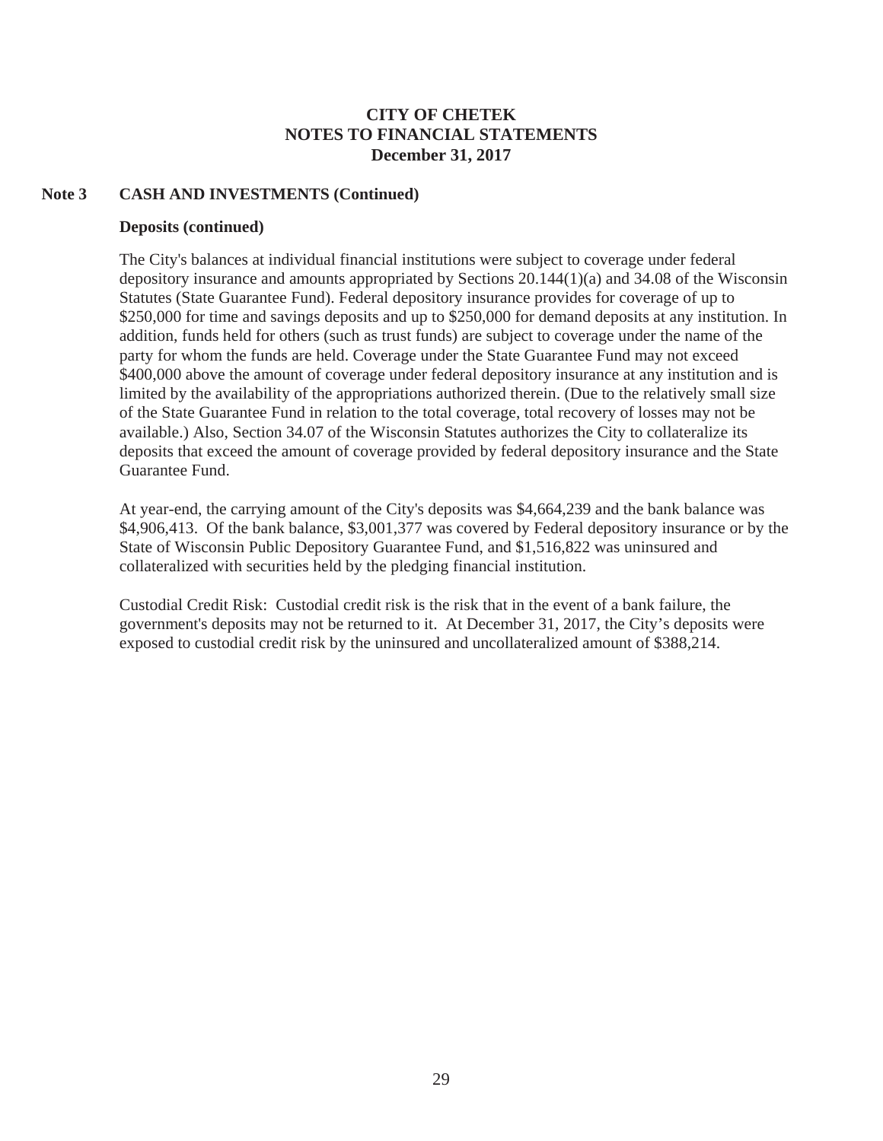### **Note 3 CASH AND INVESTMENTS (Continued)**

#### **Deposits (continued)**

The City's balances at individual financial institutions were subject to coverage under federal depository insurance and amounts appropriated by Sections  $20.144(1)(a)$  and  $34.08$  of the Wisconsin Statutes (State Guarantee Fund). Federal depository insurance provides for coverage of up to \$250,000 for time and savings deposits and up to \$250,000 for demand deposits at any institution. In addition, funds held for others (such as trust funds) are subject to coverage under the name of the party for whom the funds are held. Coverage under the State Guarantee Fund may not exceed \$400,000 above the amount of coverage under federal depository insurance at any institution and is limited by the availability of the appropriations authorized therein. (Due to the relatively small size of the State Guarantee Fund in relation to the total coverage, total recovery of losses may not be available.) Also, Section 34.07 of the Wisconsin Statutes authorizes the City to collateralize its deposits that exceed the amount of coverage provided by federal depository insurance and the State Guarantee Fund.

At year-end, the carrying amount of the City's deposits was \$4,664,239 and the bank balance was \$4,906,413. Of the bank balance, \$3,001,377 was covered by Federal depository insurance or by the State of Wisconsin Public Depository Guarantee Fund, and \$1,516,822 was uninsured and collateralized with securities held by the pledging financial institution.

Custodial Credit Risk: Custodial credit risk is the risk that in the event of a bank failure, the government's deposits may not be returned to it. At December 31, 2017, the City's deposits were exposed to custodial credit risk by the uninsured and uncollateralized amount of \$388,214.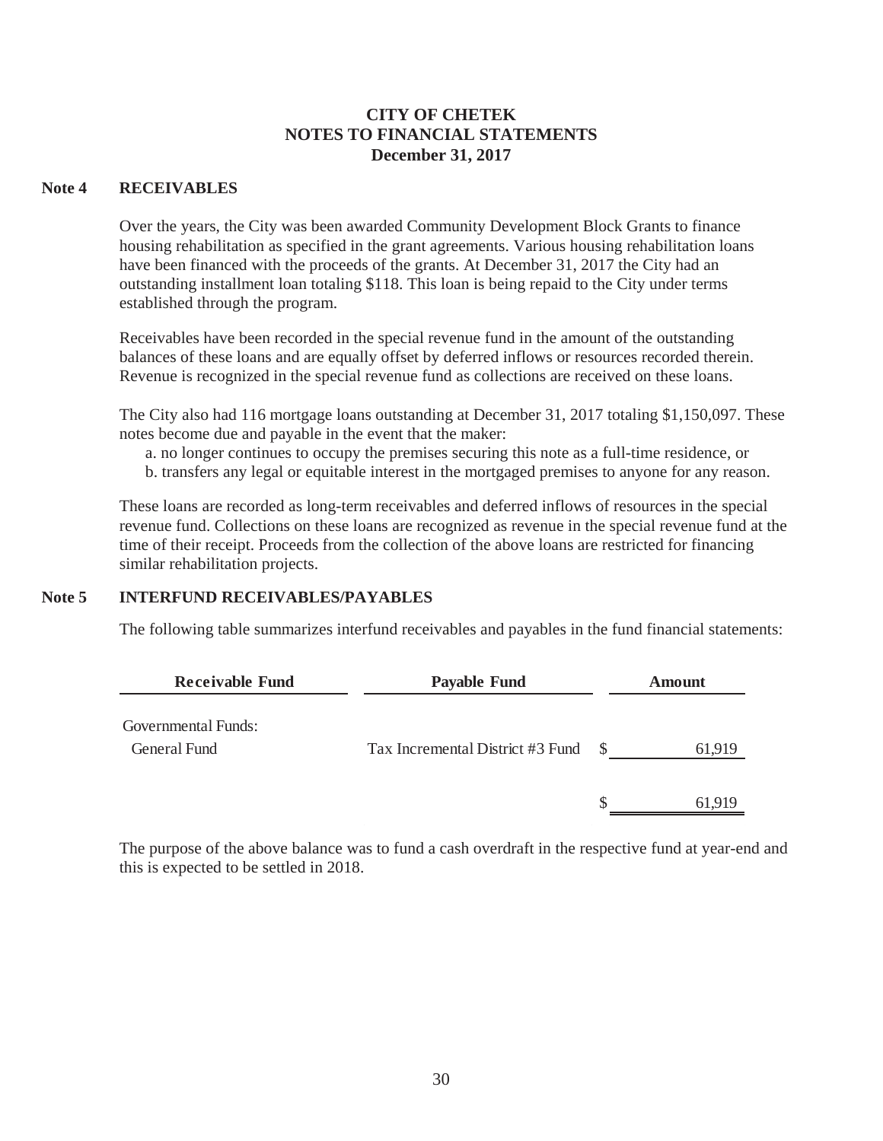#### **Note 4 RECEIVABLES**

Over the years, the City was been awarded Community Development Block Grants to finance housing rehabilitation as specified in the grant agreements. Various housing rehabilitation loans have been financed with the proceeds of the grants. At December 31, 2017 the City had an outstanding installment loan totaling \$118. This loan is being repaid to the City under terms established through the program.

Receivables have been recorded in the special revenue fund in the amount of the outstanding balances of these loans and are equally offset by deferred inflows or resources recorded therein. Revenue is recognized in the special revenue fund as collections are received on these loans.

The City also had 116 mortgage loans outstanding at December 31, 2017 totaling \$1,150,097. These notes become due and payable in the event that the maker:

a. no longer continues to occupy the premises securing this note as a full-time residence, or

b. transfers any legal or equitable interest in the mortgaged premises to anyone for any reason.

These loans are recorded as long-term receivables and deferred inflows of resources in the special revenue fund. Collections on these loans are recognized as revenue in the special revenue fund at the time of their receipt. Proceeds from the collection of the above loans are restricted for financing similar rehabilitation projects.

#### **Note 5 INTERFUND RECEIVABLES/PAYABLES**

The following table summarizes interfund receivables and payables in the fund financial statements:

| <b>Receivable Fund</b>              | Payable Fund                     |      |        |  |  |
|-------------------------------------|----------------------------------|------|--------|--|--|
| Governmental Funds:<br>General Fund | Tax Incremental District #3 Fund | - \$ | 61.919 |  |  |
|                                     |                                  |      |        |  |  |

The purpose of the above balance was to fund a cash overdraft in the respective fund at year-end and this is expected to be settled in 2018.

\$ 61,919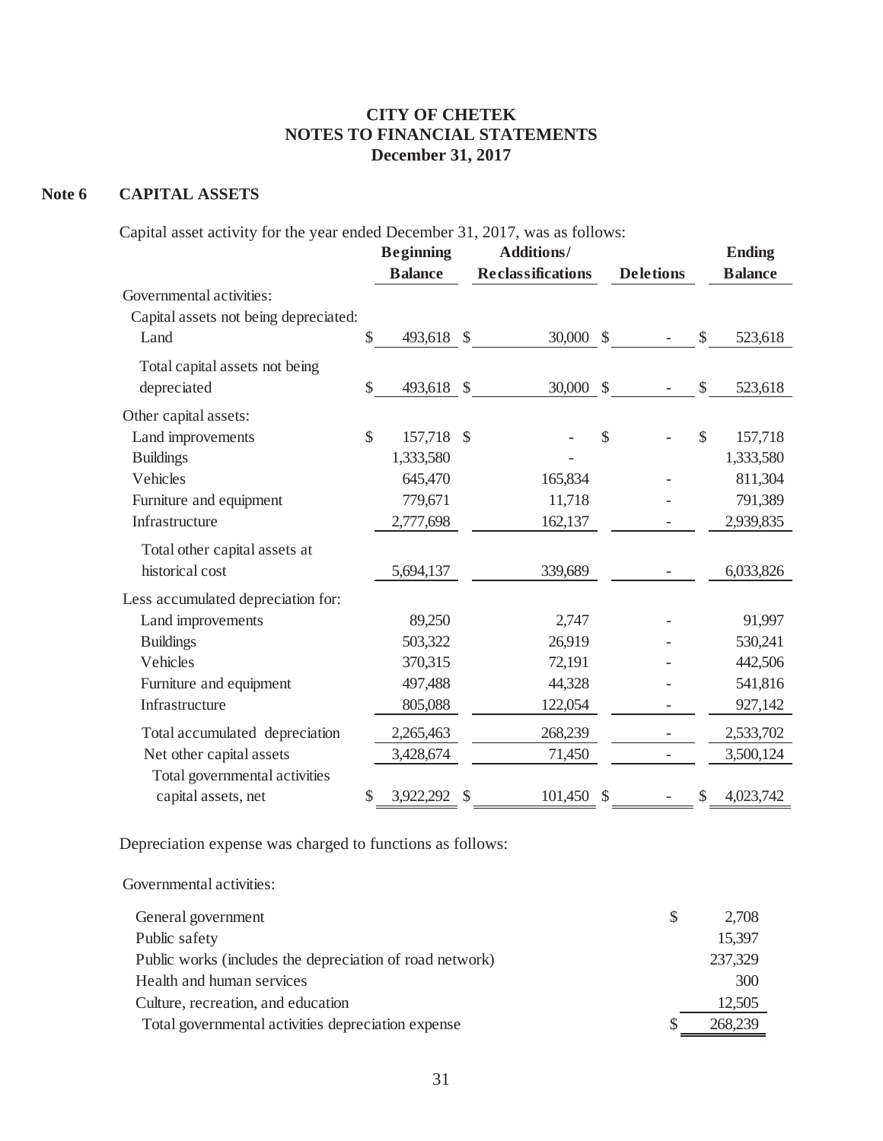# **Note 6 CAPITAL ASSETS**

Capital asset activity for the year ended December 31, 2017, was as follows:

|                                       |               | <b>Beginning</b> | Additions/               |               |                          |               | <b>Ending</b>  |
|---------------------------------------|---------------|------------------|--------------------------|---------------|--------------------------|---------------|----------------|
|                                       |               | <b>Balance</b>   | <b>Reclassifications</b> |               | <b>Deletions</b>         |               | <b>Balance</b> |
| Governmental activities:              |               |                  |                          |               |                          |               |                |
| Capital assets not being depreciated: |               |                  |                          |               |                          |               |                |
| Land                                  | \$            | 493,618 \$       | 30,000 \$                |               |                          | $\mathcal{S}$ | 523,618        |
| Total capital assets not being        |               |                  |                          |               |                          |               |                |
| depreciated                           | \$            | 493,618 \$       | 30,000 \$                |               |                          | $\mathcal{S}$ | 523,618        |
| Other capital assets:                 |               |                  |                          |               |                          |               |                |
| Land improvements                     | $\mathcal{S}$ | 157,718 \$       |                          | \$            |                          | $\mathcal{S}$ | 157,718        |
| <b>Buildings</b>                      |               | 1,333,580        |                          |               |                          |               | 1,333,580      |
| Vehicles                              |               | 645,470          | 165,834                  |               |                          |               | 811,304        |
| Furniture and equipment               |               | 779,671          | 11,718                   |               |                          |               | 791,389        |
| Infrastructure                        |               | 2,777,698        | 162,137                  |               |                          |               | 2,939,835      |
| Total other capital assets at         |               |                  |                          |               |                          |               |                |
| historical cost                       |               | 5,694,137        | 339,689                  |               |                          |               | 6,033,826      |
| Less accumulated depreciation for:    |               |                  |                          |               |                          |               |                |
| Land improvements                     |               | 89,250           | 2,747                    |               |                          |               | 91,997         |
| <b>Buildings</b>                      |               | 503,322          | 26,919                   |               |                          |               | 530,241        |
| Vehicles                              |               | 370,315          | 72,191                   |               |                          |               | 442,506        |
| Furniture and equipment               |               | 497,488          | 44,328                   |               |                          |               | 541,816        |
| Infrastructure                        |               | 805,088          | 122,054                  |               |                          |               | 927,142        |
| Total accumulated depreciation        |               | 2,265,463        | 268,239                  |               |                          |               | 2,533,702      |
| Net other capital assets              |               | 3,428,674        | 71,450                   |               | $\overline{\phantom{0}}$ |               | 3,500,124      |
| Total governmental activities         |               |                  |                          |               |                          |               |                |
| capital assets, net                   | \$            | 3,922,292        | \$<br>101,450            | $\mathcal{S}$ |                          | \$            | 4,023,742      |

Depreciation expense was charged to functions as follows:

Governmental activities:

| General government                                       | <sup>S</sup> | 2.708   |
|----------------------------------------------------------|--------------|---------|
| Public safety                                            |              | 15,397  |
| Public works (includes the depreciation of road network) |              | 237,329 |
| Health and human services                                |              | 300     |
| Culture, recreation, and education                       |              | 12,505  |
| Total governmental activities depreciation expense       | S            | 268,239 |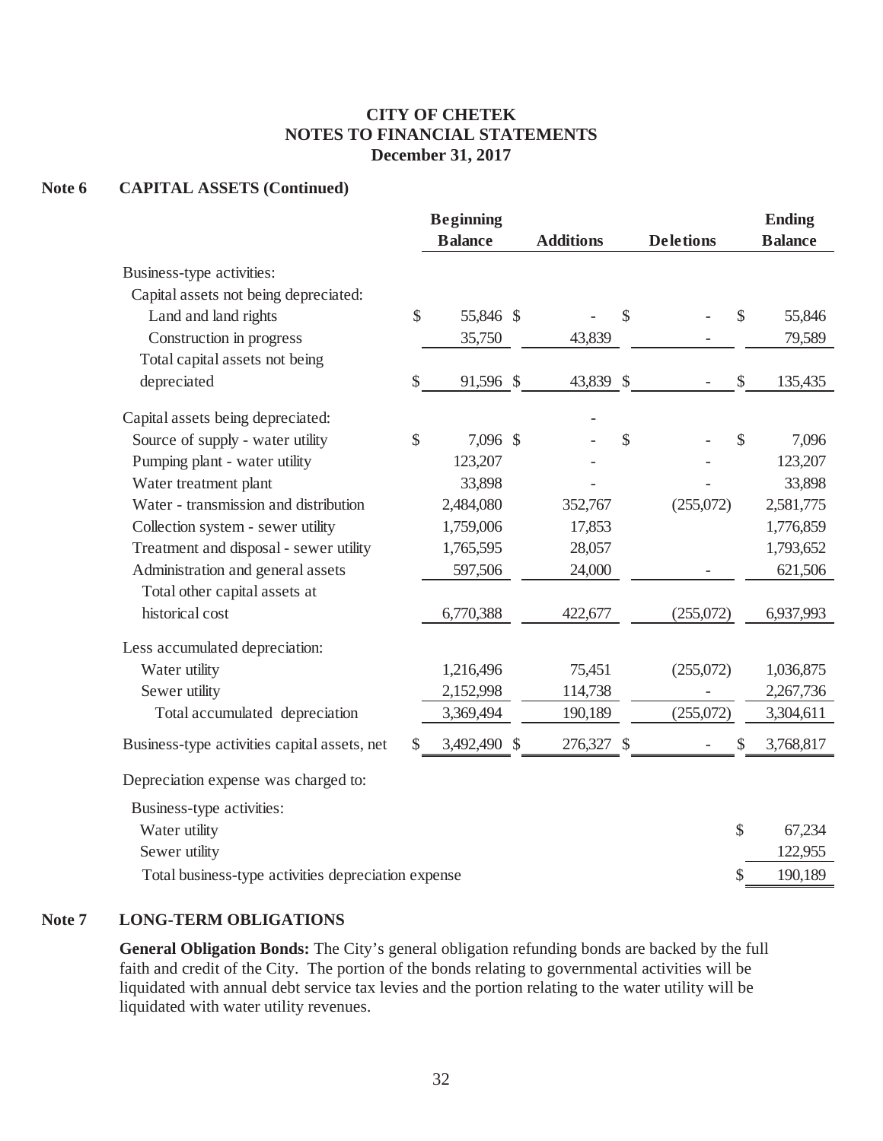### **Note 6 CAPITAL ASSETS (Continued)**

|                                                     |              | <b>Beginning</b> |                  |                  | <b>Ending</b>  |
|-----------------------------------------------------|--------------|------------------|------------------|------------------|----------------|
|                                                     |              | <b>Balance</b>   | <b>Additions</b> | <b>Deletions</b> | <b>Balance</b> |
| Business-type activities:                           |              |                  |                  |                  |                |
| Capital assets not being depreciated:               |              |                  |                  |                  |                |
| Land and land rights                                | \$           | 55,846 \$        | \$               | \$               | 55,846         |
| Construction in progress                            |              | 35,750           | 43,839           |                  | 79,589         |
| Total capital assets not being                      |              |                  |                  |                  |                |
| depreciated                                         | \$           | 91,596 \$        | 43,839 \$        | $\mathcal{S}$    | 135,435        |
| Capital assets being depreciated:                   |              |                  |                  |                  |                |
| Source of supply - water utility                    | \$           | 7,096 \$         | \$               | S                | 7,096          |
| Pumping plant - water utility                       |              | 123,207          |                  |                  | 123,207        |
| Water treatment plant                               |              | 33,898           |                  |                  | 33,898         |
| Water - transmission and distribution               |              | 2,484,080        | 352,767          | (255,072)        | 2,581,775      |
| Collection system - sewer utility                   |              | 1,759,006        | 17,853           |                  | 1,776,859      |
| Treatment and disposal - sewer utility              |              | 1,765,595        | 28,057           |                  | 1,793,652      |
| Administration and general assets                   |              | 597,506          | 24,000           |                  | 621,506        |
| Total other capital assets at                       |              |                  |                  |                  |                |
| historical cost                                     |              | 6,770,388        | 422,677          | (255,072)        | 6,937,993      |
| Less accumulated depreciation:                      |              |                  |                  |                  |                |
| Water utility                                       |              | 1,216,496        | 75,451           | (255,072)        | 1,036,875      |
| Sewer utility                                       |              | 2,152,998        | 114,738          |                  | 2,267,736      |
| Total accumulated depreciation                      |              | 3,369,494        | 190,189          | (255,072)        | 3,304,611      |
| Business-type activities capital assets, net        | $\mathbb{S}$ | 3,492,490 \$     | 276,327 \$       | \$               | 3,768,817      |
| Depreciation expense was charged to:                |              |                  |                  |                  |                |
| Business-type activities:                           |              |                  |                  |                  |                |
| Water utility                                       |              |                  |                  | \$               | 67,234         |
| Sewer utility                                       |              |                  |                  |                  | 122,955        |
| Total business-type activities depreciation expense |              |                  |                  | \$               | 190,189        |

### **Note 7 LONG-TERM OBLIGATIONS**

**General Obligation Bonds:** The City's general obligation refunding bonds are backed by the full faith and credit of the City. The portion of the bonds relating to governmental activities will be liquidated with annual debt service tax levies and the portion relating to the water utility will be liquidated with water utility revenues.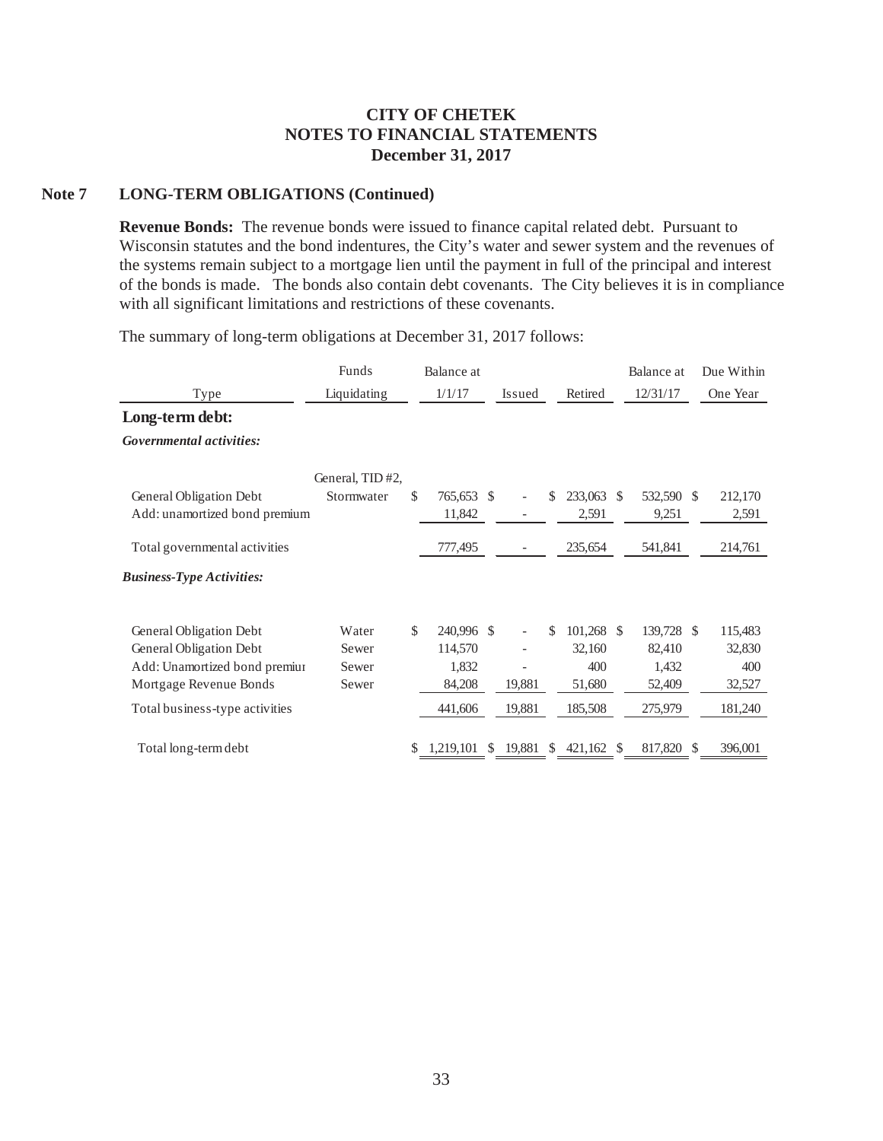### **Note 7 LONG-TERM OBLIGATIONS (Continued)**

**Revenue Bonds:** The revenue bonds were issued to finance capital related debt. Pursuant to Wisconsin statutes and the bond indentures, the City's water and sewer system and the revenues of the systems remain subject to a mortgage lien until the payment in full of the principal and interest of the bonds is made. The bonds also contain debt covenants. The City believes it is in compliance with all significant limitations and restrictions of these covenants.

The summary of long-term obligations at December 31, 2017 follows:

|                                  | Funds           |    | Balance at |    |        |               |              |    | Balance at |               | Due Within |
|----------------------------------|-----------------|----|------------|----|--------|---------------|--------------|----|------------|---------------|------------|
| <b>Type</b>                      | Liquidating     |    | 1/1/17     |    | Issued |               | Retired      |    | 12/31/17   |               | One Year   |
| Long-term debt:                  |                 |    |            |    |        |               |              |    |            |               |            |
| Governmental activities:         |                 |    |            |    |        |               |              |    |            |               |            |
|                                  | General, TID#2, |    |            |    |        |               |              |    |            |               |            |
| General Obligation Debt          | Stormwater      | \$ | 765,653 \$ |    |        |               | 233,063      | -S | 532,590 \$ |               | 212,170    |
| Add: unamortized bond premium    |                 |    | 11,842     |    |        |               | 2,591        |    | 9,251      |               | 2,591      |
|                                  |                 |    |            |    |        |               |              |    |            |               |            |
| Total governmental activities    |                 |    | 777,495    |    |        |               | 235,654      |    | 541,841    |               | 214,761    |
| <b>Business-Type Activities:</b> |                 |    |            |    |        |               |              |    |            |               |            |
| General Obligation Debt          | Water           | \$ | 240,996 \$ |    |        | S             | $101,268$ \$ |    | 139,728    | -S            | 115,483    |
| General Obligation Debt          | Sewer           |    | 114,570    |    |        |               | 32,160       |    | 82,410     |               | 32,830     |
| Add: Unamortized bond premiur    | Sewer           |    | 1,832      |    |        |               | 400          |    | 1,432      |               | 400        |
| Mortgage Revenue Bonds           | Sewer           |    | 84,208     |    | 19,881 |               | 51,680       |    | 52,409     |               | 32,527     |
| Total business-type activities   |                 |    | 441,606    |    | 19,881 |               | 185,508      |    | 275,979    |               | 181,240    |
| Total long-term debt             |                 | S  | 1,219,101  | S. | 19,881 | <sup>\$</sup> | 421,162      | S  | 817,820    | $\mathcal{S}$ | 396,001    |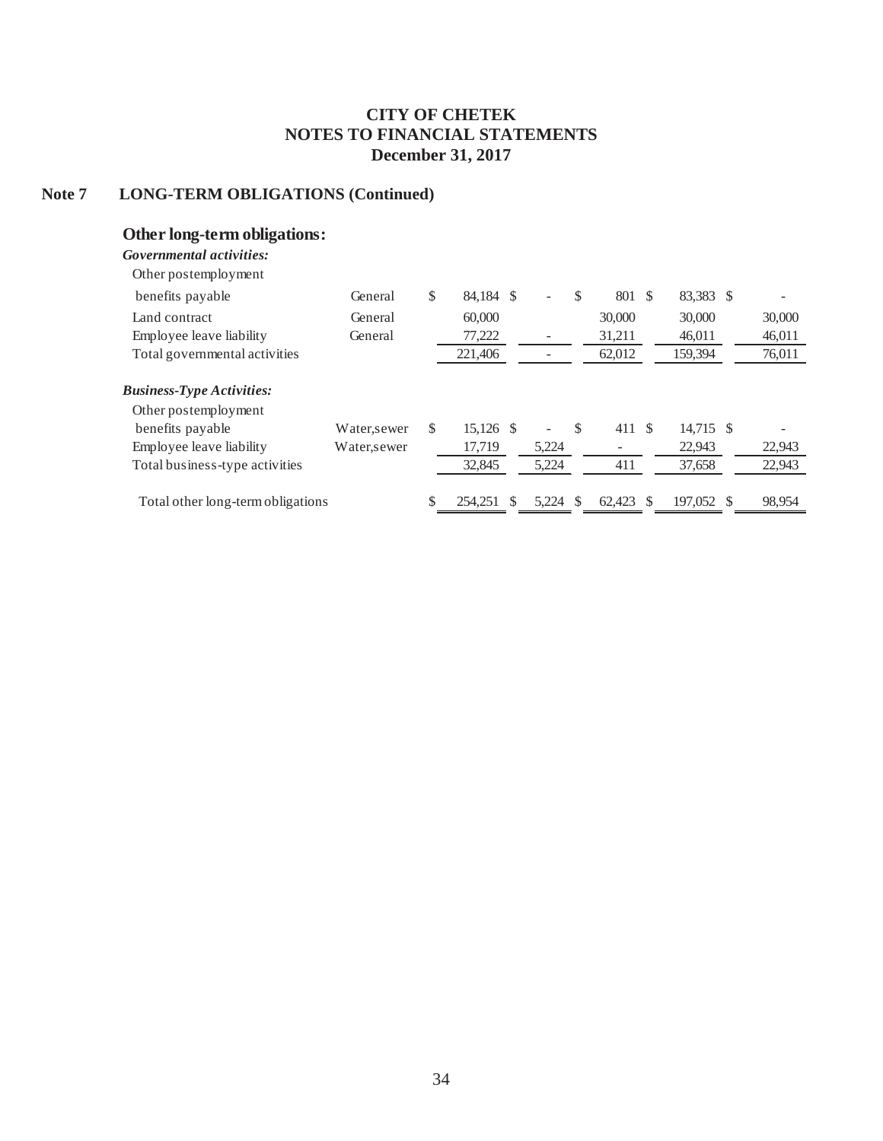# **Note 7 LONG-TERM OBLIGATIONS (Continued)**

| Other long-term obligations:                             |              |                 |    |          |    |           |            |                          |
|----------------------------------------------------------|--------------|-----------------|----|----------|----|-----------|------------|--------------------------|
| Governmental activities:                                 |              |                 |    |          |    |           |            |                          |
| Other postemployment                                     |              |                 |    |          |    |           |            |                          |
| benefits payable                                         | General      | \$<br>84,184 \$ |    |          | S  | 801 \$    | 83,383 \$  |                          |
| Land contract                                            | General      | 60,000          |    |          |    | 30,000    | 30,000     | 30,000                   |
| Employee leave liability                                 | General      | 77,222          |    |          |    | 31,211    | 46,011     | 46,011                   |
| Total governmental activities                            |              | 221,406         |    |          |    | 62,012    | 159,394    | 76,011                   |
| <b>Business-Type Activities:</b><br>Other postemployment |              |                 |    |          |    |           |            |                          |
| benefits payable                                         | Water, sewer | \$<br>15,126 \$ |    |          | -S | 411 \$    | 14,715 \$  | $\overline{\phantom{a}}$ |
| Employee leave liability                                 | Water, sewer | 17,719          |    | 5,224    |    |           | 22,943     | 22,943                   |
| Total business-type activities                           |              | 32,845          |    | 5,224    |    | 411       | 37,658     | 22,943                   |
| Total other long-term obligations                        |              | \$<br>254,251   | S. | 5,224 \$ |    | 62,423 \$ | 197,052 \$ | 98,954                   |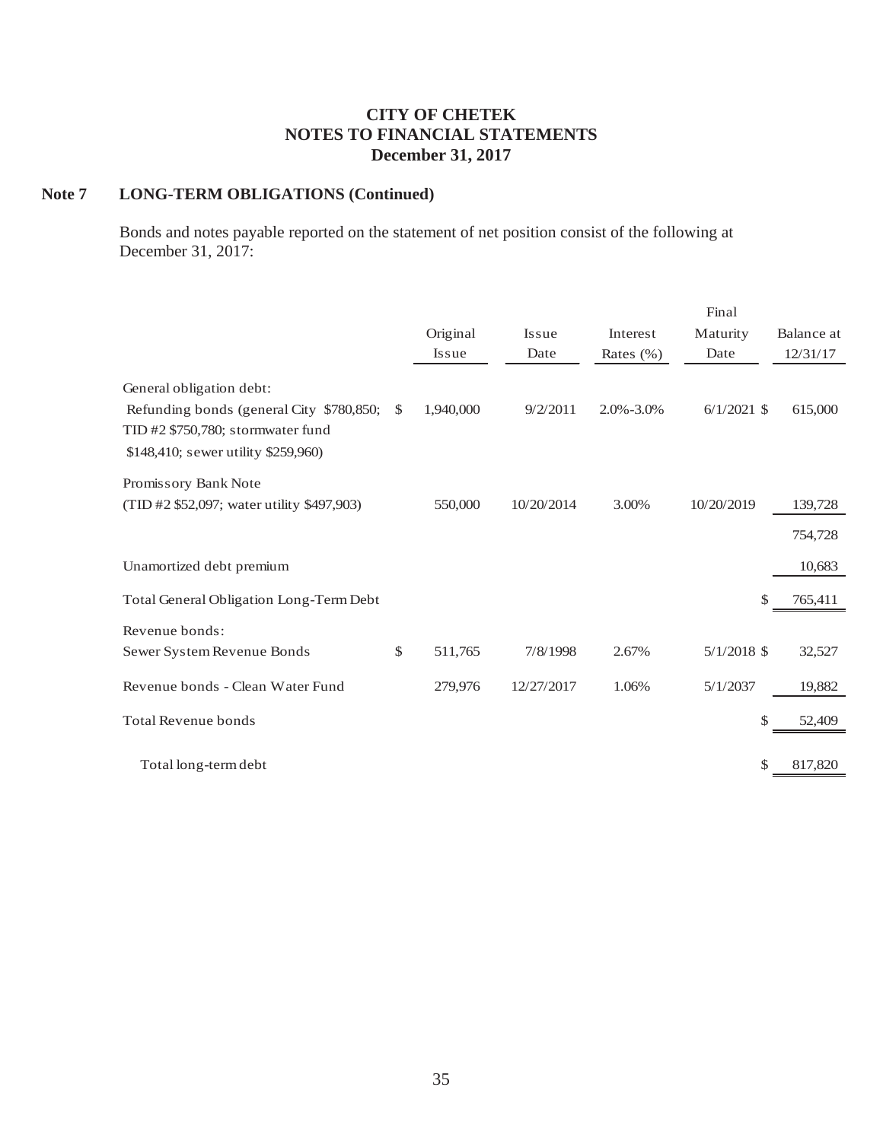# **Note 7 LONG-TERM OBLIGATIONS (Continued)**

Bonds and notes payable reported on the statement of net position consist of the following at December 31, 2017:

|                                                                                                                                                  |              |           |            |                 | Final         |            |
|--------------------------------------------------------------------------------------------------------------------------------------------------|--------------|-----------|------------|-----------------|---------------|------------|
|                                                                                                                                                  |              | Original  | Issue      | Interest        | Maturity      | Balance at |
|                                                                                                                                                  |              | Issue     | Date       | Rates $(\%)$    | Date          | 12/31/17   |
| General obligation debt:<br>Refunding bonds (general City \$780,850;<br>TID #2 \$750,780; stormwater fund<br>\$148,410; sewer utility \$259,960) | <sup>S</sup> | 1,940,000 | 9/2/2011   | $2.0\% - 3.0\%$ | $6/1/2021$ \$ | 615,000    |
| Promissory Bank Note                                                                                                                             |              |           |            |                 |               |            |
| (TID #2 \$52,097; water utility \$497,903)                                                                                                       |              | 550,000   | 10/20/2014 | 3.00%           | 10/20/2019    | 139,728    |
|                                                                                                                                                  |              |           |            |                 |               | 754,728    |
| Unamortized debt premium                                                                                                                         |              |           |            |                 |               | 10,683     |
| Total General Obligation Long-Term Debt                                                                                                          |              |           |            |                 | \$            | 765,411    |
| Revenue bonds:                                                                                                                                   |              |           |            |                 |               |            |
| Sewer System Revenue Bonds                                                                                                                       | \$           | 511,765   | 7/8/1998   | 2.67%           | $5/1/2018$ \$ | 32,527     |
| Revenue bonds - Clean Water Fund                                                                                                                 |              | 279,976   | 12/27/2017 | 1.06%           | 5/1/2037      | 19,882     |
| <b>Total Revenue bonds</b>                                                                                                                       |              |           |            |                 | \$            | 52,409     |
| Total long-term debt                                                                                                                             |              |           |            |                 | \$            | 817,820    |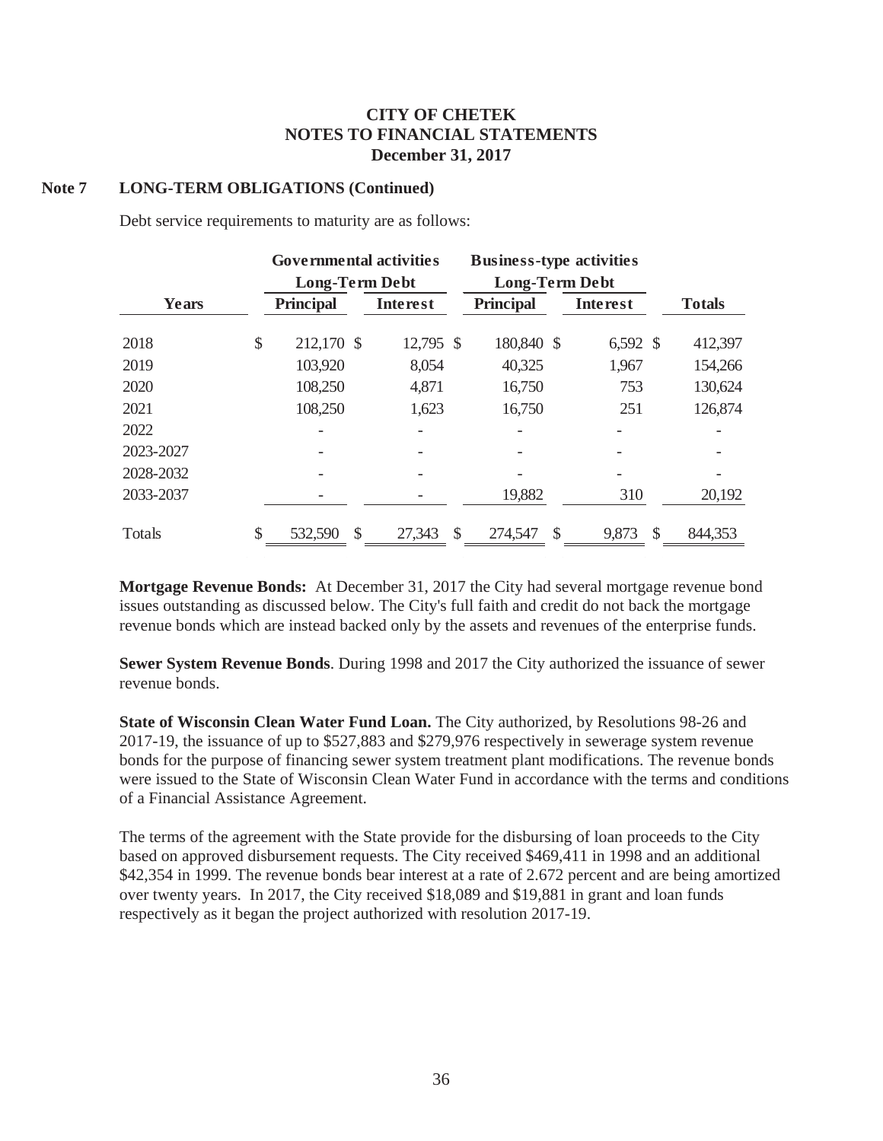#### **Note 7 LONG-TERM OBLIGATIONS (Continued)**

Debt service requirements to maturity are as follows:

|               |               | <b>Governmental activities</b> |                 | <b>Business-type activities</b> |    |                        |               |
|---------------|---------------|--------------------------------|-----------------|---------------------------------|----|------------------------|---------------|
|               |               | Long-Term Debt                 |                 | <b>Long-Term Debt</b>           |    |                        |               |
| <b>Years</b>  |               | <b>Principal</b>               | <b>Interest</b> | <b>Principal</b>                |    | <b>Interest</b>        | <b>Totals</b> |
| 2018          | $\mathcal{S}$ | 212,170 \$                     | 12,795 \$       | 180,840 \$                      |    | $6,592$ \$             | 412,397       |
| 2019          |               | 103,920                        | 8,054           | 40,325                          |    | 1,967                  | 154,266       |
| 2020          |               | 108,250                        | 4,871           | 16,750                          |    | 753                    | 130,624       |
| 2021          |               | 108,250                        | 1,623           | 16,750                          |    | 251                    | 126,874       |
| 2022          |               |                                |                 |                                 |    |                        |               |
| 2023-2027     |               |                                |                 |                                 |    |                        |               |
| 2028-2032     |               |                                |                 |                                 |    |                        |               |
| 2033-2037     |               |                                |                 | 19,882                          |    | 310                    | 20,192        |
| <b>Totals</b> | \$            | $\mathcal{S}$<br>532,590       | 27,343          | \$<br>274,547                   | \$ | $\mathcal{S}$<br>9,873 | 844,353       |

**Mortgage Revenue Bonds:** At December 31, 2017 the City had several mortgage revenue bond issues outstanding as discussed below. The City's full faith and credit do not back the mortgage revenue bonds which are instead backed only by the assets and revenues of the enterprise funds.

**Sewer System Revenue Bonds**. During 1998 and 2017 the City authorized the issuance of sewer revenue bonds.

**State of Wisconsin Clean Water Fund Loan.** The City authorized, by Resolutions 98-26 and 2017-19, the issuance of up to \$527,883 and \$279,976 respectively in sewerage system revenue bonds for the purpose of financing sewer system treatment plant modifications. The revenue bonds were issued to the State of Wisconsin Clean Water Fund in accordance with the terms and conditions of a Financial Assistance Agreement.

The terms of the agreement with the State provide for the disbursing of loan proceeds to the City based on approved disbursement requests. The City received \$469,411 in 1998 and an additional \$42,354 in 1999. The revenue bonds bear interest at a rate of 2.672 percent and are being amortized over twenty years. In 2017, the City received \$18,089 and \$19,881 in grant and loan funds respectively as it began the project authorized with resolution 2017-19.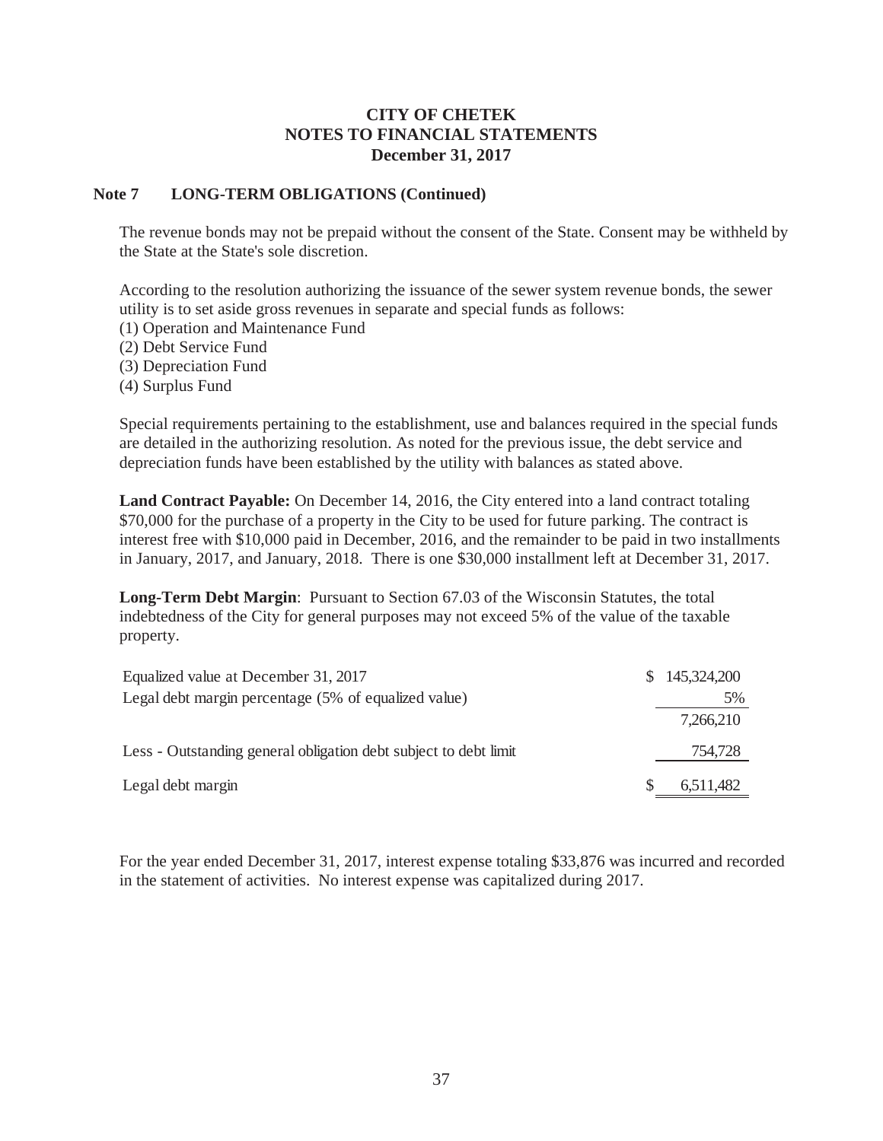### **Note 7 LONG-TERM OBLIGATIONS (Continued)**

The revenue bonds may not be prepaid without the consent of the State. Consent may be withheld by the State at the State's sole discretion.

According to the resolution authorizing the issuance of the sewer system revenue bonds, the sewer utility is to set aside gross revenues in separate and special funds as follows:

- (1) Operation and Maintenance Fund
- (2) Debt Service Fund
- (3) Depreciation Fund
- (4) Surplus Fund

Special requirements pertaining to the establishment, use and balances required in the special funds are detailed in the authorizing resolution. As noted for the previous issue, the debt service and depreciation funds have been established by the utility with balances as stated above.

**Land Contract Payable:** On December 14, 2016, the City entered into a land contract totaling \$70,000 for the purchase of a property in the City to be used for future parking. The contract is interest free with \$10,000 paid in December, 2016, and the remainder to be paid in two installments in January, 2017, and January, 2018. There is one \$30,000 installment left at December 31, 2017.

**Long-Term Debt Margin**: Pursuant to Section 67.03 of the Wisconsin Statutes, the total indebtedness of the City for general purposes may not exceed 5% of the value of the taxable property.

| Equalized value at December 31, 2017                             | 145,324,200 |
|------------------------------------------------------------------|-------------|
| Legal debt margin percentage (5% of equalized value)             | 5%          |
|                                                                  | 7,266,210   |
| Less - Outstanding general obligation debt subject to debt limit | 754,728     |
| Legal debt margin                                                | 6,511,482   |

For the year ended December 31, 2017, interest expense totaling \$33,876 was incurred and recorded in the statement of activities. No interest expense was capitalized during 2017.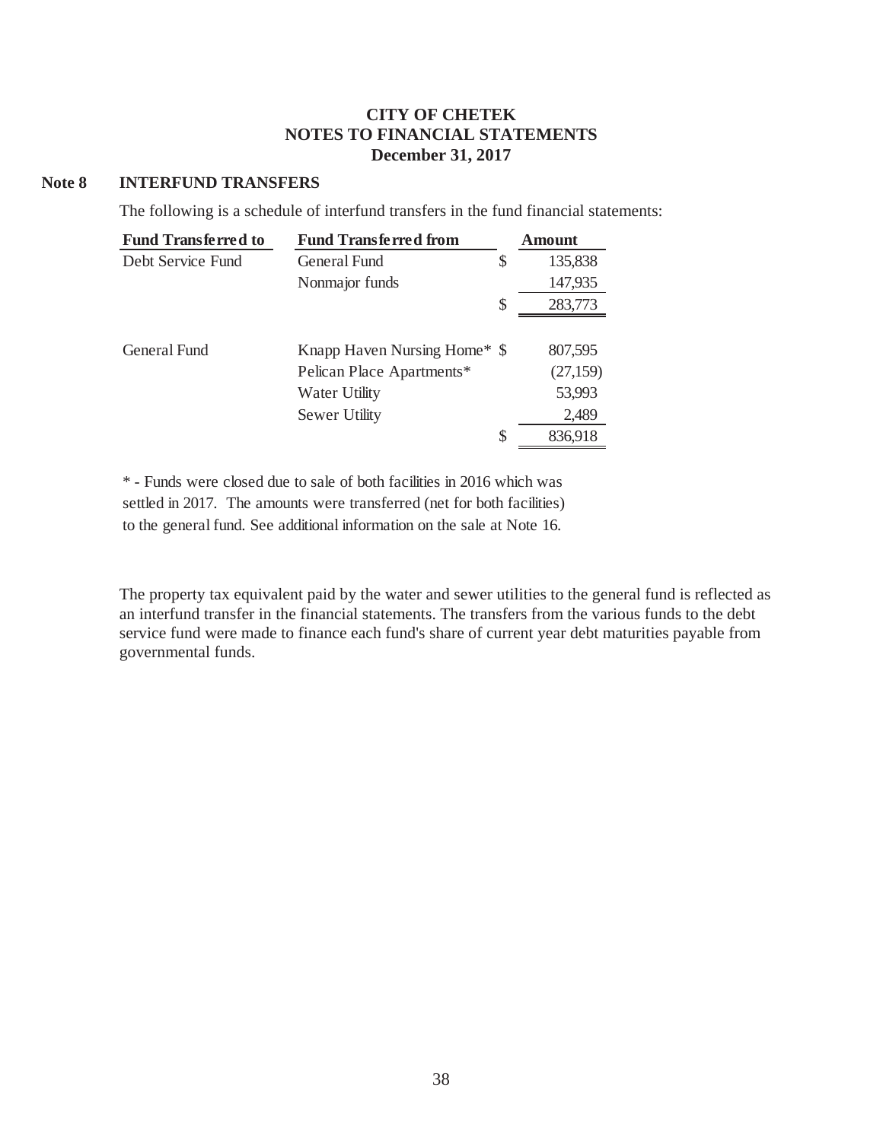### **Note 8 INTERFUND TRANSFERS**

The following is a schedule of interfund transfers in the fund financial statements:

| <b>Fund Transferred to</b> | <b>Fund Transferred from</b> | <b>Amount</b> |
|----------------------------|------------------------------|---------------|
| Debt Service Fund          | General Fund                 | \$<br>135,838 |
|                            | Nonmajor funds               | 147,935       |
|                            |                              | \$<br>283,773 |
|                            |                              |               |
| General Fund               | Knapp Haven Nursing Home* \$ | 807,595       |
|                            | Pelican Place Apartments*    | (27,159)      |
|                            | Water Utility                | 53,993        |
|                            | Sewer Utility                | 2,489         |
|                            |                              | \$<br>836,918 |

\* - Funds were closed due to sale of both facilities in 2016 which was settled in 2017. The amounts were transferred (net for both facilities) to the general fund. See additional information on the sale at Note 16.

The property tax equivalent paid by the water and sewer utilities to the general fund is reflected as an interfund transfer in the financial statements. The transfers from the various funds to the debt service fund were made to finance each fund's share of current year debt maturities payable from governmental funds.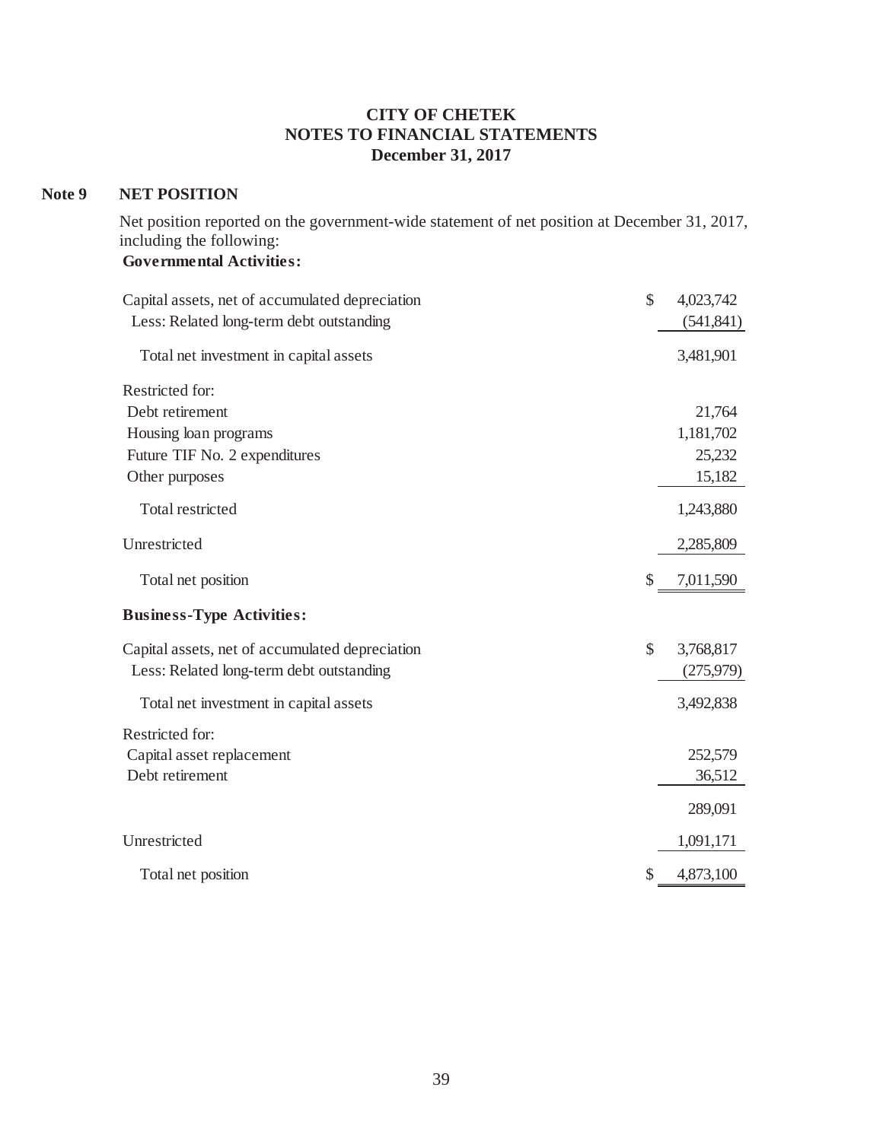### **Note 9 NET POSITION**

Net position reported on the government-wide statement of net position at December 31, 2017, including the following: **Governmental Activities:**

| Capital assets, net of accumulated depreciation | \$<br>4,023,742 |
|-------------------------------------------------|-----------------|
| Less: Related long-term debt outstanding        | (541, 841)      |
| Total net investment in capital assets          | 3,481,901       |
| Restricted for:                                 |                 |
| Debt retirement                                 | 21,764          |
| Housing loan programs                           | 1,181,702       |
| Future TIF No. 2 expenditures                   | 25,232          |
| Other purposes                                  | 15,182          |
| Total restricted                                | 1,243,880       |
| Unrestricted                                    | 2,285,809       |
| Total net position                              | \$<br>7,011,590 |
| <b>Business-Type Activities:</b>                |                 |
| Capital assets, net of accumulated depreciation | \$<br>3,768,817 |
| Less: Related long-term debt outstanding        | (275, 979)      |
| Total net investment in capital assets          | 3,492,838       |
| Restricted for:                                 |                 |
| Capital asset replacement                       | 252,579         |
| Debt retirement                                 | 36,512          |
|                                                 | 289,091         |
| Unrestricted                                    | 1,091,171       |
| Total net position                              | \$<br>4,873,100 |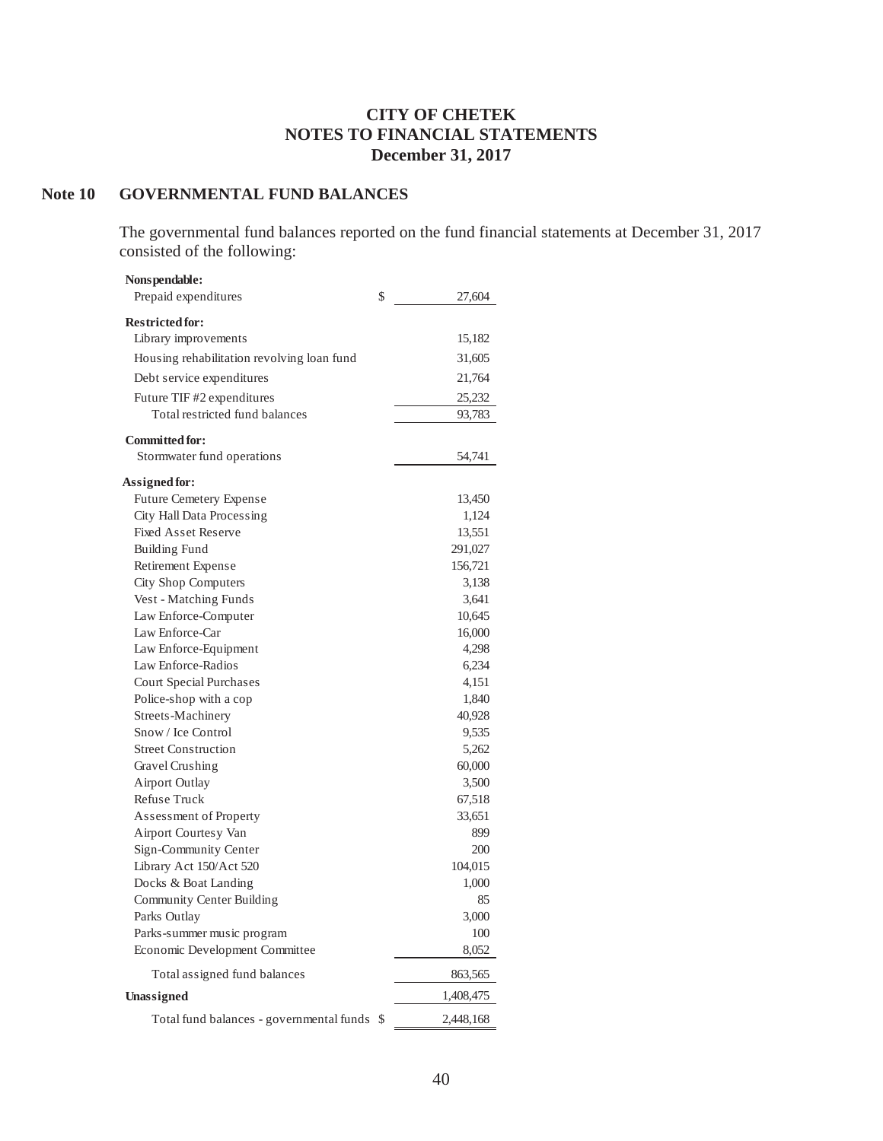# **Note 10 GOVERNMENTAL FUND BALANCES**

The governmental fund balances reported on the fund financial statements at December 31, 2017 consisted of the following:

| Nonspendable:                               |              |
|---------------------------------------------|--------------|
| Prepaid expenditures                        | \$<br>27,604 |
| <b>Restricted for:</b>                      |              |
| Library improvements                        | 15,182       |
| Housing rehabilitation revolving loan fund  | 31,605       |
| Debt service expenditures                   | 21,764       |
| Future TIF #2 expenditures                  | 25,232       |
| Total restricted fund balances              | 93,783       |
| Committed for:                              |              |
| Stormwater fund operations                  | 54,741       |
| Assigned for:                               |              |
| Future Cemetery Expense                     | 13,450       |
| City Hall Data Processing                   | 1,124        |
| <b>Fixed Asset Reserve</b>                  | 13,551       |
| <b>Building Fund</b>                        | 291,027      |
| Retirement Expense                          | 156,721      |
| City Shop Computers                         | 3,138        |
| Vest - Matching Funds                       | 3,641        |
| Law Enforce-Computer                        | 10,645       |
| Law Enforce-Car                             | 16,000       |
| Law Enforce-Equipment                       | 4,298        |
| Law Enforce-Radios                          | 6,234        |
| Court Special Purchases                     | 4,151        |
| Police-shop with a cop                      | 1,840        |
| Streets-Machinery                           | 40,928       |
| Snow / Ice Control                          | 9,535        |
| <b>Street Construction</b>                  | 5,262        |
| Gravel Crushing                             | 60,000       |
| <b>Airport Outlay</b>                       | 3,500        |
| Refuse Truck                                | 67,518       |
| Assessment of Property                      | 33,651       |
| Airport Courtesy Van                        | 899          |
| Sign-Community Center                       | 200          |
| Library Act 150/Act 520                     | 104,015      |
| Docks & Boat Landing                        | 1,000        |
| Community Center Building                   | 85           |
| Parks Outlay                                | 3,000        |
| Parks-summer music program                  | 100          |
| Economic Development Committee              | 8,052        |
| Total assigned fund balances                | 863,565      |
| Unassigned                                  | 1,408,475    |
| Total fund balances - governmental funds \$ | 2,448,168    |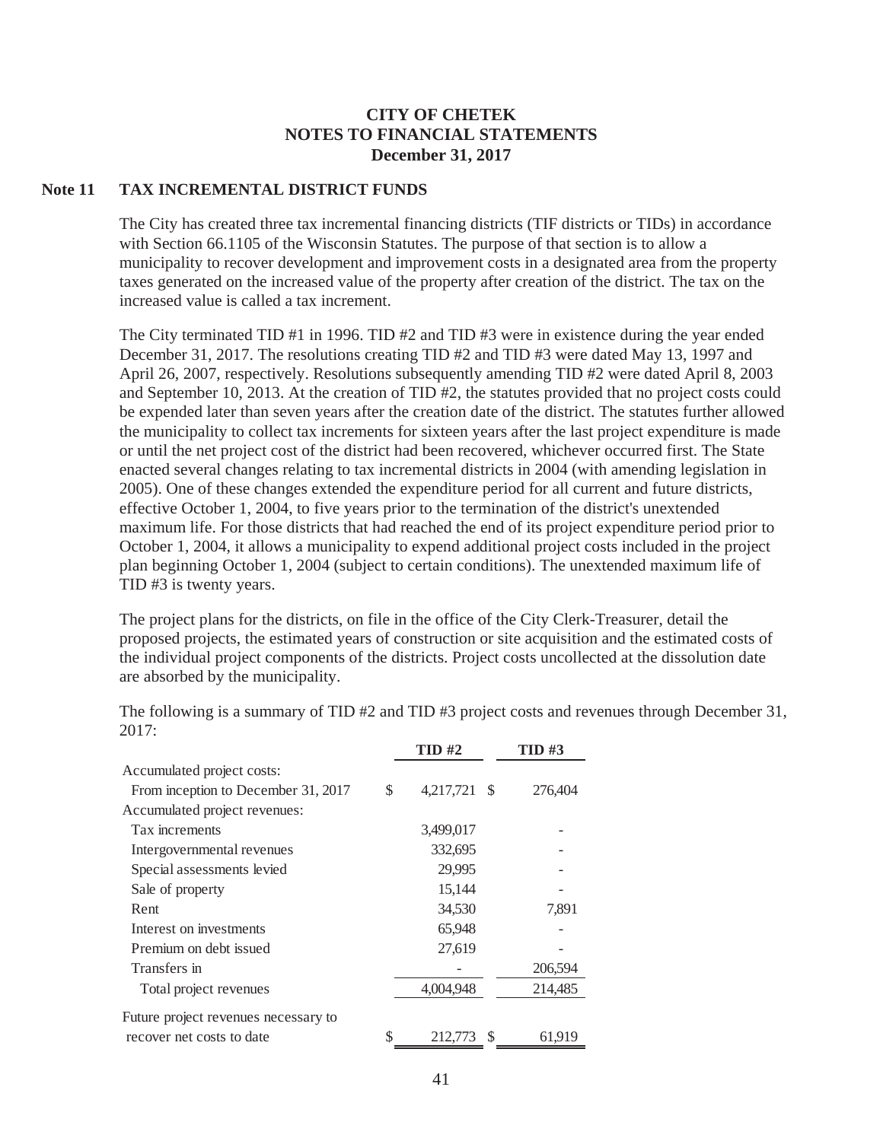#### **Note 11 TAX INCREMENTAL DISTRICT FUNDS**

The City has created three tax incremental financing districts (TIF districts or TIDs) in accordance with Section 66.1105 of the Wisconsin Statutes. The purpose of that section is to allow a municipality to recover development and improvement costs in a designated area from the property taxes generated on the increased value of the property after creation of the district. The tax on the increased value is called a tax increment.

The City terminated TID #1 in 1996. TID #2 and TID #3 were in existence during the year ended December 31, 2017. The resolutions creating TID #2 and TID #3 were dated May 13, 1997 and April 26, 2007, respectively. Resolutions subsequently amending TID #2 were dated April 8, 2003 and September 10, 2013. At the creation of TID #2, the statutes provided that no project costs could be expended later than seven years after the creation date of the district. The statutes further allowed the municipality to collect tax increments for sixteen years after the last project expenditure is made or until the net project cost of the district had been recovered, whichever occurred first. The State enacted several changes relating to tax incremental districts in 2004 (with amending legislation in 2005). One of these changes extended the expenditure period for all current and future districts, effective October 1, 2004, to five years prior to the termination of the district's unextended maximum life. For those districts that had reached the end of its project expenditure period prior to October 1, 2004, it allows a municipality to expend additional project costs included in the project plan beginning October 1, 2004 (subject to certain conditions). The unextended maximum life of TID #3 is twenty years.

The project plans for the districts, on file in the office of the City Clerk-Treasurer, detail the proposed projects, the estimated years of construction or site acquisition and the estimated costs of the individual project components of the districts. Project costs uncollected at the dissolution date are absorbed by the municipality.

|                                      | <b>TID #2</b>      | <b>TID #3</b> |
|--------------------------------------|--------------------|---------------|
| Accumulated project costs:           |                    |               |
| From inception to December 31, 2017  | \$<br>4,217,721 \$ | 276,404       |
| Accumulated project revenues:        |                    |               |
| Tax increments                       | 3,499,017          |               |
| Intergovernmental revenues           | 332,695            |               |
| Special assessments levied           | 29,995             |               |
| Sale of property                     | 15,144             |               |
| Rent                                 | 34,530             | 7,891         |
| Interest on investments              | 65,948             |               |
| Premium on debt issued               | 27,619             |               |
| Transfers in                         |                    | 206,594       |
| Total project revenues               | 4,004,948          | 214,485       |
| Future project revenues necessary to |                    |               |
| recover net costs to date            | 212,773 \$         | 61,919        |

The following is a summary of TID #2 and TID #3 project costs and revenues through December 31, 2017: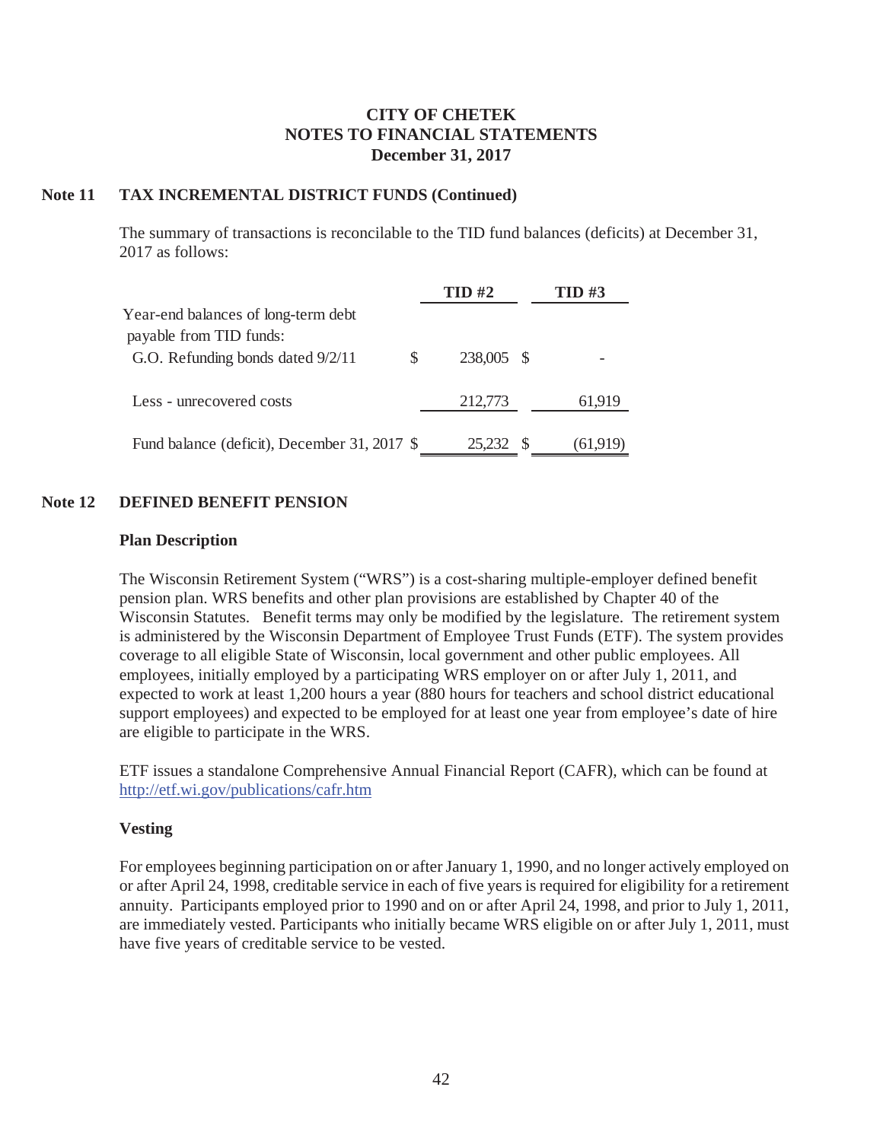#### **Note 11 TAX INCREMENTAL DISTRICT FUNDS (Continued)**

The summary of transactions is reconcilable to the TID fund balances (deficits) at December 31, 2017 as follows:

|                                                                                                          | <b>TID #2</b> | $TID \#3$ |
|----------------------------------------------------------------------------------------------------------|---------------|-----------|
| Year-end balances of long-term debt<br>payable from TID funds:<br>G.O. Refunding bonds dated 9/2/11<br>S | 238,005 \$    |           |
| Less - unrecovered costs                                                                                 | 212,773       | 61,919    |
| Fund balance (deficit), December 31, 2017 \$                                                             | 25.232        | (61,919)  |

### **Note 12 DEFINED BENEFIT PENSION**

#### **Plan Description**

The Wisconsin Retirement System ("WRS") is a cost-sharing multiple-employer defined benefit pension plan. WRS benefits and other plan provisions are established by Chapter 40 of the Wisconsin Statutes. Benefit terms may only be modified by the legislature. The retirement system is administered by the Wisconsin Department of Employee Trust Funds (ETF). The system provides coverage to all eligible State of Wisconsin, local government and other public employees. All employees, initially employed by a participating WRS employer on or after July 1, 2011, and expected to work at least 1,200 hours a year (880 hours for teachers and school district educational support employees) and expected to be employed for at least one year from employee's date of hire are eligible to participate in the WRS.

ETF issues a standalone Comprehensive Annual Financial Report (CAFR), which can be found at http://etf.wi.gov/publications/cafr.htm

### **Vesting**

For employees beginning participation on or after January 1, 1990, and no longer actively employed on or after April 24, 1998, creditable service in each of five years is required for eligibility for a retirement annuity. Participants employed prior to 1990 and on or after April 24, 1998, and prior to July 1, 2011, are immediately vested. Participants who initially became WRS eligible on or after July 1, 2011, must have five years of creditable service to be vested.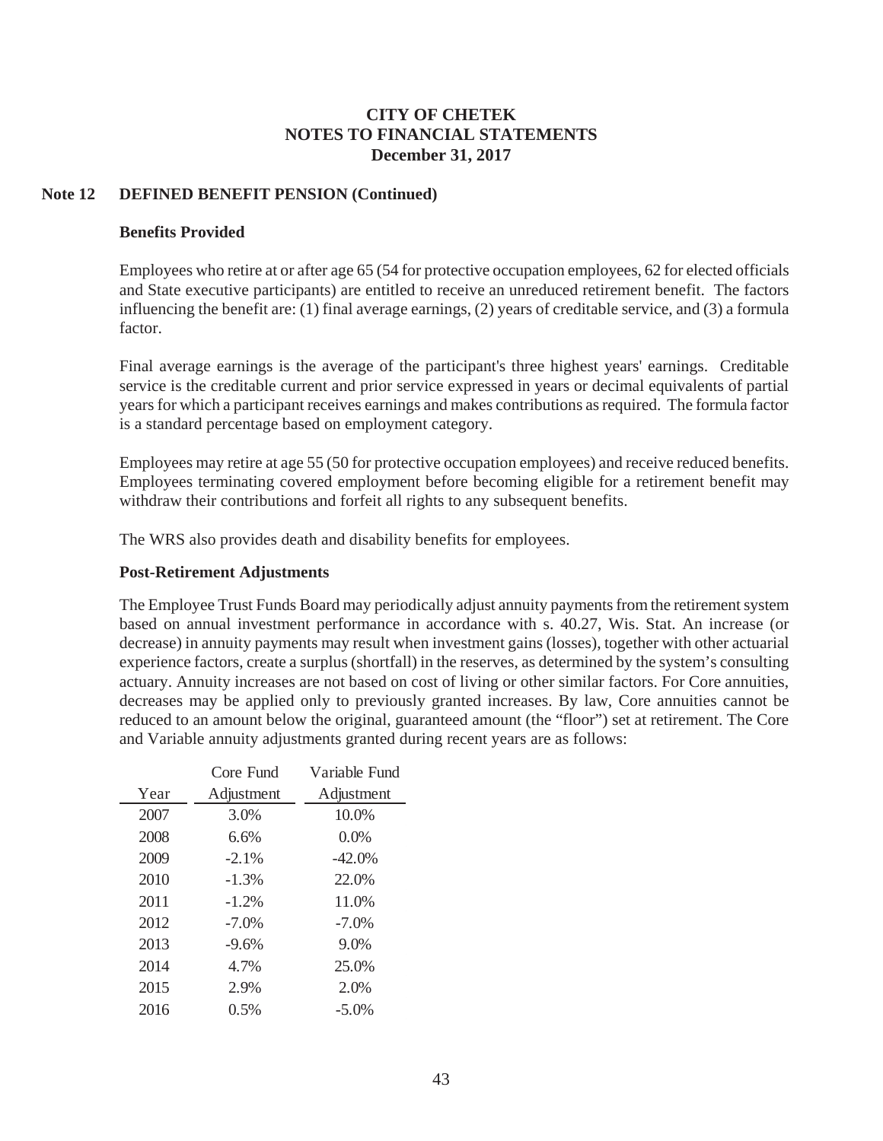### **Note 12 DEFINED BENEFIT PENSION (Continued)**

#### **Benefits Provided**

Employees who retire at or after age 65 (54 for protective occupation employees, 62 for elected officials and State executive participants) are entitled to receive an unreduced retirement benefit. The factors influencing the benefit are: (1) final average earnings, (2) years of creditable service, and (3) a formula factor.

Final average earnings is the average of the participant's three highest years' earnings. Creditable service is the creditable current and prior service expressed in years or decimal equivalents of partial years for which a participant receives earnings and makes contributions as required. The formula factor is a standard percentage based on employment category.

Employees may retire at age 55 (50 for protective occupation employees) and receive reduced benefits. Employees terminating covered employment before becoming eligible for a retirement benefit may withdraw their contributions and forfeit all rights to any subsequent benefits.

The WRS also provides death and disability benefits for employees.

#### **Post-Retirement Adjustments**

The Employee Trust Funds Board may periodically adjust annuity payments from the retirement system based on annual investment performance in accordance with s. 40.27, Wis. Stat. An increase (or decrease) in annuity payments may result when investment gains (losses), together with other actuarial experience factors, create a surplus (shortfall) in the reserves, as determined by the system's consulting actuary. Annuity increases are not based on cost of living or other similar factors. For Core annuities, decreases may be applied only to previously granted increases. By law, Core annuities cannot be reduced to an amount below the original, guaranteed amount (the "floor") set at retirement. The Core and Variable annuity adjustments granted during recent years are as follows:

|      | Core Fund  | Variable Fund |
|------|------------|---------------|
| Year | Adjustment | Adjustment    |
| 2007 | 3.0%       | 10.0%         |
| 2008 | 6.6%       | 0.0%          |
| 2009 | $-2.1%$    | $-42.0%$      |
| 2010 | $-1.3%$    | 22.0%         |
| 2011 | $-1.2%$    | 11.0%         |
| 2012 | $-7.0\%$   | $-7.0\%$      |
| 2013 | $-9.6%$    | 9.0%          |
| 2014 | 4.7%       | 25.0%         |
| 2015 | 2.9%       | 2.0%          |
| 2016 | 0.5%       | $-5.0\%$      |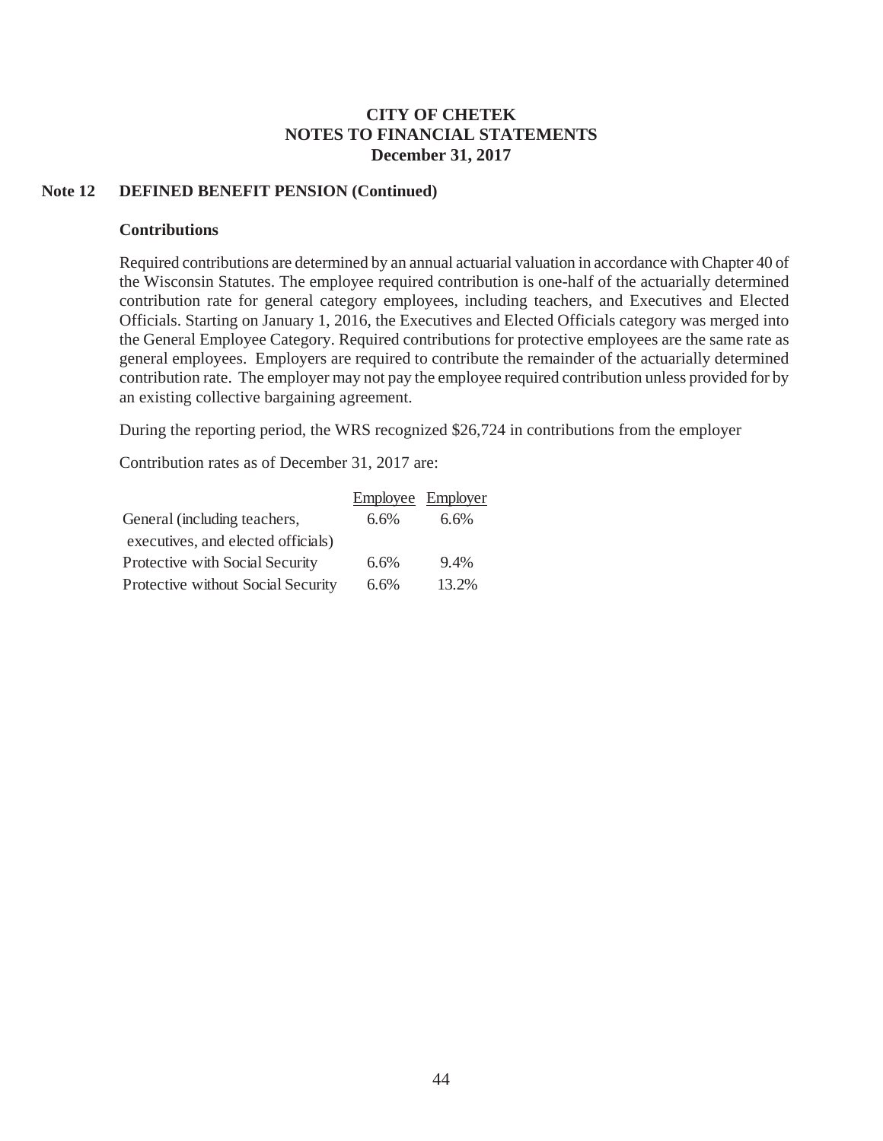# **Note 12 DEFINED BENEFIT PENSION (Continued)**

### **Contributions**

Required contributions are determined by an annual actuarial valuation in accordance with Chapter 40 of the Wisconsin Statutes. The employee required contribution is one-half of the actuarially determined contribution rate for general category employees, including teachers, and Executives and Elected Officials. Starting on January 1, 2016, the Executives and Elected Officials category was merged into the General Employee Category. Required contributions for protective employees are the same rate as general employees. Employers are required to contribute the remainder of the actuarially determined contribution rate. The employer may not pay the employee required contribution unless provided for by an existing collective bargaining agreement.

During the reporting period, the WRS recognized \$26,724 in contributions from the employer

Contribution rates as of December 31, 2017 are:

|                                    | Employee Employer |         |
|------------------------------------|-------------------|---------|
| General (including teachers,       | $6.6\%$           | 6.6%    |
| executives, and elected officials) |                   |         |
| Protective with Social Security    | 6.6%              | $9.4\%$ |
| Protective without Social Security | 6.6%              | 13.2%   |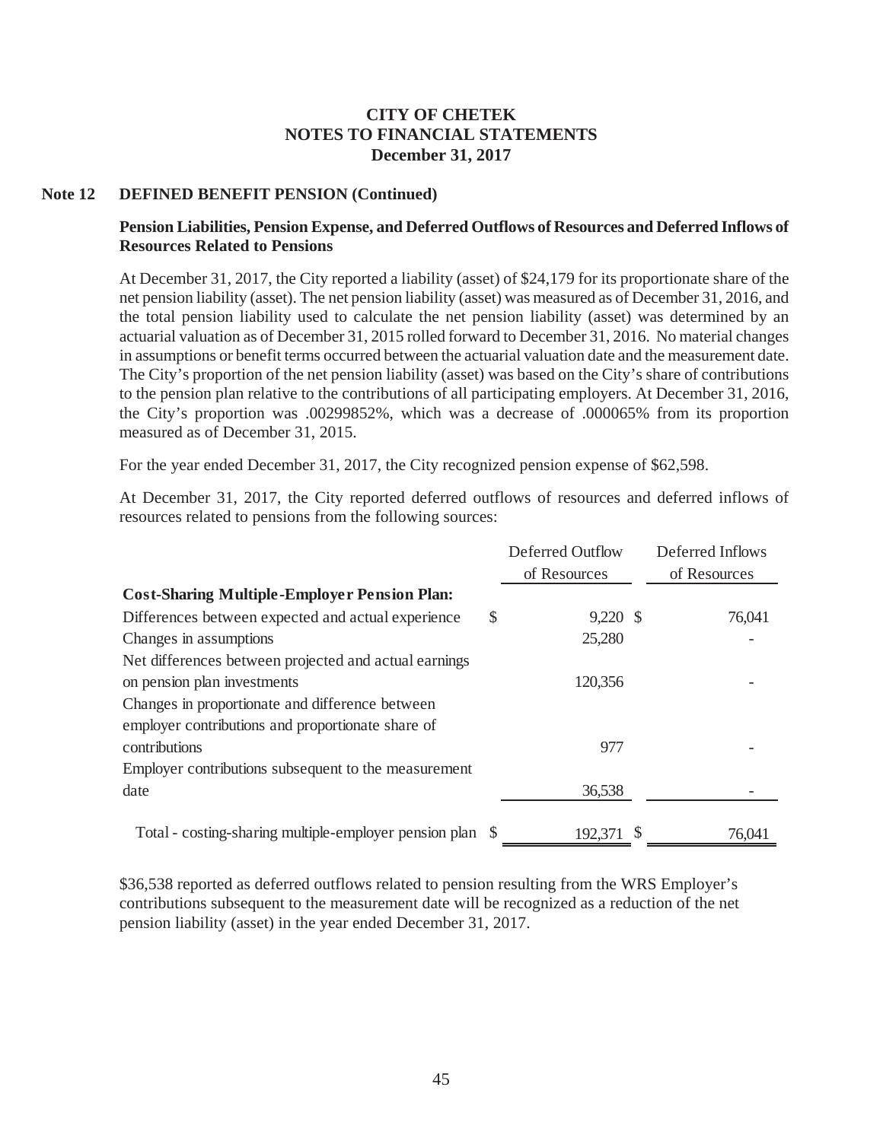### **Note 12 DEFINED BENEFIT PENSION (Continued)**

### **Pension Liabilities, Pension Expense, and Deferred Outflows of Resources and Deferred Inflows of Resources Related to Pensions**

At December 31, 2017, the City reported a liability (asset) of \$24,179 for its proportionate share of the net pension liability (asset). The net pension liability (asset) was measured as of December 31, 2016, and the total pension liability used to calculate the net pension liability (asset) was determined by an actuarial valuation as of December 31, 2015 rolled forward to December 31, 2016. No material changes in assumptions or benefit terms occurred between the actuarial valuation date and the measurement date. The City's proportion of the net pension liability (asset) was based on the City's share of contributions to the pension plan relative to the contributions of all participating employers. At December 31, 2016, the City's proportion was .00299852%, which was a decrease of .000065% from its proportion measured as of December 31, 2015.

For the year ended December 31, 2017, the City recognized pension expense of \$62,598.

At December 31, 2017, the City reported deferred outflows of resources and deferred inflows of resources related to pensions from the following sources:

|                                                           | <b>Deferred Outflow</b> |     | Deferred Inflows |
|-----------------------------------------------------------|-------------------------|-----|------------------|
|                                                           | of Resources            |     | of Resources     |
| <b>Cost-Sharing Multiple-Employer Pension Plan:</b>       |                         |     |                  |
| Differences between expected and actual experience        | \$<br>$9,220$ \$        |     | 76,041           |
| Changes in assumptions                                    | 25,280                  |     |                  |
| Net differences between projected and actual earnings     |                         |     |                  |
| on pension plan investments                               | 120,356                 |     |                  |
| Changes in proportionate and difference between           |                         |     |                  |
| employer contributions and proportionate share of         |                         |     |                  |
| contributions                                             | 977                     |     |                  |
| Employer contributions subsequent to the measurement      |                         |     |                  |
| date                                                      | 36,538                  |     |                  |
| Total - costing-sharing multiple-employer pension plan \$ | 192,371                 | - S |                  |
|                                                           |                         |     | 76,041           |

\$36,538 reported as deferred outflows related to pension resulting from the WRS Employer's contributions subsequent to the measurement date will be recognized as a reduction of the net pension liability (asset) in the year ended December 31, 2017.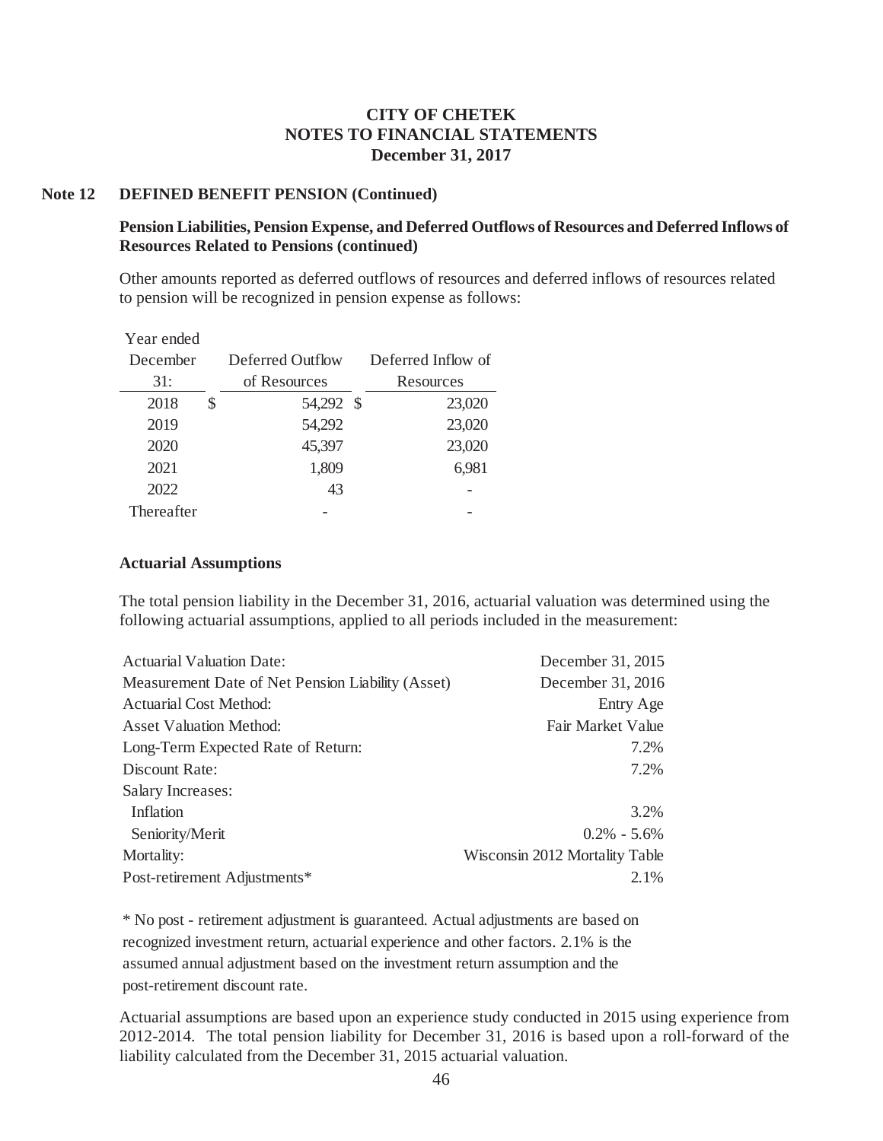### **Note 12 DEFINED BENEFIT PENSION (Continued)**

### **Pension Liabilities, Pension Expense, and Deferred Outflows of Resources and Deferred Inflows of Resources Related to Pensions (continued)**

Other amounts reported as deferred outflows of resources and deferred inflows of resources related to pension will be recognized in pension expense as follows:

| Year ended |   |                  |                    |
|------------|---|------------------|--------------------|
| December   |   | Deferred Outflow | Deferred Inflow of |
| 31:        |   | of Resources     | Resources          |
| 2018       | S | 54,292 \$        | 23,020             |
| 2019       |   | 54,292           | 23,020             |
| 2020       |   | 45,397           | 23,020             |
| 2021       |   | 1,809            | 6,981              |
| 2022       |   | 43               |                    |
| Thereafter |   |                  |                    |

#### **Actuarial Assumptions**

The total pension liability in the December 31, 2016, actuarial valuation was determined using the following actuarial assumptions, applied to all periods included in the measurement:

| <b>Actuarial Valuation Date:</b>                  | December 31, 2015              |
|---------------------------------------------------|--------------------------------|
| Measurement Date of Net Pension Liability (Asset) | December 31, 2016              |
| <b>Actuarial Cost Method:</b>                     | Entry Age                      |
| <b>Asset Valuation Method:</b>                    | Fair Market Value              |
| Long-Term Expected Rate of Return:                | 7.2%                           |
| Discount Rate:                                    | 7.2%                           |
| <b>Salary Increases:</b>                          |                                |
| Inflation                                         | 3.2%                           |
| Seniority/Merit                                   | $0.2\% - 5.6\%$                |
| Mortality:                                        | Wisconsin 2012 Mortality Table |
| Post-retirement Adjustments*                      | 2.1%                           |

\* No post - retirement adjustment is guaranteed. Actual adjustments are based on recognized investment return, actuarial experience and other factors. 2.1% is the assumed annual adjustment based on the investment return assumption and the post-retirement discount rate.

Actuarial assumptions are based upon an experience study conducted in 2015 using experience from 2012-2014. The total pension liability for December 31, 2016 is based upon a roll-forward of the liability calculated from the December 31, 2015 actuarial valuation.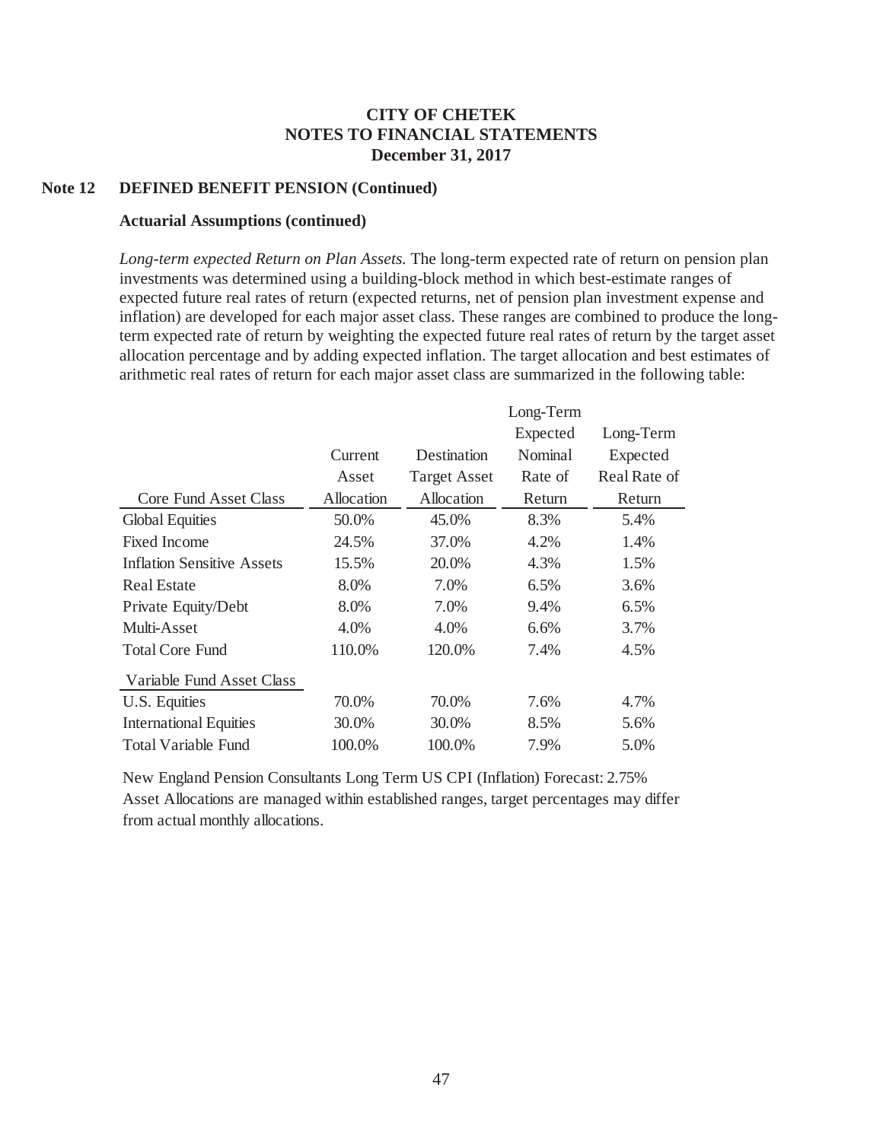#### **Note 12 DEFINED BENEFIT PENSION (Continued)**

#### **Actuarial Assumptions (continued)**

*Long-term expected Return on Plan Assets.* The long-term expected rate of return on pension plan investments was determined using a building-block method in which best-estimate ranges of expected future real rates of return (expected returns, net of pension plan investment expense and inflation) are developed for each major asset class. These ranges are combined to produce the longterm expected rate of return by weighting the expected future real rates of return by the target asset allocation percentage and by adding expected inflation. The target allocation and best estimates of arithmetic real rates of return for each major asset class are summarized in the following table:

|                                   |            |                     | Long-Term |              |
|-----------------------------------|------------|---------------------|-----------|--------------|
|                                   |            |                     | Expected  | Long-Term    |
|                                   | Current    | Destination         | Nominal   | Expected     |
|                                   | Asset      | <b>Target Asset</b> | Rate of   | Real Rate of |
| Core Fund Asset Class             | Allocation | Allocation          | Return    | Return       |
| <b>Global Equities</b>            | 50.0%      | 45.0%               | 8.3%      | 5.4%         |
| Fixed Income                      | 24.5%      | 37.0%               | 4.2%      | 1.4%         |
| <b>Inflation Sensitive Assets</b> | 15.5%      | 20.0%               | 4.3%      | 1.5%         |
| <b>Real Estate</b>                | 8.0%       | 7.0%                | 6.5%      | 3.6%         |
| Private Equity/Debt               | 8.0%       | 7.0%                | 9.4%      | 6.5%         |
| Multi-Asset                       | 4.0%       | 4.0%                | 6.6%      | 3.7%         |
| <b>Total Core Fund</b>            | 110.0%     | 120.0%              | 7.4%      | 4.5%         |
| Variable Fund Asset Class         |            |                     |           |              |
| U.S. Equities                     | 70.0%      | 70.0%               | 7.6%      | 4.7%         |
| <b>International Equities</b>     | 30.0%      | 30.0%               | 8.5%      | 5.6%         |
| Total Variable Fund               | 100.0%     | 100.0%              | 7.9%      | 5.0%         |

New England Pension Consultants Long Term US CPI (Inflation) Forecast: 2.75% Asset Allocations are managed within established ranges, target percentages may differ from actual monthly allocations.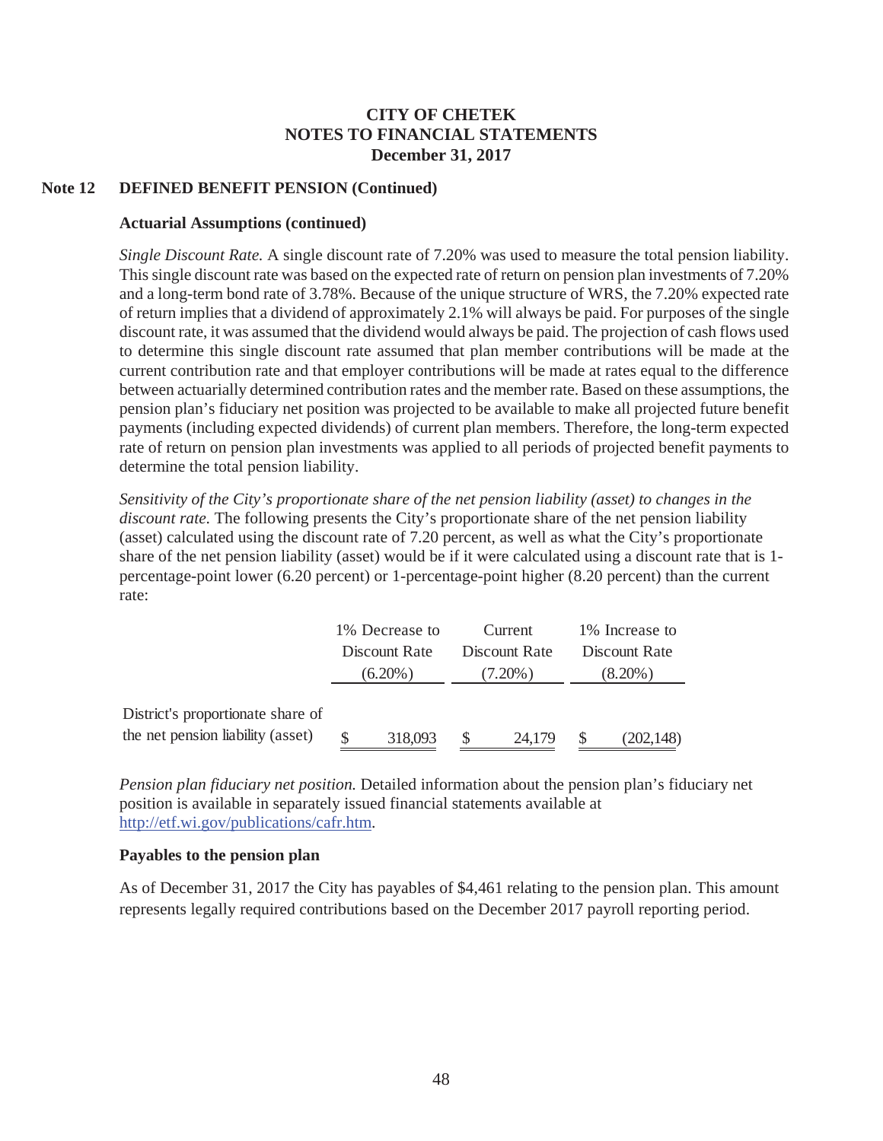### **Note 12 DEFINED BENEFIT PENSION (Continued)**

#### **Actuarial Assumptions (continued)**

*Single Discount Rate.* A single discount rate of 7.20% was used to measure the total pension liability. This single discount rate was based on the expected rate of return on pension plan investments of 7.20% and a long-term bond rate of 3.78%. Because of the unique structure of WRS, the 7.20% expected rate of return implies that a dividend of approximately 2.1% will always be paid. For purposes of the single discount rate, it was assumed that the dividend would always be paid. The projection of cash flows used to determine this single discount rate assumed that plan member contributions will be made at the current contribution rate and that employer contributions will be made at rates equal to the difference between actuarially determined contribution rates and the member rate. Based on these assumptions, the pension plan's fiduciary net position was projected to be available to make all projected future benefit payments (including expected dividends) of current plan members. Therefore, the long-term expected rate of return on pension plan investments was applied to all periods of projected benefit payments to determine the total pension liability.

*Sensitivity of the City's proportionate share of the net pension liability (asset) to changes in the discount rate.* The following presents the City's proportionate share of the net pension liability (asset) calculated using the discount rate of 7.20 percent, as well as what the City's proportionate share of the net pension liability (asset) would be if it were calculated using a discount rate that is 1 percentage-point lower (6.20 percent) or 1-percentage-point higher (8.20 percent) than the current rate:

|                                   |            | 1% Decrease to | Current       |            | 1% Increase to |  |
|-----------------------------------|------------|----------------|---------------|------------|----------------|--|
|                                   |            | Discount Rate  | Discount Rate |            | Discount Rate  |  |
|                                   | $(6.20\%)$ |                | $(7.20\%)$    | $(8.20\%)$ |                |  |
|                                   |            |                |               |            |                |  |
| District's proportionate share of |            |                |               |            |                |  |
| the net pension liability (asset) |            | 318,093        | 24,179        |            | (202, 148)     |  |

*Pension plan fiduciary net position.* Detailed information about the pension plan's fiduciary net position is available in separately issued financial statements available at http://etf.wi.gov/publications/cafr.htm.

#### **Payables to the pension plan**

As of December 31, 2017 the City has payables of \$4,461 relating to the pension plan. This amount represents legally required contributions based on the December 2017 payroll reporting period.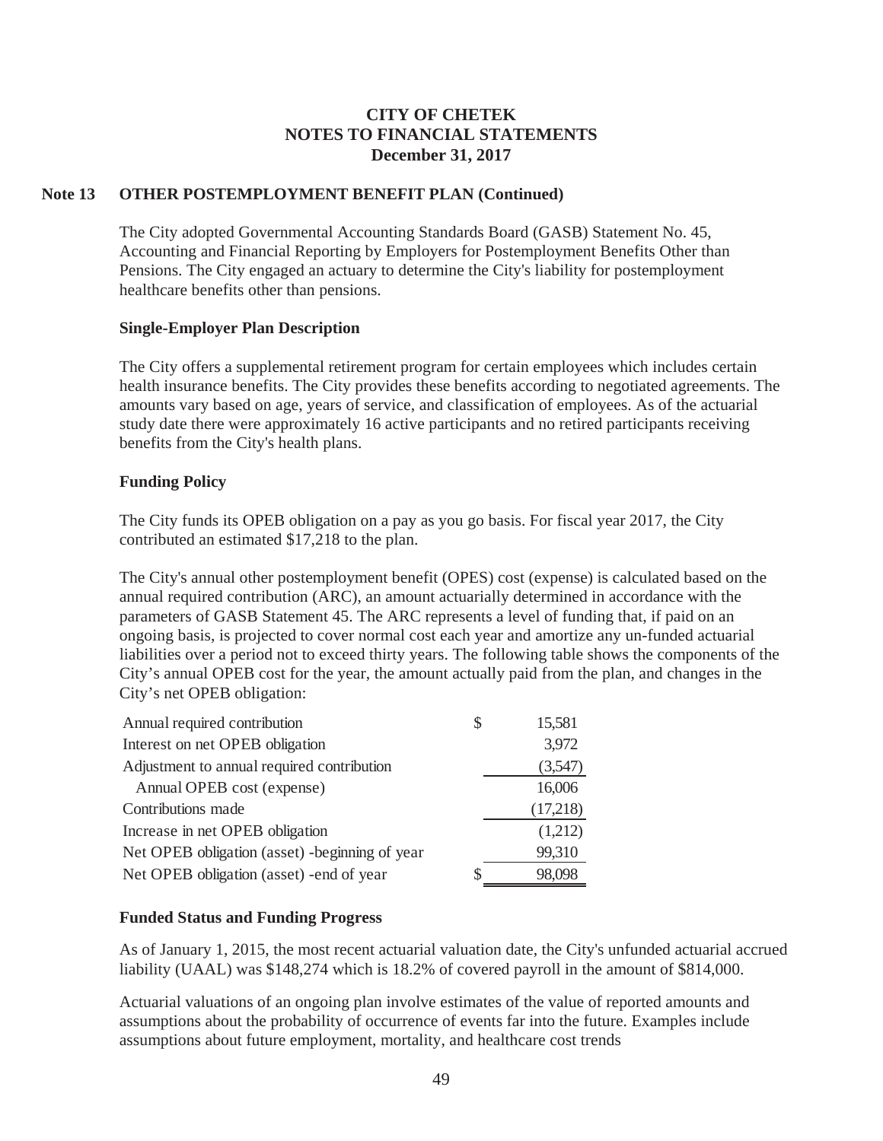### **Note 13 OTHER POSTEMPLOYMENT BENEFIT PLAN (Continued)**

The City adopted Governmental Accounting Standards Board (GASB) Statement No. 45, Accounting and Financial Reporting by Employers for Postemployment Benefits Other than Pensions. The City engaged an actuary to determine the City's liability for postemployment healthcare benefits other than pensions.

### **Single-Employer Plan Description**

The City offers a supplemental retirement program for certain employees which includes certain health insurance benefits. The City provides these benefits according to negotiated agreements. The amounts vary based on age, years of service, and classification of employees. As of the actuarial study date there were approximately 16 active participants and no retired participants receiving benefits from the City's health plans.

### **Funding Policy**

The City funds its OPEB obligation on a pay as you go basis. For fiscal year 2017, the City contributed an estimated \$17,218 to the plan.

The City's annual other postemployment benefit (OPES) cost (expense) is calculated based on the annual required contribution (ARC), an amount actuarially determined in accordance with the parameters of GASB Statement 45. The ARC represents a level of funding that, if paid on an ongoing basis, is projected to cover normal cost each year and amortize any un-funded actuarial liabilities over a period not to exceed thirty years. The following table shows the components of the City's annual OPEB cost for the year, the amount actually paid from the plan, and changes in the City's net OPEB obligation:

| Annual required contribution                   | 15,581   |
|------------------------------------------------|----------|
| Interest on net OPEB obligation                | 3,972    |
| Adjustment to annual required contribution     | (3,547)  |
| Annual OPEB cost (expense)                     | 16,006   |
| Contributions made                             | (17,218) |
| Increase in net OPEB obligation                | (1,212)  |
| Net OPEB obligation (asset) -beginning of year | 99,310   |
| Net OPEB obligation (asset) - end of year      | 98,098   |

#### **Funded Status and Funding Progress**

As of January 1, 2015, the most recent actuarial valuation date, the City's unfunded actuarial accrued liability (UAAL) was \$148,274 which is 18.2% of covered payroll in the amount of \$814,000.

Actuarial valuations of an ongoing plan involve estimates of the value of reported amounts and assumptions about the probability of occurrence of events far into the future. Examples include assumptions about future employment, mortality, and healthcare cost trends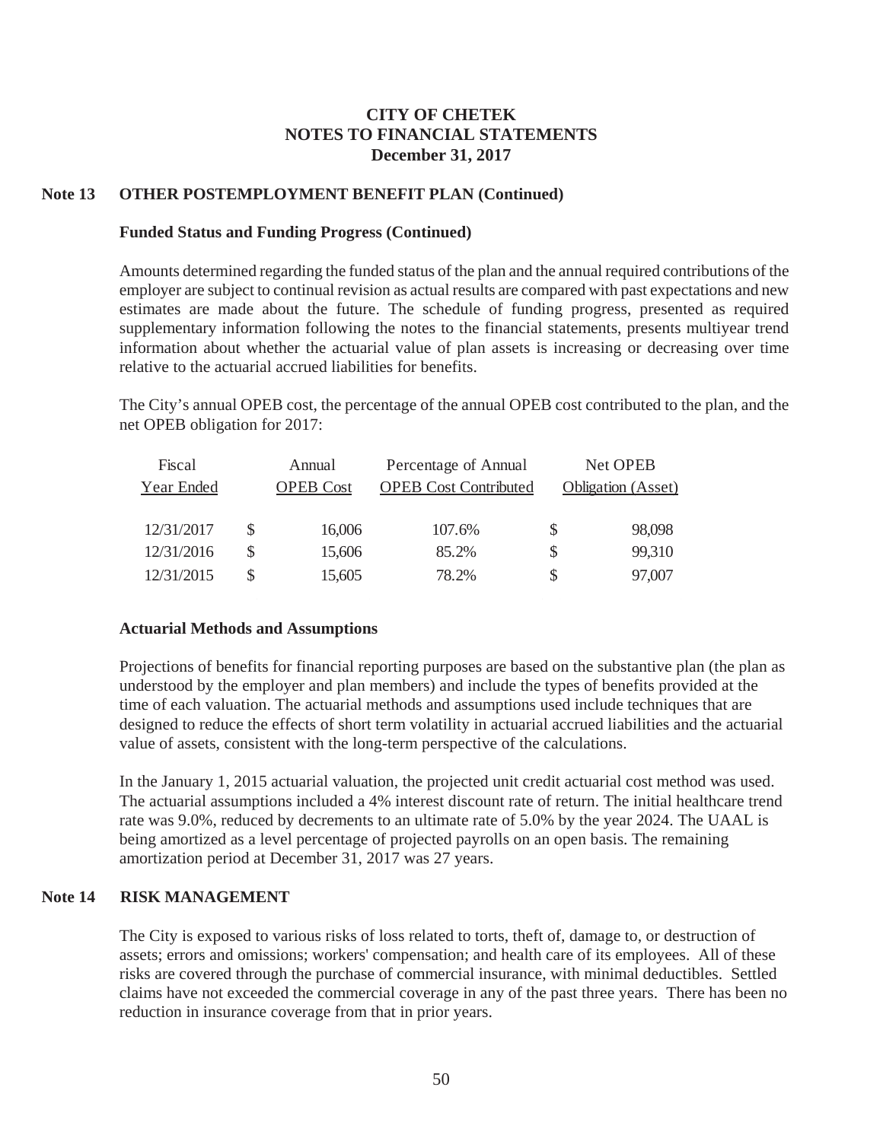### **Note 13 OTHER POSTEMPLOYMENT BENEFIT PLAN (Continued)**

#### **Funded Status and Funding Progress (Continued)**

Amounts determined regarding the funded status of the plan and the annual required contributions of the employer are subject to continual revision as actual results are compared with past expectations and new estimates are made about the future. The schedule of funding progress, presented as required supplementary information following the notes to the financial statements, presents multiyear trend information about whether the actuarial value of plan assets is increasing or decreasing over time relative to the actuarial accrued liabilities for benefits.

The City's annual OPEB cost, the percentage of the annual OPEB cost contributed to the plan, and the net OPEB obligation for 2017:

| Fiscal     |                  | Annual | Percentage of Annual         |                           | Net OPEB |  |  |
|------------|------------------|--------|------------------------------|---------------------------|----------|--|--|
| Year Ended | <b>OPEB Cost</b> |        | <b>OPEB Cost Contributed</b> | <b>Obligation</b> (Asset) |          |  |  |
|            |                  |        |                              |                           |          |  |  |
| 12/31/2017 |                  | 16,006 | 107.6%                       |                           | 98,098   |  |  |
| 12/31/2016 | S                | 15,606 | 85.2%                        |                           | 99,310   |  |  |
| 12/31/2015 | S                | 15,605 | 78.2%                        | S                         | 97,007   |  |  |

#### **Actuarial Methods and Assumptions**

Projections of benefits for financial reporting purposes are based on the substantive plan (the plan as understood by the employer and plan members) and include the types of benefits provided at the time of each valuation. The actuarial methods and assumptions used include techniques that are designed to reduce the effects of short term volatility in actuarial accrued liabilities and the actuarial value of assets, consistent with the long-term perspective of the calculations.

In the January 1, 2015 actuarial valuation, the projected unit credit actuarial cost method was used. The actuarial assumptions included a 4% interest discount rate of return. The initial healthcare trend rate was 9.0%, reduced by decrements to an ultimate rate of 5.0% by the year 2024. The UAAL is being amortized as a level percentage of projected payrolls on an open basis. The remaining amortization period at December 31, 2017 was 27 years.

### **Note 14 RISK MANAGEMENT**

The City is exposed to various risks of loss related to torts, theft of, damage to, or destruction of assets; errors and omissions; workers' compensation; and health care of its employees. All of these risks are covered through the purchase of commercial insurance, with minimal deductibles. Settled claims have not exceeded the commercial coverage in any of the past three years. There has been no reduction in insurance coverage from that in prior years.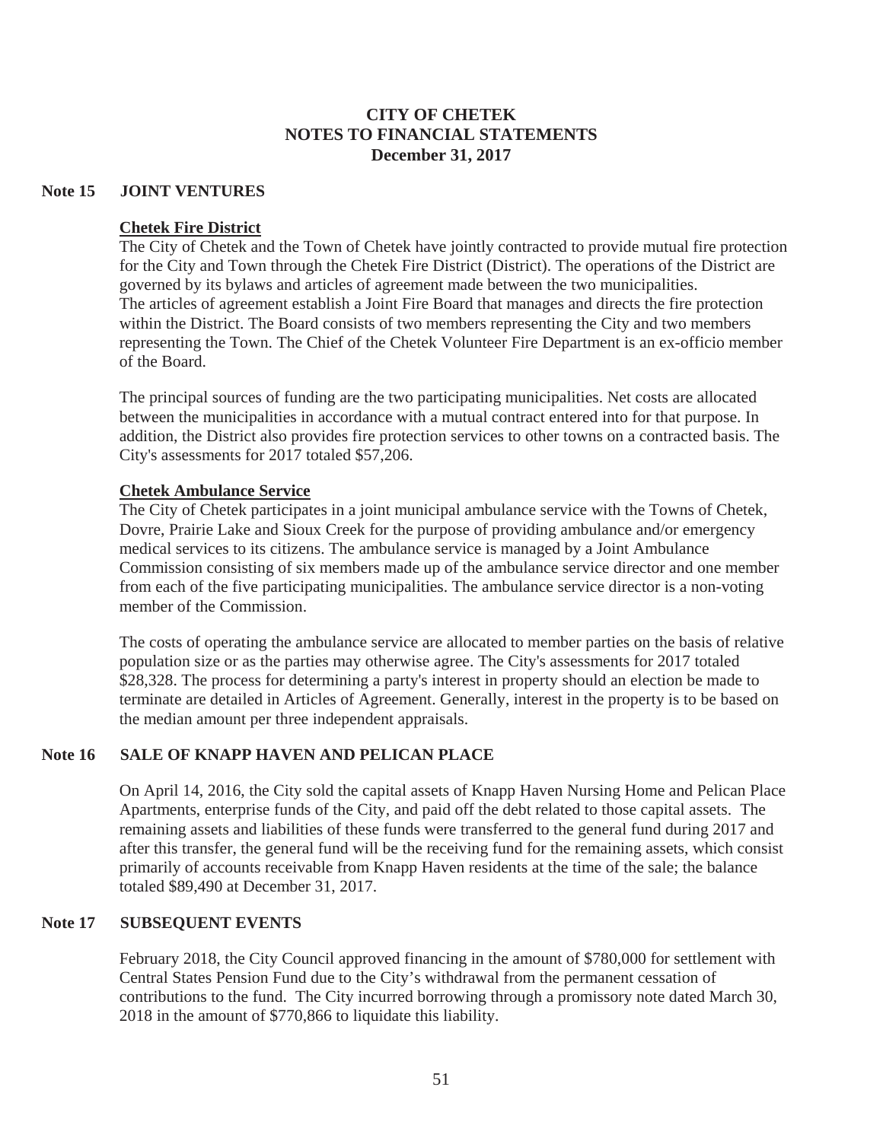#### **Note 15 JOINT VENTURES**

#### **Chetek Fire District**

The City of Chetek and the Town of Chetek have jointly contracted to provide mutual fire protection for the City and Town through the Chetek Fire District (District). The operations of the District are governed by its bylaws and articles of agreement made between the two municipalities. The articles of agreement establish a Joint Fire Board that manages and directs the fire protection within the District. The Board consists of two members representing the City and two members representing the Town. The Chief of the Chetek Volunteer Fire Department is an ex-officio member of the Board.

The principal sources of funding are the two participating municipalities. Net costs are allocated between the municipalities in accordance with a mutual contract entered into for that purpose. In addition, the District also provides fire protection services to other towns on a contracted basis. The City's assessments for 2017 totaled \$57,206.

#### **Chetek Ambulance Service**

The City of Chetek participates in a joint municipal ambulance service with the Towns of Chetek, Dovre, Prairie Lake and Sioux Creek for the purpose of providing ambulance and/or emergency medical services to its citizens. The ambulance service is managed by a Joint Ambulance Commission consisting of six members made up of the ambulance service director and one member from each of the five participating municipalities. The ambulance service director is a non-voting member of the Commission.

The costs of operating the ambulance service are allocated to member parties on the basis of relative population size or as the parties may otherwise agree. The City's assessments for 2017 totaled \$28,328. The process for determining a party's interest in property should an election be made to terminate are detailed in Articles of Agreement. Generally, interest in the property is to be based on the median amount per three independent appraisals.

# **Note 16 SALE OF KNAPP HAVEN AND PELICAN PLACE**

On April 14, 2016, the City sold the capital assets of Knapp Haven Nursing Home and Pelican Place Apartments, enterprise funds of the City, and paid off the debt related to those capital assets. The remaining assets and liabilities of these funds were transferred to the general fund during 2017 and after this transfer, the general fund will be the receiving fund for the remaining assets, which consist primarily of accounts receivable from Knapp Haven residents at the time of the sale; the balance totaled \$89,490 at December 31, 2017.

### **Note 17 SUBSEQUENT EVENTS**

February 2018, the City Council approved financing in the amount of \$780,000 for settlement with Central States Pension Fund due to the City's withdrawal from the permanent cessation of contributions to the fund. The City incurred borrowing through a promissory note dated March 30, 2018 in the amount of \$770,866 to liquidate this liability.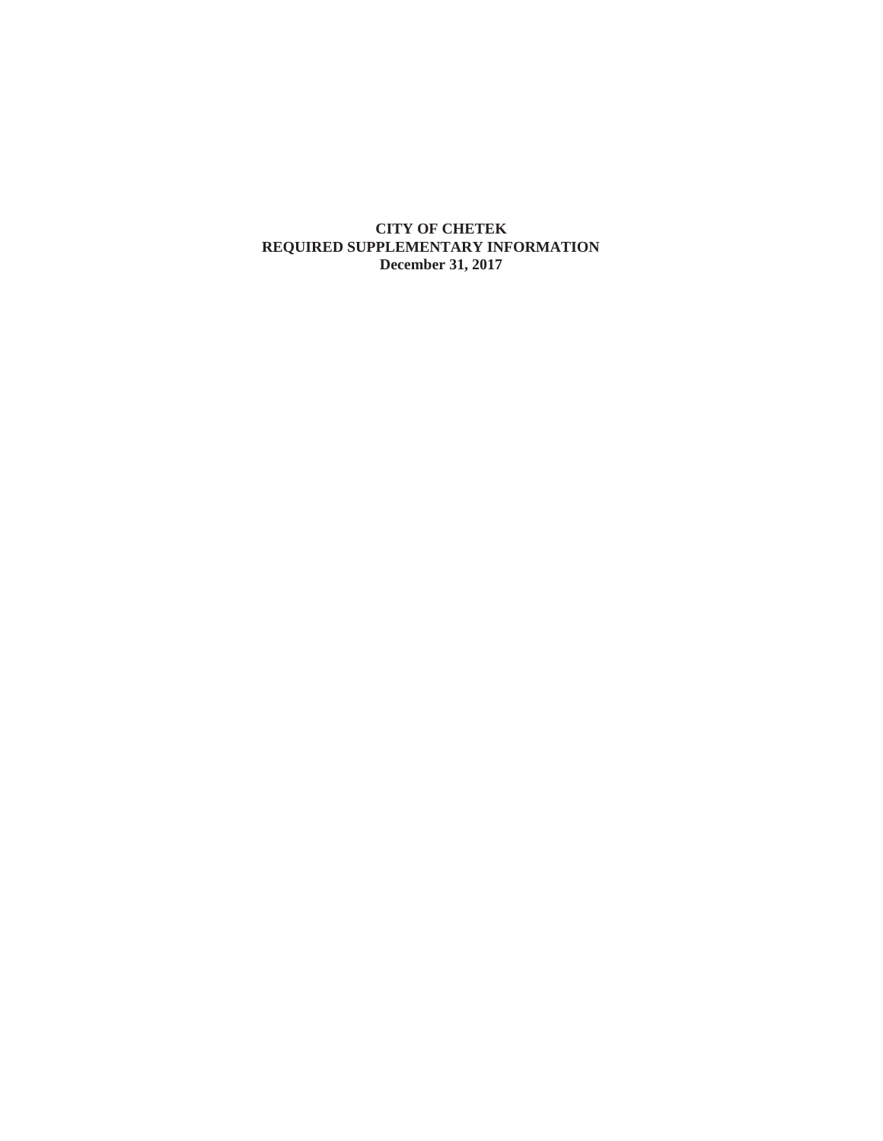**CITY OF CHETEK REQUIRED SUPPLEMENTARY INFORMATION December 31, 2017**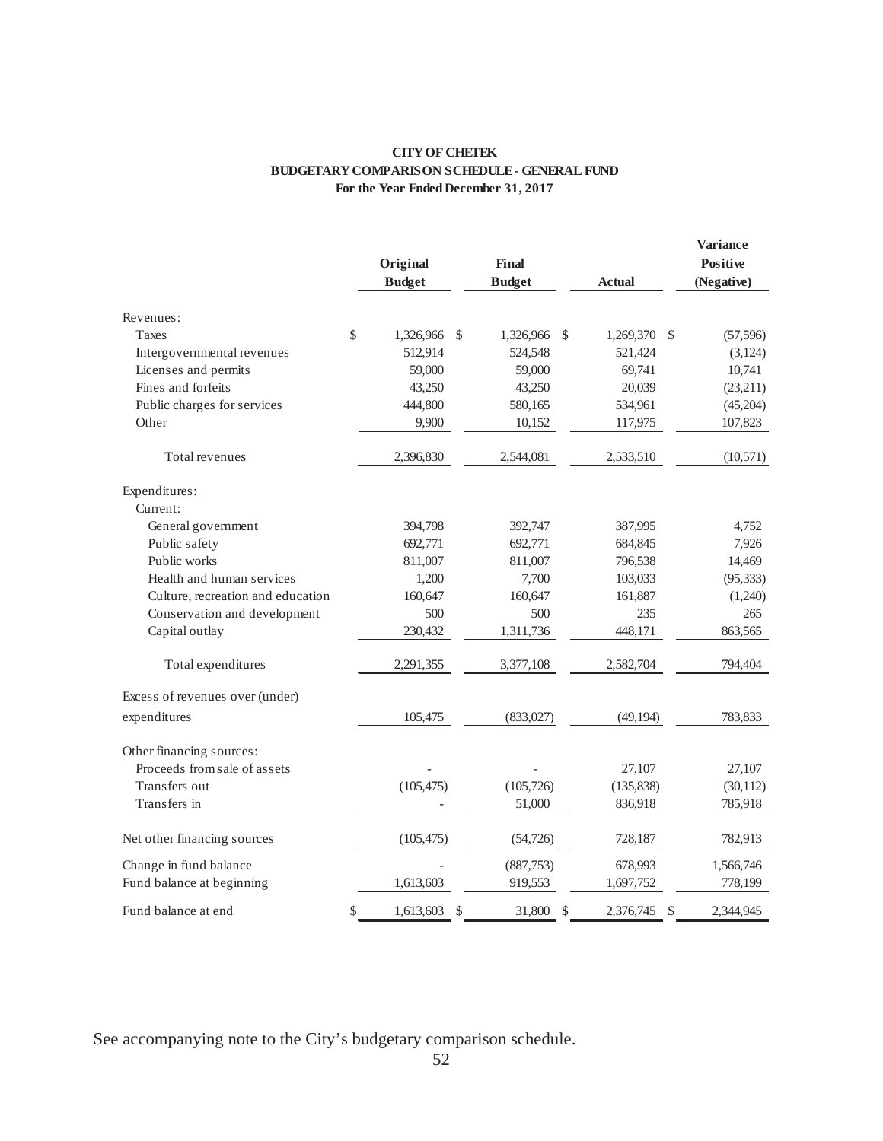### **CITY OF CHETEK For the Year Ended December 31, 2017 BUDGETARY COMPARISON SCHEDULE - GENERAL FUND**

|                                   | Original<br><b>Budget</b> |                 | <b>Final</b><br><b>Budget</b> |               | <b>Actual</b> | <b>Variance</b><br><b>Positive</b><br>(Negative) |           |  |
|-----------------------------------|---------------------------|-----------------|-------------------------------|---------------|---------------|--------------------------------------------------|-----------|--|
| Revenues:                         |                           |                 |                               |               |               |                                                  |           |  |
| Taxes                             | \$                        | 1,326,966<br>\$ | 1,326,966                     | $\mathcal{S}$ | 1,269,370     | <sup>\$</sup>                                    | (57, 596) |  |
| Intergovernmental revenues        |                           | 512,914         | 524,548                       |               | 521,424       |                                                  | (3, 124)  |  |
| Licenses and permits              |                           | 59,000          | 59,000                        |               | 69,741        |                                                  | 10,741    |  |
| Fines and forfeits                |                           | 43,250          | 43,250                        |               | 20,039        |                                                  | (23,211)  |  |
| Public charges for services       |                           | 444,800         | 580,165                       |               | 534,961       |                                                  | (45,204)  |  |
| Other                             |                           | 9,900           | 10,152                        |               | 117,975       |                                                  | 107,823   |  |
| Total revenues                    |                           | 2,396,830       | 2,544,081                     |               | 2,533,510     |                                                  | (10,571)  |  |
| Expenditures:                     |                           |                 |                               |               |               |                                                  |           |  |
| Current:                          |                           |                 |                               |               |               |                                                  |           |  |
| General government                |                           | 394,798         | 392,747                       |               | 387,995       |                                                  | 4,752     |  |
| Public safety                     |                           | 692,771         | 692,771                       |               | 684,845       |                                                  | 7,926     |  |
| Public works                      |                           | 811,007         | 811,007                       |               | 796,538       |                                                  | 14,469    |  |
| Health and human services         |                           | 1,200           | 7,700                         |               | 103,033       |                                                  | (95, 333) |  |
| Culture, recreation and education |                           | 160,647         | 160,647                       |               | 161,887       |                                                  | (1,240)   |  |
| Conservation and development      |                           | 500             | 500                           |               | 235           |                                                  | 265       |  |
| Capital outlay                    |                           | 230,432         | 1,311,736                     |               | 448,171       |                                                  | 863,565   |  |
| Total expenditures                |                           | 2,291,355       | 3,377,108                     |               | 2,582,704     |                                                  | 794,404   |  |
| Excess of revenues over (under)   |                           |                 |                               |               |               |                                                  |           |  |
| expenditures                      |                           | 105,475         | (833,027)                     |               | (49, 194)     |                                                  | 783,833   |  |
| Other financing sources:          |                           |                 |                               |               |               |                                                  |           |  |
| Proceeds from sale of assets      |                           |                 |                               |               | 27,107        |                                                  | 27,107    |  |
| Transfers out                     |                           | (105, 475)      | (105, 726)                    |               | (135, 838)    |                                                  | (30, 112) |  |
| Transfers in                      |                           |                 | 51,000                        |               | 836,918       |                                                  | 785,918   |  |
| Net other financing sources       |                           | (105, 475)      | (54, 726)                     |               | 728,187       |                                                  | 782,913   |  |
| Change in fund balance            |                           |                 | (887,753)                     |               | 678,993       |                                                  | 1,566,746 |  |
| Fund balance at beginning         |                           | 1,613,603       | 919,553                       |               | 1,697,752     |                                                  | 778,199   |  |
| Fund balance at end               | \$                        | \$<br>1,613,603 | 31,800 \$                     |               | 2,376,745     | $\mathcal{S}$                                    | 2,344,945 |  |

See accompanying note to the City's budgetary comparison schedule.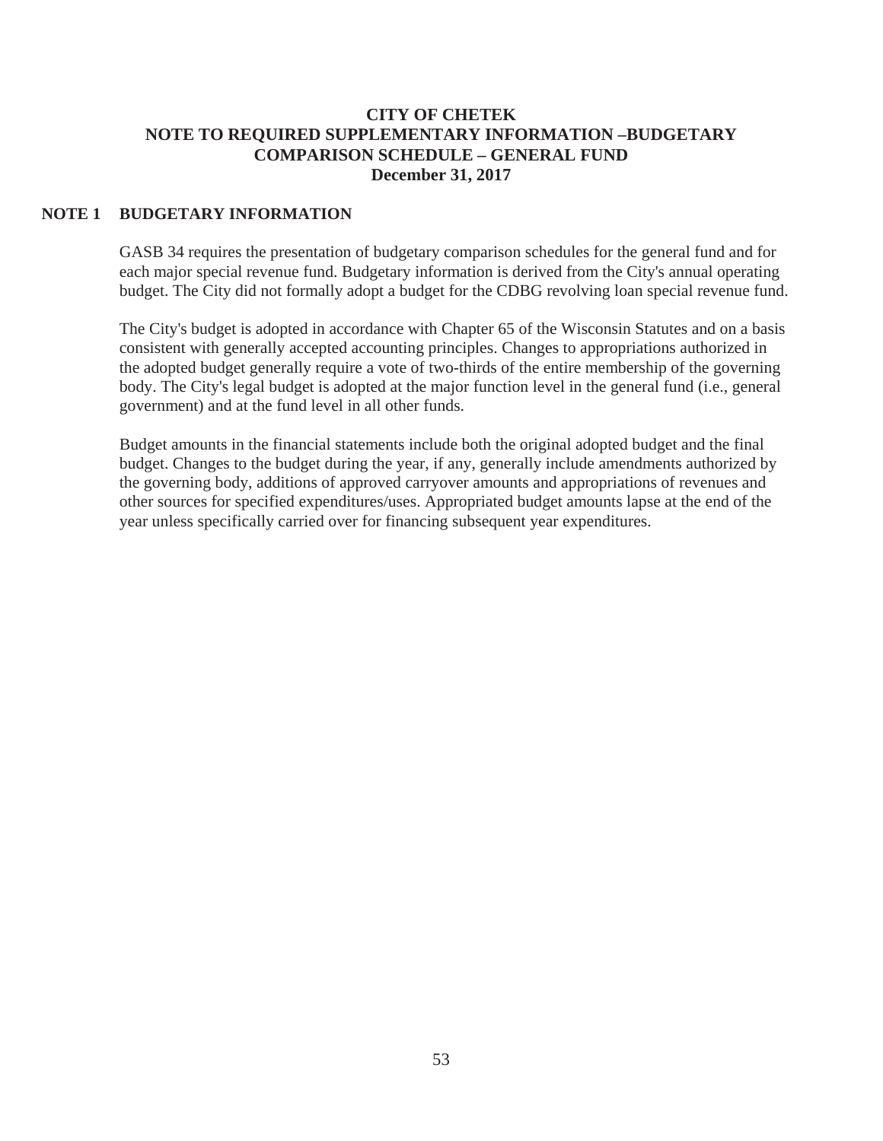## **CITY OF CHETEK NOTE TO REQUIRED SUPPLEMENTARY INFORMATION –BUDGETARY COMPARISON SCHEDULE – GENERAL FUND December 31, 2017**

# **NOTE 1 BUDGETARY INFORMATION**

GASB 34 requires the presentation of budgetary comparison schedules for the general fund and for each major special revenue fund. Budgetary information is derived from the City's annual operating budget. The City did not formally adopt a budget for the CDBG revolving loan special revenue fund.

The City's budget is adopted in accordance with Chapter 65 of the Wisconsin Statutes and on a basis consistent with generally accepted accounting principles. Changes to appropriations authorized in the adopted budget generally require a vote of two-thirds of the entire membership of the governing body. The City's legal budget is adopted at the major function level in the general fund (i.e., general government) and at the fund level in all other funds.

Budget amounts in the financial statements include both the original adopted budget and the final budget. Changes to the budget during the year, if any, generally include amendments authorized by the governing body, additions of approved carryover amounts and appropriations of revenues and other sources for specified expenditures/uses. Appropriated budget amounts lapse at the end of the year unless specifically carried over for financing subsequent year expenditures.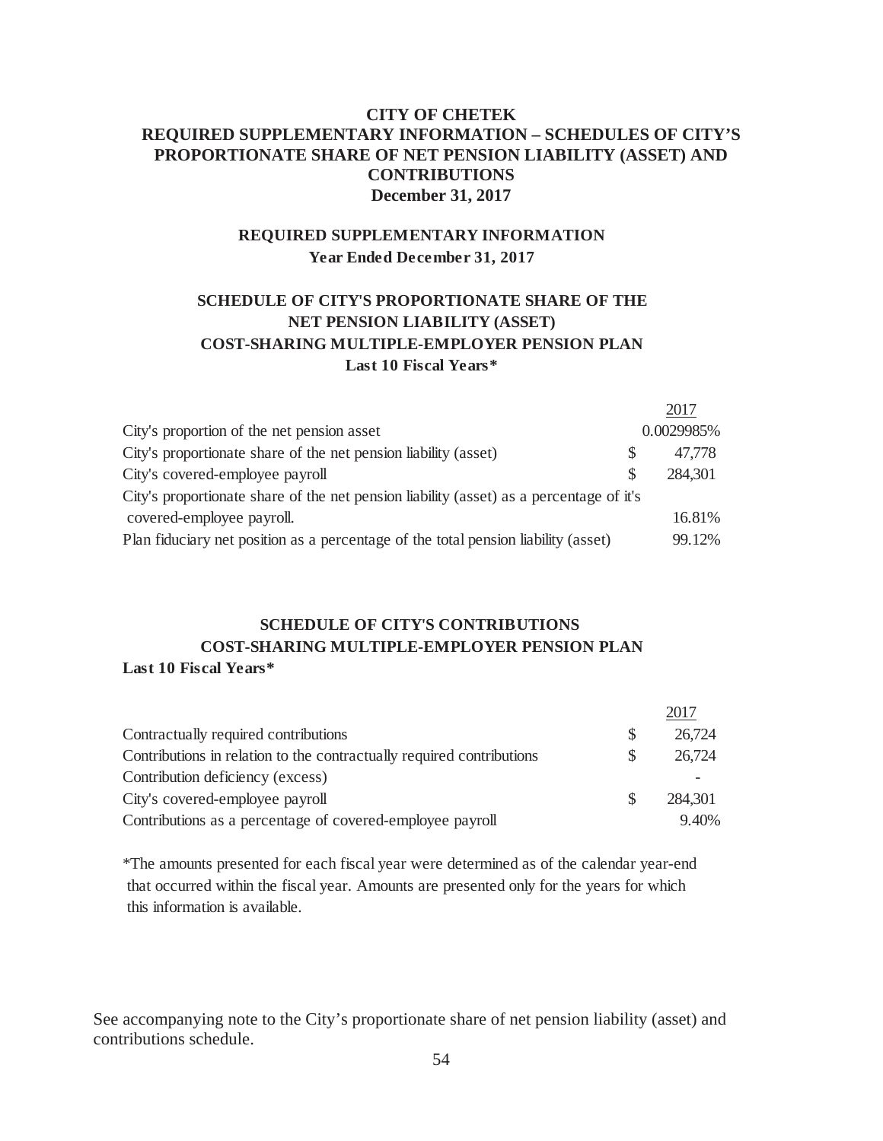# **CITY OF CHETEK REQUIRED SUPPLEMENTARY INFORMATION – SCHEDULES OF CITY'S PROPORTIONATE SHARE OF NET PENSION LIABILITY (ASSET) AND CONTRIBUTIONS December 31, 2017**

# **REQUIRED SUPPLEMENTARY INFORMATION Year Ended December 31, 2017**

# **COST-SHARING MULTIPLE-EMPLOYER PENSION PLAN Last 10 Fiscal Years\* SCHEDULE OF CITY'S PROPORTIONATE SHARE OF THE NET PENSION LIABILITY (ASSET)**

|                                                                                         |    | 2017       |
|-----------------------------------------------------------------------------------------|----|------------|
| City's proportion of the net pension asset                                              |    | 0.0029985% |
| City's proportionate share of the net pension liability (asset)                         | S. | 47.778     |
| City's covered-employee payroll                                                         |    | 284.301    |
| City's proportionate share of the net pension liability (asset) as a percentage of it's |    |            |
| covered-employee payroll.                                                               |    | 16.81%     |
| Plan fiduciary net position as a percentage of the total pension liability (asset)      |    | 99.12%     |

# **Last 10 Fiscal Years\* SCHEDULE OF CITY'S CONTRIBUTIONS COST-SHARING MULTIPLE-EMPLOYER PENSION PLAN**

|                                                                       |              | 2017    |
|-----------------------------------------------------------------------|--------------|---------|
| Contractually required contributions                                  | <sup>S</sup> | 26,724  |
| Contributions in relation to the contractually required contributions | <b>S</b>     | 26,724  |
| Contribution deficiency (excess)                                      |              |         |
| City's covered-employee payroll                                       | S.           | 284.301 |
| Contributions as a percentage of covered-employee payroll             |              | 9.40%   |

\*The amounts presented for each fiscal year were determined as of the calendar year-end that occurred within the fiscal year. Amounts are presented only for the years for which this information is available.

See accompanying note to the City's proportionate share of net pension liability (asset) and contributions schedule.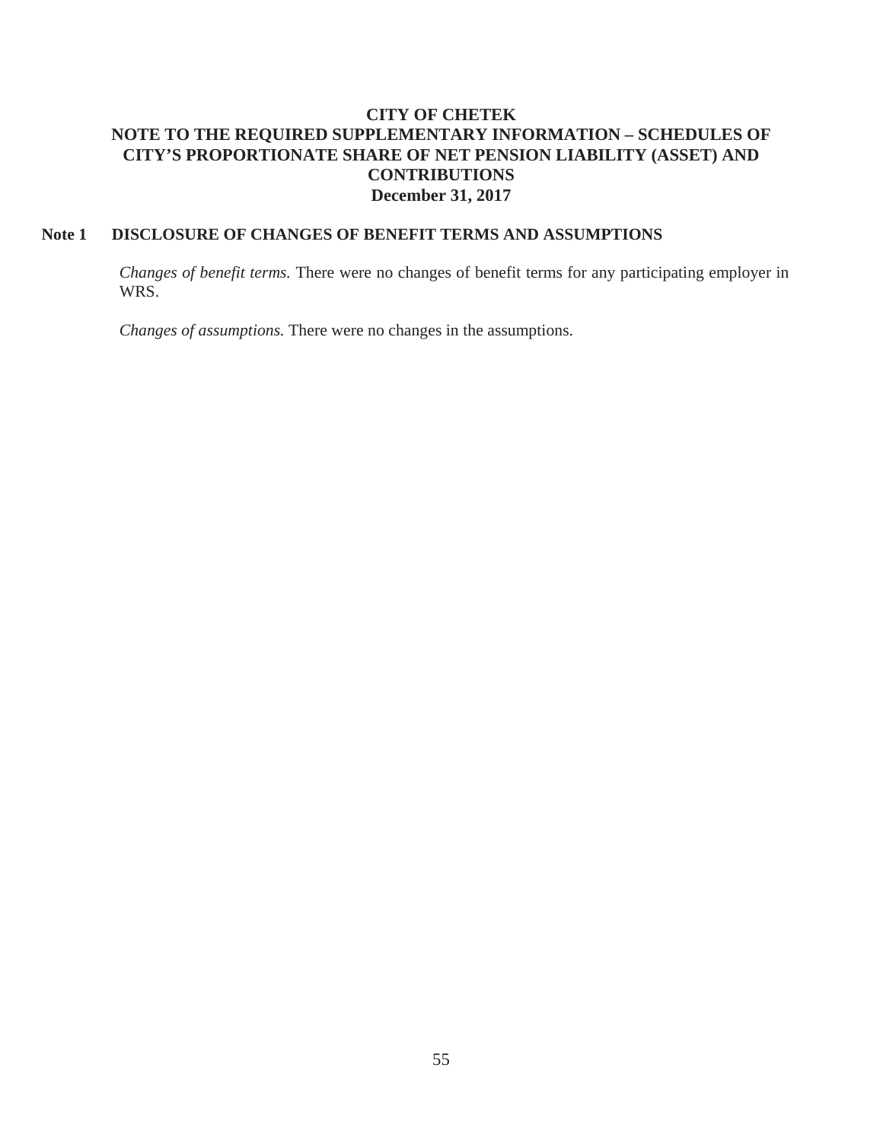# **CITY OF CHETEK NOTE TO THE REQUIRED SUPPLEMENTARY INFORMATION – SCHEDULES OF CITY'S PROPORTIONATE SHARE OF NET PENSION LIABILITY (ASSET) AND CONTRIBUTIONS December 31, 2017**

### **Note 1 DISCLOSURE OF CHANGES OF BENEFIT TERMS AND ASSUMPTIONS**

*Changes of benefit terms.* There were no changes of benefit terms for any participating employer in WRS.

*Changes of assumptions.* There were no changes in the assumptions.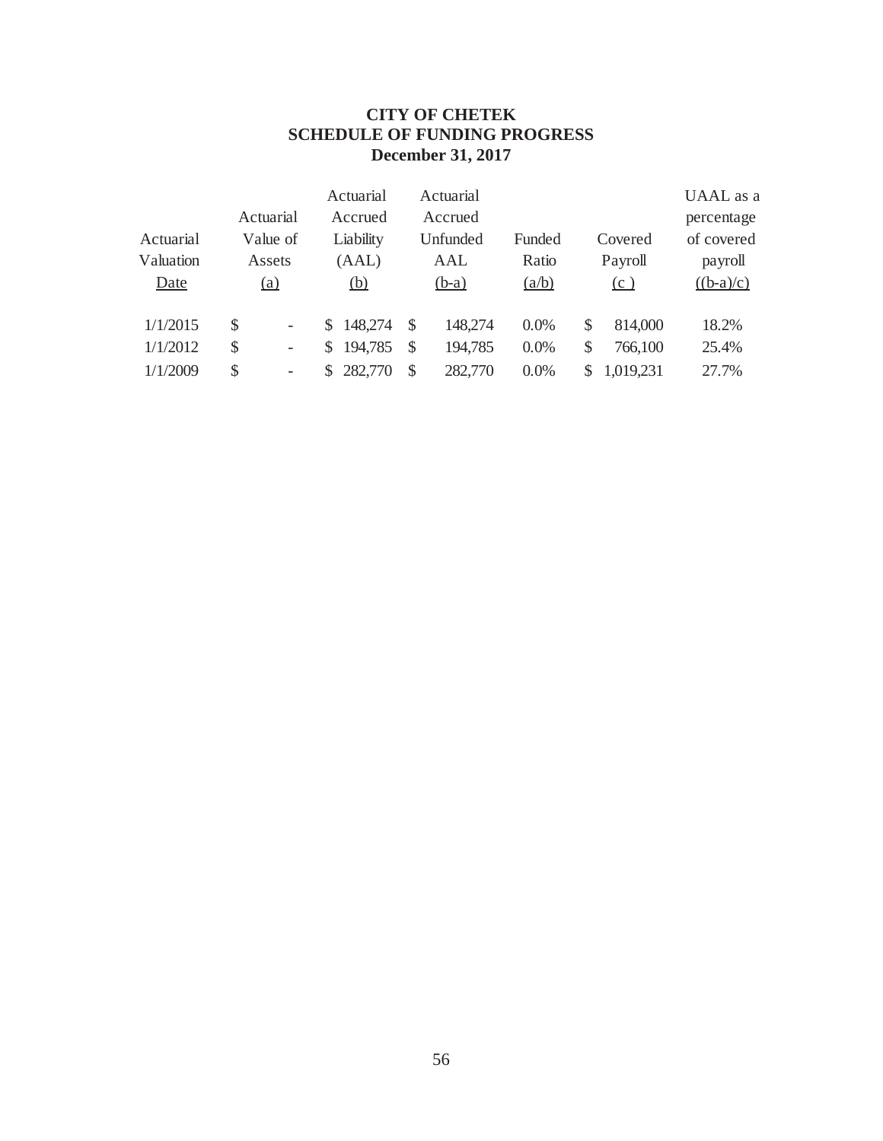# **CITY OF CHETEK SCHEDULE OF FUNDING PROGRESS December 31, 2017**

|           |               |                          |    | Actuarial |               | Actuarial |        |                  |           | UAAL as a   |
|-----------|---------------|--------------------------|----|-----------|---------------|-----------|--------|------------------|-----------|-------------|
|           | Actuarial     |                          |    | Accrued   |               | Accrued   |        |                  |           | percentage  |
| Actuarial |               | Value of                 |    | Liability |               | Unfunded  | Funded |                  | Covered   | of covered  |
| Valuation | Assets        |                          |    | (AAL)     |               | AAL       |        | Payroll<br>Ratio |           | payroll     |
| Date      |               | <u>(a)</u>               |    | (b)       |               | $(b-a)$   | (a/b)  |                  | (c)       | $((b-a)/c)$ |
| 1/1/2015  | \$            | $\overline{\phantom{a}}$ | S. | 148,274   | <sup>\$</sup> | 148,274   | 0.0%   | \$               | 814,000   | 18.2%       |
| 1/1/2012  | \$            | $\overline{\phantom{0}}$ | S. | 194,785   | <sup>\$</sup> | 194,785   | 0.0%   | \$               | 766,100   | 25.4%       |
| 1/1/2009  | <sup>\$</sup> | $\overline{\phantom{a}}$ | S. | 282,770   | S             | 282,770   | 0.0%   | \$.              | 1,019,231 | 27.7%       |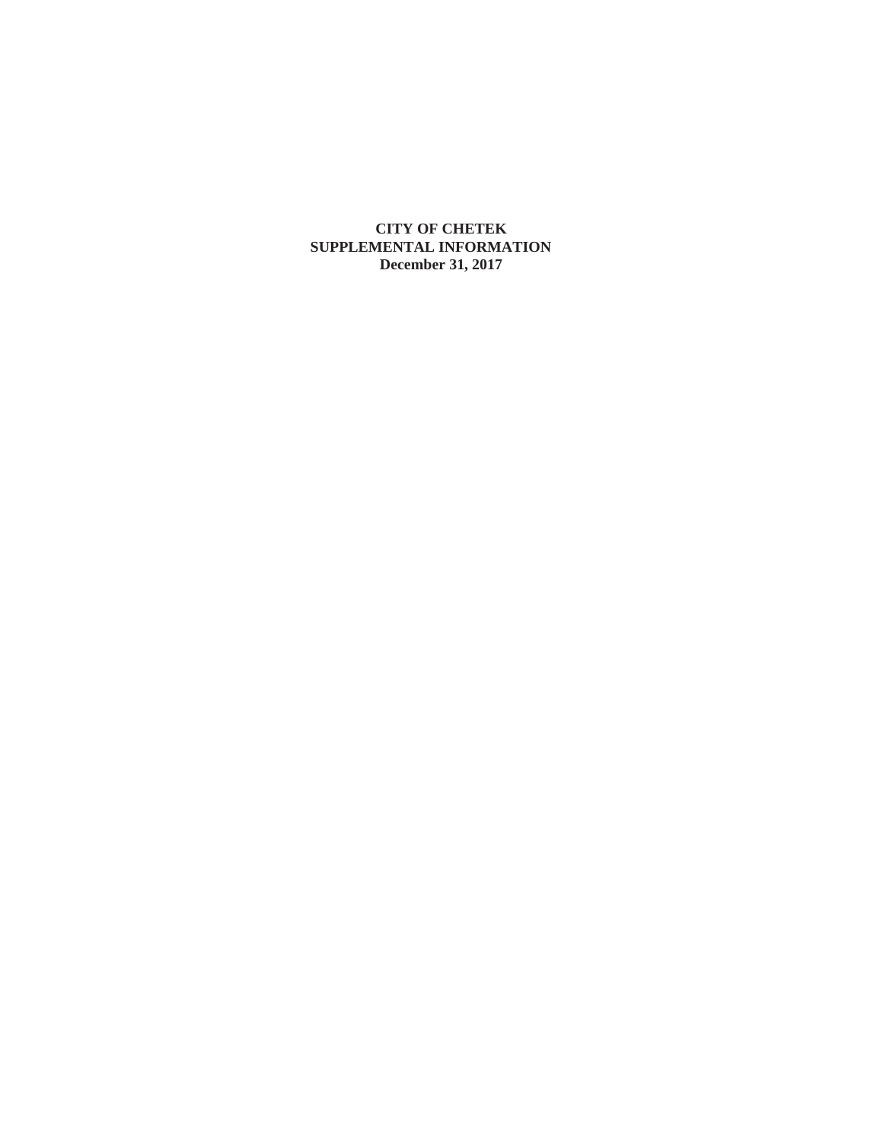**CITY OF CHETEK SUPPLEMENTAL INFORMATION December 31, 2017**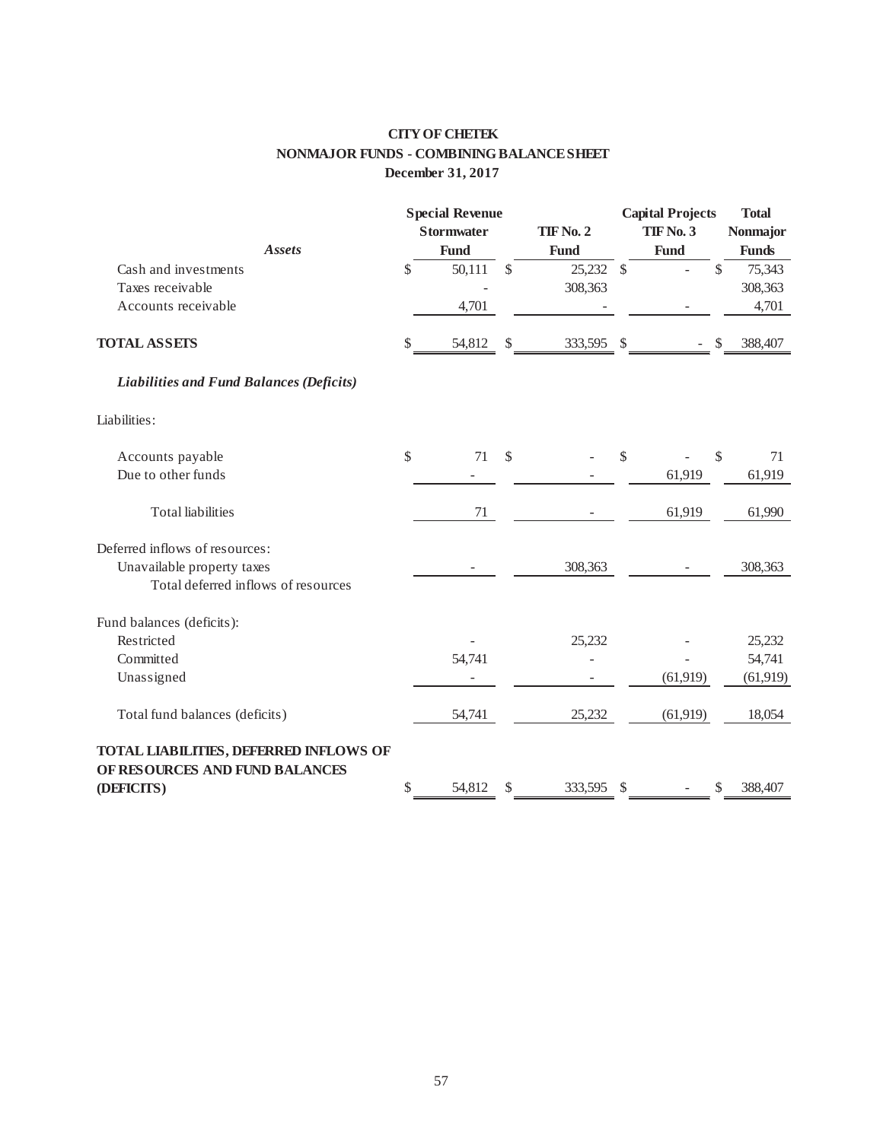### **CITY OF CHETEK NONMAJOR FUNDS - COMBINING BALANCE SHEET December 31, 2017**

|                                               |                   | <b>Special Revenue</b> |               |                  |           | <b>Capital Projects</b> |               | <b>Total</b> |  |
|-----------------------------------------------|-------------------|------------------------|---------------|------------------|-----------|-------------------------|---------------|--------------|--|
|                                               | <b>Stormwater</b> |                        |               | <b>TIF No. 2</b> | TIF No. 3 |                         |               | Nonmajor     |  |
| <b>Assets</b>                                 |                   | <b>Fund</b>            |               | <b>Fund</b>      |           | <b>Fund</b>             |               | <b>Funds</b> |  |
| Cash and investments                          | \$                | 50,111                 | $\mathcal{S}$ | 25,232 \$        |           |                         | S             | 75,343       |  |
| Taxes receivable                              |                   |                        |               | 308,363          |           |                         |               | 308,363      |  |
| Accounts receivable                           |                   | 4,701                  |               |                  |           |                         |               | 4,701        |  |
| <b>TOTAL ASSETS</b>                           | $S_{-}$           | 54,812                 | $\mathcal{S}$ | 333,595 \$       |           |                         | <sup>\$</sup> | 388,407      |  |
| Liabilities and Fund Balances (Deficits)      |                   |                        |               |                  |           |                         |               |              |  |
| Liabilities:                                  |                   |                        |               |                  |           |                         |               |              |  |
| Accounts payable                              | $\mathbb{S}$      | 71                     | $\mathcal{S}$ |                  | \$        |                         | \$            | 71           |  |
| Due to other funds                            |                   |                        |               |                  |           | 61,919                  |               | 61,919       |  |
| <b>Total</b> liabilities                      |                   | 71                     |               |                  |           | 61,919                  |               | 61,990       |  |
| Deferred inflows of resources:                |                   |                        |               |                  |           |                         |               |              |  |
| Unavailable property taxes                    |                   |                        |               | 308,363          |           |                         |               | 308,363      |  |
| Total deferred inflows of resources           |                   |                        |               |                  |           |                         |               |              |  |
| Fund balances (deficits):                     |                   |                        |               |                  |           |                         |               |              |  |
| Restricted                                    |                   |                        |               | 25,232           |           |                         |               | 25,232       |  |
| Committed                                     |                   | 54,741                 |               |                  |           |                         |               | 54,741       |  |
| Unassigned                                    |                   |                        |               |                  |           | (61, 919)               |               | (61, 919)    |  |
| Total fund balances (deficits)                |                   | 54,741                 |               | 25,232           |           | (61, 919)               |               | 18,054       |  |
| <b>TOTAL LIABILITIES, DEFERRED INFLOWS OF</b> |                   |                        |               |                  |           |                         |               |              |  |
| OF RESOURCES AND FUND BALANCES<br>(DEFICITS)  | \$                | 54,812                 | <sup>\$</sup> | 333,595          | S.        |                         |               | 388,407      |  |